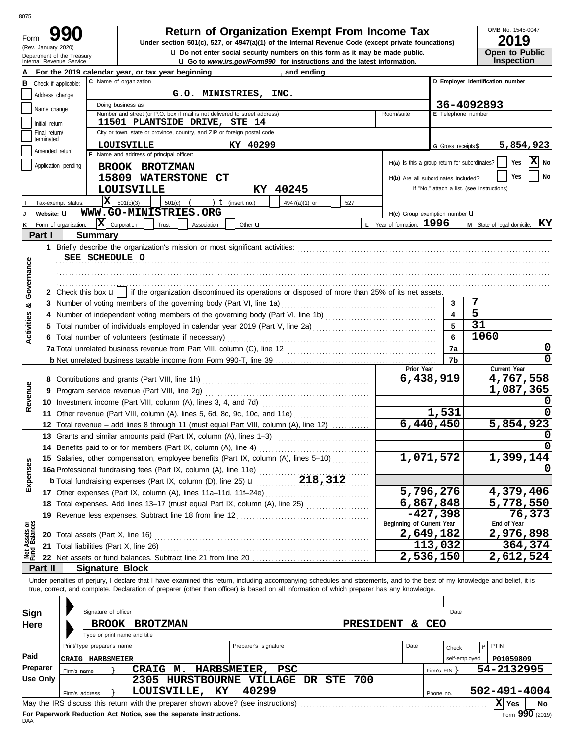Department of the Treasury Form (Rev. January 2020)

## **Return of Organization Exempt From Income Tax**

**u** Do not enter social security numbers on this form as it may be made public. **Under section 501(c), 527, or 4947(a)(1) of the Internal Revenue Code (except private foundations)** OMB No. 1545-0047

| ZU I J                |
|-----------------------|
| <b>Open to Public</b> |
| <b>Inspection</b>     |

|                           |                               | Internal Revenue Service                          |                                                                                                                                                                                           |                      | <b>u</b> Go to www.irs.gov/Form990 for instructions and the latest information. |     |                           |                                      | <b>Inspection</b>                                                |
|---------------------------|-------------------------------|---------------------------------------------------|-------------------------------------------------------------------------------------------------------------------------------------------------------------------------------------------|----------------------|---------------------------------------------------------------------------------|-----|---------------------------|--------------------------------------|------------------------------------------------------------------|
|                           |                               | For the 2019 calendar year, or tax year beginning |                                                                                                                                                                                           |                      | , and ending                                                                    |     |                           |                                      |                                                                  |
|                           | <b>B</b> Check if applicable: | C Name of organization                            |                                                                                                                                                                                           |                      |                                                                                 |     |                           |                                      | D Employer identification number                                 |
|                           | Address change                |                                                   | G.O. MINISTRIES, INC.                                                                                                                                                                     |                      |                                                                                 |     |                           |                                      |                                                                  |
|                           |                               | Doing business as                                 |                                                                                                                                                                                           |                      |                                                                                 |     |                           |                                      | 36-4092893                                                       |
|                           | Name change                   |                                                   | Number and street (or P.O. box if mail is not delivered to street address)                                                                                                                |                      |                                                                                 |     | Room/suite                | E Telephone number                   |                                                                  |
|                           | Initial return                |                                                   | 11501 PLANTSIDE DRIVE, STE 14                                                                                                                                                             |                      |                                                                                 |     |                           |                                      |                                                                  |
|                           | Final return/                 |                                                   | City or town, state or province, country, and ZIP or foreign postal code                                                                                                                  |                      |                                                                                 |     |                           |                                      |                                                                  |
|                           | terminated                    |                                                   |                                                                                                                                                                                           |                      |                                                                                 |     |                           |                                      |                                                                  |
|                           | Amended return                | LOUISVILLE                                        |                                                                                                                                                                                           | KY 40299             |                                                                                 |     |                           | G Gross receipts \$                  | 5,854,923                                                        |
|                           |                               |                                                   | F Name and address of principal officer:                                                                                                                                                  |                      |                                                                                 |     |                           |                                      | $X$ No<br>Yes<br>$H(a)$ Is this a group return for subordinates? |
|                           |                               | Application pending                               | BROOK BROTZMAN                                                                                                                                                                            |                      |                                                                                 |     |                           |                                      |                                                                  |
|                           |                               |                                                   | <b>15809 WATERSTONE CT</b>                                                                                                                                                                |                      |                                                                                 |     |                           | H(b) Are all subordinates included?  | No<br>Yes                                                        |
|                           |                               | <b>LOUISVILLE</b>                                 |                                                                                                                                                                                           |                      | KY 40245                                                                        |     |                           |                                      | If "No," attach a list. (see instructions)                       |
|                           |                               | $ \mathbf{X} $ 501(c)(3)                          |                                                                                                                                                                                           |                      |                                                                                 |     |                           |                                      |                                                                  |
|                           |                               | Tax-exempt status:                                | 501(c)                                                                                                                                                                                    | ) $t$ (insert no.)   | 4947(a)(1) or                                                                   | 527 |                           |                                      |                                                                  |
|                           | Website: U                    |                                                   | WWW.GO-MINISTRIES.ORG                                                                                                                                                                     |                      |                                                                                 |     |                           | H(c) Group exemption number <b>U</b> |                                                                  |
| κ                         |                               | X Corporation<br>Form of organization:            | Trust<br>Association                                                                                                                                                                      | Other $\mathbf u$    |                                                                                 |     | L Year of formation: 1996 |                                      | M State of legal domicile: KY                                    |
|                           | Part I                        | <b>Summary</b>                                    |                                                                                                                                                                                           |                      |                                                                                 |     |                           |                                      |                                                                  |
|                           |                               |                                                   |                                                                                                                                                                                           |                      |                                                                                 |     |                           |                                      |                                                                  |
|                           |                               | SEE SCHEDULE O                                    |                                                                                                                                                                                           |                      |                                                                                 |     |                           |                                      |                                                                  |
|                           |                               |                                                   |                                                                                                                                                                                           |                      |                                                                                 |     |                           |                                      |                                                                  |
|                           |                               |                                                   |                                                                                                                                                                                           |                      |                                                                                 |     |                           |                                      |                                                                  |
|                           |                               |                                                   |                                                                                                                                                                                           |                      |                                                                                 |     |                           |                                      |                                                                  |
| Governance                |                               |                                                   | 2 Check this box $\mathbf{u}$   if the organization discontinued its operations or disposed of more than 25% of its net assets.                                                           |                      |                                                                                 |     |                           |                                      |                                                                  |
|                           |                               |                                                   |                                                                                                                                                                                           |                      |                                                                                 |     |                           | 3                                    | 7                                                                |
| య                         |                               |                                                   |                                                                                                                                                                                           |                      |                                                                                 |     |                           | $\overline{\mathbf{4}}$              | 5                                                                |
|                           |                               |                                                   |                                                                                                                                                                                           |                      |                                                                                 |     |                           |                                      |                                                                  |
| <b>Activities</b>         |                               |                                                   | 5 Total number of individuals employed in calendar year 2019 (Part V, line 2a) [11] [11] [11] [11] [11] [11] Total number of individuals employed in calendar year 2019 (Part V, line 2a) |                      |                                                                                 |     |                           |                                      | 31                                                               |
|                           |                               |                                                   | 6 Total number of volunteers (estimate if necessary)                                                                                                                                      |                      |                                                                                 |     |                           | 6                                    | 1060                                                             |
|                           |                               |                                                   |                                                                                                                                                                                           |                      |                                                                                 |     |                           | 7a                                   | 0                                                                |
|                           |                               |                                                   |                                                                                                                                                                                           |                      |                                                                                 |     |                           | 7b                                   | 0                                                                |
|                           |                               |                                                   |                                                                                                                                                                                           |                      |                                                                                 |     | Prior Year                |                                      | Current Year                                                     |
|                           |                               |                                                   |                                                                                                                                                                                           |                      |                                                                                 |     |                           | 6,438,919                            | 4,767,558                                                        |
| Revenue                   |                               | 9 Program service revenue (Part VIII, line 2g)    |                                                                                                                                                                                           |                      |                                                                                 |     |                           |                                      | 1,087,365                                                        |
|                           |                               |                                                   |                                                                                                                                                                                           |                      |                                                                                 |     |                           |                                      |                                                                  |
|                           |                               |                                                   |                                                                                                                                                                                           |                      |                                                                                 |     |                           |                                      |                                                                  |
|                           |                               |                                                   | 11 Other revenue (Part VIII, column (A), lines 5, 6d, 8c, 9c, 10c, and 11e)                                                                                                               |                      |                                                                                 |     |                           | 1,531                                | 0                                                                |
|                           |                               |                                                   | 12 Total revenue - add lines 8 through 11 (must equal Part VIII, column (A), line 12)                                                                                                     |                      |                                                                                 |     |                           | 6,440,450                            | 5,854,923                                                        |
|                           |                               |                                                   | 13 Grants and similar amounts paid (Part IX, column (A), lines 1-3)                                                                                                                       |                      |                                                                                 |     |                           |                                      |                                                                  |
|                           |                               |                                                   | 14 Benefits paid to or for members (Part IX, column (A), line 4)                                                                                                                          |                      |                                                                                 |     |                           |                                      |                                                                  |
|                           |                               |                                                   | 15 Salaries, other compensation, employee benefits (Part IX, column (A), lines 5-10)                                                                                                      |                      |                                                                                 |     |                           | 1,071,572                            | 1,399,144                                                        |
| enses                     |                               |                                                   | 15 Salaries, other compensation, comparison (A), line 11e)<br>16a Professional fundraising fees (Part IX, column (A), line 11e)<br>218, 312                                               |                      |                                                                                 |     |                           |                                      |                                                                  |
|                           |                               |                                                   |                                                                                                                                                                                           |                      |                                                                                 |     |                           |                                      |                                                                  |
| Еxр                       |                               |                                                   |                                                                                                                                                                                           |                      |                                                                                 |     |                           |                                      |                                                                  |
|                           |                               |                                                   | 17 Other expenses (Part IX, column (A), lines 11a-11d, 11f-24e)                                                                                                                           |                      |                                                                                 |     |                           | 5,796,276                            | 4,379,406                                                        |
|                           |                               |                                                   | 18 Total expenses. Add lines 13-17 (must equal Part IX, column (A), line 25)                                                                                                              |                      |                                                                                 |     |                           | 6,867,848                            | 5,778,550                                                        |
|                           |                               |                                                   | 19 Revenue less expenses. Subtract line 18 from line 12                                                                                                                                   |                      |                                                                                 |     |                           | $-427,398$                           | 76,373                                                           |
|                           |                               |                                                   |                                                                                                                                                                                           |                      |                                                                                 |     | Beginning of Current Year |                                      | End of Year                                                      |
| t Assets or<br>d Balances |                               | 20 Total assets (Part X, line 16)                 |                                                                                                                                                                                           |                      |                                                                                 |     |                           | 2,649,182                            | 2,976,898                                                        |
|                           |                               | 21 Total liabilities (Part X, line 26)            |                                                                                                                                                                                           |                      |                                                                                 |     |                           | 113,032                              | 364,374                                                          |
| <b>PE</b>                 |                               |                                                   |                                                                                                                                                                                           |                      |                                                                                 |     |                           |                                      |                                                                  |
|                           |                               |                                                   |                                                                                                                                                                                           |                      |                                                                                 |     |                           | 2,536,150                            | 2,612,524                                                        |
|                           | Part II                       | <b>Signature Block</b>                            |                                                                                                                                                                                           |                      |                                                                                 |     |                           |                                      |                                                                  |
|                           |                               |                                                   | Under penalties of perjury, I declare that I have examined this return, including accompanying schedules and statements, and to the best of my knowledge and belief, it is                |                      |                                                                                 |     |                           |                                      |                                                                  |
|                           |                               |                                                   | true, correct, and complete. Declaration of preparer (other than officer) is based on all information of which preparer has any knowledge.                                                |                      |                                                                                 |     |                           |                                      |                                                                  |
|                           |                               |                                                   |                                                                                                                                                                                           |                      |                                                                                 |     |                           |                                      |                                                                  |
|                           |                               | Signature of officer                              |                                                                                                                                                                                           |                      |                                                                                 |     |                           |                                      |                                                                  |
| <b>Sign</b>               |                               |                                                   |                                                                                                                                                                                           |                      |                                                                                 |     |                           | Date                                 |                                                                  |
| Here                      |                               |                                                   | BROOK BROTZMAN                                                                                                                                                                            |                      |                                                                                 |     | <b>PRESIDENT</b>          | & CEO                                |                                                                  |
|                           |                               | Type or print name and title                      |                                                                                                                                                                                           |                      |                                                                                 |     |                           |                                      |                                                                  |
|                           |                               | Print/Type preparer's name                        |                                                                                                                                                                                           | Preparer's signature |                                                                                 |     | Date                      | Check                                | PTIN                                                             |
| Paid                      |                               | <b>CRAIG HARBSMEIER</b>                           |                                                                                                                                                                                           |                      |                                                                                 |     |                           | self-employed                        | P01059809                                                        |
|                           | Preparer                      |                                                   |                                                                                                                                                                                           |                      |                                                                                 |     |                           |                                      |                                                                  |
|                           | <b>Use Only</b>               | Firm's name                                       | CRAIG M.                                                                                                                                                                                  | HARBSMEIER, PSC      |                                                                                 |     |                           | Firm's $EIN$ }                       | 54-2132995                                                       |
|                           |                               |                                                   | 2305 HURSTBOURNE VILLAGE                                                                                                                                                                  |                      | DR STE                                                                          | 700 |                           |                                      |                                                                  |
|                           |                               | Firm's address                                    | LOUISVILLE, KY                                                                                                                                                                            | 40299                |                                                                                 |     |                           | Phone no.                            | 502-491-4004                                                     |
|                           |                               |                                                   | May the IRS discuss this return with the preparer shown above? (see instructions)                                                                                                         |                      |                                                                                 |     |                           |                                      | $ X $ Yes<br>No                                                  |

| Sign                                                                              |              | Signature of officer         |                 |                    |                      |    |     |                  |      |                         | Date          |                    |      |
|-----------------------------------------------------------------------------------|--------------|------------------------------|-----------------|--------------------|----------------------|----|-----|------------------|------|-------------------------|---------------|--------------------|------|
| Here                                                                              |              | <b>BROOK</b>                 | <b>BROTZMAN</b> |                    |                      |    |     | <b>PRESIDENT</b> | δc.  | CEO                     |               |                    |      |
|                                                                                   |              | Type or print name and title |                 |                    |                      |    |     |                  |      |                         |               |                    |      |
|                                                                                   |              | Print/Type preparer's name   |                 |                    | Preparer's signature |    |     |                  | Date |                         | Check         | PTIN               |      |
| Paid                                                                              | <b>CRAIG</b> | <b>HARBSMEIER</b>            |                 |                    |                      |    |     |                  |      |                         | self-employed | P01059809          |      |
| Preparer                                                                          | Firm's name  |                              | CRAIG M.        | <b>HARBSMEIER,</b> | PSC                  |    |     |                  |      | Firm's $EIN$ $\uparrow$ |               | 54-2132995         |      |
| Use Only                                                                          |              |                              | 2305            | <b>HURSTBOURNE</b> | <b>VILLAGE</b>       | DR | STE | 700              |      |                         |               |                    |      |
|                                                                                   |              | Firm's address               | LOUISVILLE,     | KY                 | 40299                |    |     |                  |      | Phone no.               |               | $502 - 491 - 4004$ |      |
| May the IRS discuss this return with the preparer shown above? (see instructions) |              |                              |                 |                    |                      |    |     |                  |      |                         |               | ΙxΙ<br>Yes         | l No |
| For Paperwork Reduction Act Notice, see the separate instructions.<br><b>DAA</b>  |              |                              |                 |                    |                      |    |     |                  |      |                         |               | Form 990 (2019)    |      |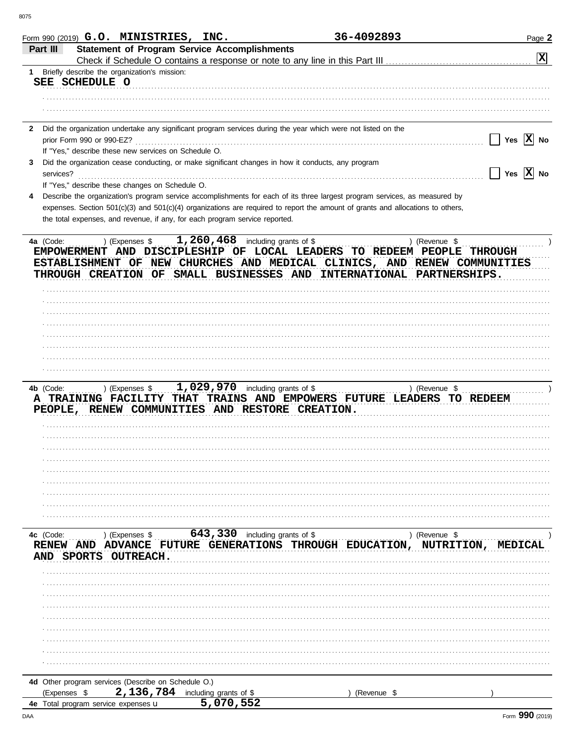|                      | Form 990 (2019) $G.O.$ MINISTRIES, INC.                                                                                                                    |                                                                             | 36-4092893                                                                                                                                       | Page 2                                        |
|----------------------|------------------------------------------------------------------------------------------------------------------------------------------------------------|-----------------------------------------------------------------------------|--------------------------------------------------------------------------------------------------------------------------------------------------|-----------------------------------------------|
| Part III             |                                                                                                                                                            | <b>Statement of Program Service Accomplishments</b>                         |                                                                                                                                                  |                                               |
|                      |                                                                                                                                                            |                                                                             | Check if Schedule O contains a response or note to any line in this Part III                                                                     | $ \mathbf{x} $                                |
| 1                    | Briefly describe the organization's mission:<br>SEE SCHEDULE O                                                                                             |                                                                             |                                                                                                                                                  |                                               |
|                      |                                                                                                                                                            |                                                                             |                                                                                                                                                  |                                               |
|                      |                                                                                                                                                            |                                                                             |                                                                                                                                                  |                                               |
|                      |                                                                                                                                                            |                                                                             |                                                                                                                                                  |                                               |
| $\mathbf{2}$         |                                                                                                                                                            |                                                                             | Did the organization undertake any significant program services during the year which were not listed on the                                     |                                               |
|                      | prior Form 990 or 990-EZ?                                                                                                                                  |                                                                             |                                                                                                                                                  | $ X $ No<br><b>Yes</b>                        |
| 3                    | If "Yes," describe these new services on Schedule O.<br>Did the organization cease conducting, or make significant changes in how it conducts, any program |                                                                             |                                                                                                                                                  |                                               |
| services?            |                                                                                                                                                            |                                                                             |                                                                                                                                                  | Yes $\overline{X}$ No                         |
|                      | If "Yes," describe these changes on Schedule O.                                                                                                            |                                                                             |                                                                                                                                                  |                                               |
|                      |                                                                                                                                                            |                                                                             | Describe the organization's program service accomplishments for each of its three largest program services, as measured by                       |                                               |
|                      |                                                                                                                                                            |                                                                             | expenses. Section 501(c)(3) and 501(c)(4) organizations are required to report the amount of grants and allocations to others,                   |                                               |
|                      | the total expenses, and revenue, if any, for each program service reported.                                                                                |                                                                             |                                                                                                                                                  |                                               |
| 4a (Code:            |                                                                                                                                                            | ) (Expenses $$1,260,468$ including grants of \$                             |                                                                                                                                                  | ) (Revenue \$                                 |
|                      |                                                                                                                                                            |                                                                             | ESTABLISHMENT OF NEW CHURCHES AND MEDICAL CLINICS, AND RENEW COMMUNITIES<br>THROUGH CREATION OF SMALL BUSINESSES AND INTERNATIONAL PARTNERSHIPS. |                                               |
|                      |                                                                                                                                                            |                                                                             |                                                                                                                                                  |                                               |
|                      |                                                                                                                                                            |                                                                             |                                                                                                                                                  |                                               |
|                      |                                                                                                                                                            |                                                                             |                                                                                                                                                  |                                               |
|                      |                                                                                                                                                            |                                                                             |                                                                                                                                                  |                                               |
| 4b (Code:<br>PEOPLE, | ) (Expenses \$                                                                                                                                             | 1,029,970 including grants of \$<br>RENEW COMMUNITIES AND RESTORE CREATION. | A TRAINING FACILITY THAT TRAINS AND EMPOWERS FUTURE LEADERS TO REDEEM                                                                            | ) (Revenue \$                                 |
|                      |                                                                                                                                                            |                                                                             |                                                                                                                                                  |                                               |
|                      |                                                                                                                                                            |                                                                             |                                                                                                                                                  |                                               |
|                      |                                                                                                                                                            |                                                                             |                                                                                                                                                  |                                               |
|                      |                                                                                                                                                            |                                                                             |                                                                                                                                                  |                                               |
|                      |                                                                                                                                                            |                                                                             |                                                                                                                                                  |                                               |
| 4c (Code:<br>AND     | ) (Expenses \$<br>RENEW AND ADVANCE FUTURE GENERATIONS<br><b>SPORTS OUTREACH.</b>                                                                          | 643, 330 including grants of \$                                             | THROUGH EDUCATION,                                                                                                                               | ) (Revenue \$<br>NUTRITION,<br><b>MEDICAL</b> |
|                      |                                                                                                                                                            |                                                                             |                                                                                                                                                  |                                               |
|                      |                                                                                                                                                            |                                                                             |                                                                                                                                                  |                                               |
|                      |                                                                                                                                                            |                                                                             |                                                                                                                                                  |                                               |
|                      |                                                                                                                                                            |                                                                             |                                                                                                                                                  |                                               |
|                      |                                                                                                                                                            |                                                                             |                                                                                                                                                  |                                               |
|                      |                                                                                                                                                            |                                                                             |                                                                                                                                                  |                                               |
|                      |                                                                                                                                                            |                                                                             |                                                                                                                                                  |                                               |
|                      |                                                                                                                                                            |                                                                             |                                                                                                                                                  |                                               |
|                      | 4d Other program services (Describe on Schedule O.)                                                                                                        |                                                                             |                                                                                                                                                  |                                               |
| (Expenses \$         | 2,136,784                                                                                                                                                  | including grants of \$                                                      | (Revenue \$                                                                                                                                      |                                               |
|                      | 4e Total program service expenses u                                                                                                                        | 5,070,552                                                                   |                                                                                                                                                  |                                               |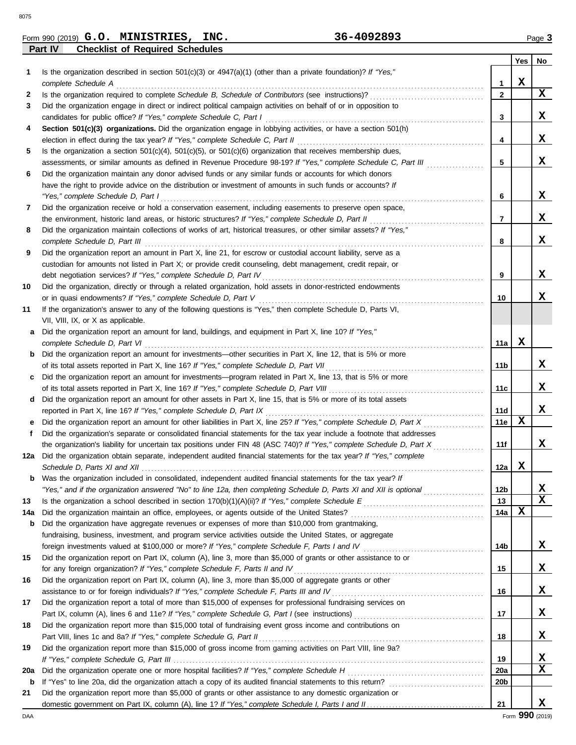**Part IV Checklist of Required Schedules** 

|     |                                                                                                                         |                 | Yes         | No          |
|-----|-------------------------------------------------------------------------------------------------------------------------|-----------------|-------------|-------------|
| 1   | Is the organization described in section 501(c)(3) or $4947(a)(1)$ (other than a private foundation)? If "Yes,"         |                 |             |             |
|     | complete Schedule A                                                                                                     | $\mathbf{1}$    | X           |             |
| 2   |                                                                                                                         | $\mathbf{2}$    |             | $\mathbf x$ |
| 3   | Did the organization engage in direct or indirect political campaign activities on behalf of or in opposition to        |                 |             |             |
|     | candidates for public office? If "Yes," complete Schedule C, Part I                                                     | 3               |             | x           |
| 4   | Section 501(c)(3) organizations. Did the organization engage in lobbying activities, or have a section 501(h)           |                 |             |             |
|     | election in effect during the tax year? If "Yes," complete Schedule C, Part II                                          | 4               |             | x           |
| 5   | Is the organization a section $501(c)(4)$ , $501(c)(5)$ , or $501(c)(6)$ organization that receives membership dues,    |                 |             |             |
|     | assessments, or similar amounts as defined in Revenue Procedure 98-19? If "Yes," complete Schedule C, Part III          | 5               |             | x           |
| 6   | Did the organization maintain any donor advised funds or any similar funds or accounts for which donors                 |                 |             |             |
|     | have the right to provide advice on the distribution or investment of amounts in such funds or accounts? If             |                 |             |             |
|     | "Yes," complete Schedule D, Part I                                                                                      | 6               |             | X           |
| 7   | Did the organization receive or hold a conservation easement, including easements to preserve open space,               |                 |             |             |
|     | the environment, historic land areas, or historic structures? If "Yes," complete Schedule D, Part II                    | $\overline{7}$  |             | x           |
| 8   | Did the organization maintain collections of works of art, historical treasures, or other similar assets? If "Yes,"     |                 |             |             |
|     | complete Schedule D, Part III                                                                                           | 8               |             | x           |
| 9   | Did the organization report an amount in Part X, line 21, for escrow or custodial account liability, serve as a         |                 |             |             |
|     | custodian for amounts not listed in Part X; or provide credit counseling, debt management, credit repair, or            |                 |             |             |
|     | debt negotiation services? If "Yes," complete Schedule D, Part IV                                                       | 9               |             | x           |
| 10  | Did the organization, directly or through a related organization, hold assets in donor-restricted endowments            |                 |             |             |
|     | or in quasi endowments? If "Yes," complete Schedule D, Part V                                                           | 10              |             | x           |
| 11  | If the organization's answer to any of the following questions is "Yes," then complete Schedule D, Parts VI,            |                 |             |             |
|     | VII, VIII, IX, or X as applicable.                                                                                      |                 |             |             |
| а   | Did the organization report an amount for land, buildings, and equipment in Part X, line 10? If "Yes,"                  |                 |             |             |
|     | complete Schedule D, Part VI                                                                                            | 11a             | X           |             |
| b   | Did the organization report an amount for investments—other securities in Part X, line 12, that is 5% or more           |                 |             |             |
|     |                                                                                                                         | 11b             |             | x           |
| c   | Did the organization report an amount for investments—program related in Part X, line 13, that is 5% or more            |                 |             |             |
|     | of its total assets reported in Part X, line 16? If "Yes," complete Schedule D, Part VIII                               | 11c             |             | x           |
| d   | Did the organization report an amount for other assets in Part X, line 15, that is 5% or more of its total assets       |                 |             |             |
|     | reported in Part X, line 16? If "Yes," complete Schedule D, Part IX                                                     | 11d             |             | x           |
|     | Did the organization report an amount for other liabilities in Part X, line 25? If "Yes," complete Schedule D, Part X   | 11e             | $\mathbf x$ |             |
|     | Did the organization's separate or consolidated financial statements for the tax year include a footnote that addresses |                 |             |             |
|     | the organization's liability for uncertain tax positions under FIN 48 (ASC 740)? If "Yes," complete Schedule D, Part X  | 11f             |             | x           |
|     | 12a Did the organization obtain separate, independent audited financial statements for the tax year? If "Yes," complete |                 |             |             |
|     |                                                                                                                         | 12a             | х           |             |
| b   | Was the organization included in consolidated, independent audited financial statements for the tax year? If            |                 |             |             |
|     | "Yes," and if the organization answered "No" to line 12a, then completing Schedule D, Parts XI and XII is optional      | 12b             |             | x           |
| 13  |                                                                                                                         | 13              |             | X           |
| 14a | Did the organization maintain an office, employees, or agents outside of the United States?                             | 14a             | X           |             |
| b   | Did the organization have aggregate revenues or expenses of more than \$10,000 from grantmaking,                        |                 |             |             |
|     | fundraising, business, investment, and program service activities outside the United States, or aggregate               |                 |             |             |
|     | foreign investments valued at \$100,000 or more? If "Yes," complete Schedule F, Parts I and IV [[[[[[[[[[[[[[[[         | 14b             |             | x           |
| 15  | Did the organization report on Part IX, column (A), line 3, more than \$5,000 of grants or other assistance to or       |                 |             |             |
|     | for any foreign organization? If "Yes," complete Schedule F, Parts II and IV                                            | 15              |             | X           |
| 16  | Did the organization report on Part IX, column (A), line 3, more than \$5,000 of aggregate grants or other              |                 |             |             |
|     | assistance to or for foreign individuals? If "Yes," complete Schedule F, Parts III and IV                               | 16              |             | X           |
| 17  | Did the organization report a total of more than \$15,000 of expenses for professional fundraising services on          |                 |             |             |
|     |                                                                                                                         | 17              |             | X           |
| 18  | Did the organization report more than \$15,000 total of fundraising event gross income and contributions on             |                 |             |             |
|     | Part VIII, lines 1c and 8a? If "Yes," complete Schedule G, Part II                                                      | 18              |             | X           |
| 19  | Did the organization report more than \$15,000 of gross income from gaming activities on Part VIII, line 9a?            |                 |             |             |
|     |                                                                                                                         | 19              |             | X           |
| 20a | Did the organization operate one or more hospital facilities? If "Yes," complete Schedule H                             | 20a             |             | X           |
| b   | If "Yes" to line 20a, did the organization attach a copy of its audited financial statements to this return?            | 20 <sub>b</sub> |             |             |
| 21  | Did the organization report more than \$5,000 of grants or other assistance to any domestic organization or             |                 |             |             |
|     |                                                                                                                         | 21              |             | x           |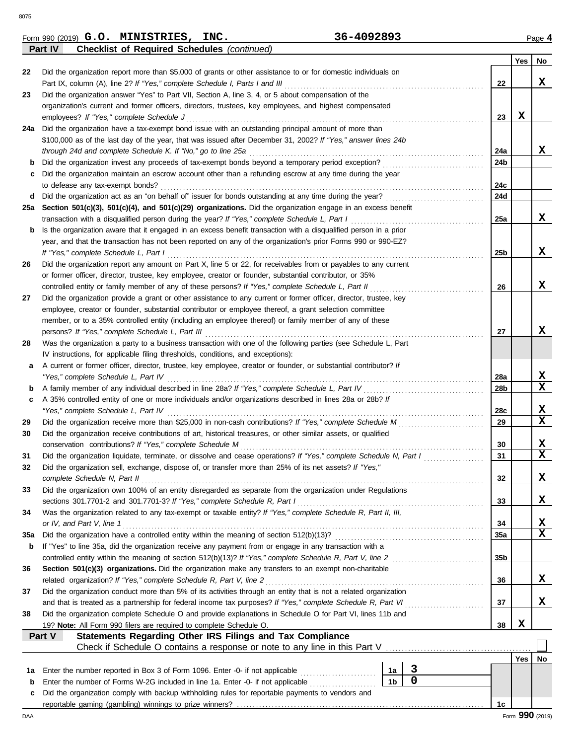|     | 36-4092893<br>Form 990 (2019) G.O. MINISTRIES, INC.                                                                                                                                                          |                      |                     |     |     | Page 4                  |
|-----|--------------------------------------------------------------------------------------------------------------------------------------------------------------------------------------------------------------|----------------------|---------------------|-----|-----|-------------------------|
|     | <b>Checklist of Required Schedules (continued)</b><br>Part IV                                                                                                                                                |                      |                     |     |     |                         |
|     |                                                                                                                                                                                                              |                      |                     |     | Yes | No                      |
| 22  | Did the organization report more than \$5,000 of grants or other assistance to or for domestic individuals on                                                                                                |                      |                     |     |     |                         |
|     | Part IX, column (A), line 2? If "Yes," complete Schedule I, Parts I and III                                                                                                                                  |                      |                     | 22  |     | X                       |
| 23  | Did the organization answer "Yes" to Part VII, Section A, line 3, 4, or 5 about compensation of the                                                                                                          |                      |                     |     |     |                         |
|     | organization's current and former officers, directors, trustees, key employees, and highest compensated<br>employees? If "Yes," complete Schedule J                                                          |                      |                     | 23  | X   |                         |
|     | 24a Did the organization have a tax-exempt bond issue with an outstanding principal amount of more than                                                                                                      |                      |                     |     |     |                         |
|     | \$100,000 as of the last day of the year, that was issued after December 31, 2002? If "Yes," answer lines 24b                                                                                                |                      |                     |     |     |                         |
|     | through 24d and complete Schedule K. If "No," go to line 25a                                                                                                                                                 |                      |                     | 24a |     | x                       |
| b   | Did the organization invest any proceeds of tax-exempt bonds beyond a temporary period exception?                                                                                                            |                      |                     | 24b |     |                         |
| c   | Did the organization maintain an escrow account other than a refunding escrow at any time during the year                                                                                                    |                      |                     |     |     |                         |
|     | to defease any tax-exempt bonds?                                                                                                                                                                             |                      |                     | 24c |     |                         |
| d   | Did the organization act as an "on behalf of" issuer for bonds outstanding at any time during the year?                                                                                                      |                      |                     | 24d |     |                         |
| 25a | Section 501(c)(3), 501(c)(4), and 501(c)(29) organizations. Did the organization engage in an excess benefit                                                                                                 |                      |                     |     |     |                         |
|     | transaction with a disqualified person during the year? If "Yes," complete Schedule L, Part I                                                                                                                |                      |                     | 25a |     | x                       |
| b   | Is the organization aware that it engaged in an excess benefit transaction with a disqualified person in a prior                                                                                             |                      |                     |     |     |                         |
|     | year, and that the transaction has not been reported on any of the organization's prior Forms 990 or 990-EZ?                                                                                                 |                      |                     |     |     |                         |
|     | If "Yes," complete Schedule L, Part I                                                                                                                                                                        |                      |                     | 25b |     | X                       |
| 26  | Did the organization report any amount on Part X, line 5 or 22, for receivables from or payables to any current                                                                                              |                      |                     |     |     |                         |
|     | or former officer, director, trustee, key employee, creator or founder, substantial contributor, or 35%                                                                                                      |                      |                     |     |     |                         |
|     | controlled entity or family member of any of these persons? If "Yes," complete Schedule L, Part II                                                                                                           |                      |                     | 26  |     | X                       |
| 27  | Did the organization provide a grant or other assistance to any current or former officer, director, trustee, key                                                                                            |                      |                     |     |     |                         |
|     | employee, creator or founder, substantial contributor or employee thereof, a grant selection committee                                                                                                       |                      |                     |     |     |                         |
|     | member, or to a 35% controlled entity (including an employee thereof) or family member of any of these                                                                                                       |                      |                     |     |     |                         |
|     | persons? If "Yes," complete Schedule L, Part III                                                                                                                                                             |                      |                     | 27  |     | x                       |
| 28  | Was the organization a party to a business transaction with one of the following parties (see Schedule L, Part                                                                                               |                      |                     |     |     |                         |
|     | IV instructions, for applicable filing thresholds, conditions, and exceptions):                                                                                                                              |                      |                     |     |     |                         |
| а   | A current or former officer, director, trustee, key employee, creator or founder, or substantial contributor? If                                                                                             |                      |                     |     |     |                         |
|     | "Yes," complete Schedule L, Part IV                                                                                                                                                                          |                      |                     | 28a |     | X<br>$\mathbf x$        |
| b   | A family member of any individual described in line 28a? If "Yes," complete Schedule L, Part IV<br>A 35% controlled entity of one or more individuals and/or organizations described in lines 28a or 28b? If |                      |                     | 28b |     |                         |
| c   | "Yes," complete Schedule L, Part IV                                                                                                                                                                          |                      |                     | 28c |     | X                       |
| 29  | Did the organization receive more than \$25,000 in non-cash contributions? If "Yes," complete Schedule M                                                                                                     |                      |                     | 29  |     | $\mathbf x$             |
| 30  | Did the organization receive contributions of art, historical treasures, or other similar assets, or qualified                                                                                               |                      |                     |     |     |                         |
|     | conservation contributions? If "Yes," complete Schedule M                                                                                                                                                    |                      |                     | 30  |     | X                       |
| 31  | Did the organization liquidate, terminate, or dissolve and cease operations? If "Yes," complete Schedule N, Part I                                                                                           |                      |                     | 31  |     | $\overline{\mathbf{x}}$ |
| 32  | Did the organization sell, exchange, dispose of, or transfer more than 25% of its net assets? If "Yes,"                                                                                                      |                      |                     |     |     |                         |
|     | complete Schedule N, Part II                                                                                                                                                                                 |                      |                     | 32  |     | X                       |
| 33  | Did the organization own 100% of an entity disregarded as separate from the organization under Regulations                                                                                                   |                      |                     |     |     |                         |
|     | sections 301.7701-2 and 301.7701-3? If "Yes," complete Schedule R, Part I                                                                                                                                    |                      |                     | 33  |     | X                       |
| 34  | Was the organization related to any tax-exempt or taxable entity? If "Yes," complete Schedule R, Part II, III,                                                                                               |                      |                     |     |     |                         |
|     | or IV, and Part V, line 1                                                                                                                                                                                    |                      |                     | 34  |     | х                       |
| 35a | Did the organization have a controlled entity within the meaning of section 512(b)(13)?                                                                                                                      |                      |                     | 35a |     | $\mathbf x$             |
| b   | If "Yes" to line 35a, did the organization receive any payment from or engage in any transaction with a                                                                                                      |                      |                     |     |     |                         |
|     | controlled entity within the meaning of section 512(b)(13)? If "Yes," complete Schedule R, Part V, line 2                                                                                                    |                      |                     | 35b |     |                         |
| 36  | Section 501(c)(3) organizations. Did the organization make any transfers to an exempt non-charitable                                                                                                         |                      |                     |     |     |                         |
|     | related organization? If "Yes," complete Schedule R, Part V, line 2                                                                                                                                          |                      |                     | 36  |     | x                       |
| 37  | Did the organization conduct more than 5% of its activities through an entity that is not a related organization                                                                                             |                      |                     |     |     |                         |
|     | and that is treated as a partnership for federal income tax purposes? If "Yes," complete Schedule R, Part VI                                                                                                 |                      |                     | 37  |     | X                       |
| 38  | Did the organization complete Schedule O and provide explanations in Schedule O for Part VI, lines 11b and                                                                                                   |                      |                     |     |     |                         |
|     | 19? Note: All Form 990 filers are required to complete Schedule O.                                                                                                                                           |                      |                     | 38  | X   |                         |
|     | Statements Regarding Other IRS Filings and Tax Compliance<br>Part V                                                                                                                                          |                      |                     |     |     |                         |
|     |                                                                                                                                                                                                              |                      |                     |     |     |                         |
|     |                                                                                                                                                                                                              |                      |                     |     | Yes | No                      |
| 1а  | Enter the number reported in Box 3 of Form 1096. Enter -0- if not applicable                                                                                                                                 | 1a<br>1 <sub>b</sub> | 3<br>$\overline{0}$ |     |     |                         |
| b   | Enter the number of Forms W-2G included in line 1a. Enter -0- if not applicable<br>Did the organization comply with backup withholding rules for reportable payments to vendors and                          |                      |                     |     |     |                         |
| c   |                                                                                                                                                                                                              |                      |                     | 1c  |     |                         |
|     |                                                                                                                                                                                                              |                      |                     |     |     | Form 990 (2019)         |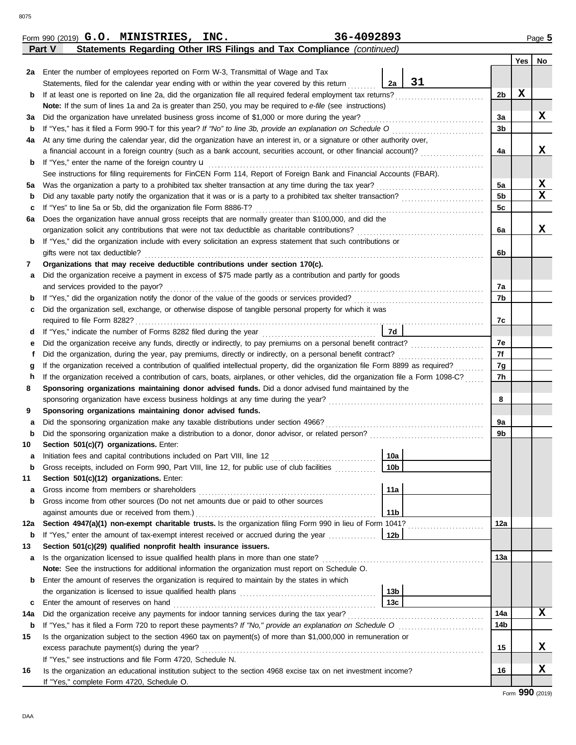|        | 36-4092893<br>Form 990 (2019) $G.O.$ MINISTRIES, INC.                                                                              |                 |    |                |     | Page 5      |
|--------|------------------------------------------------------------------------------------------------------------------------------------|-----------------|----|----------------|-----|-------------|
|        | Statements Regarding Other IRS Filings and Tax Compliance (continued)<br>Part V                                                    |                 |    |                |     |             |
|        |                                                                                                                                    |                 |    |                | Yes | No          |
| 2a     | Enter the number of employees reported on Form W-3, Transmittal of Wage and Tax                                                    |                 |    |                |     |             |
|        | Statements, filed for the calendar year ending with or within the year covered by this return                                      | 2a              | 31 |                |     |             |
| b      | If at least one is reported on line 2a, did the organization file all required federal employment tax returns?                     |                 |    | 2b             | X   |             |
|        | Note: If the sum of lines 1a and 2a is greater than 250, you may be required to e-file (see instructions)                          |                 |    |                |     |             |
| За     | Did the organization have unrelated business gross income of \$1,000 or more during the year?                                      |                 |    | 3a             |     | x           |
| b      | If "Yes," has it filed a Form 990-T for this year? If "No" to line 3b, provide an explanation on Schedule O                        |                 |    | 3b             |     |             |
| 4a     | At any time during the calendar year, did the organization have an interest in, or a signature or other authority over,            |                 |    |                |     |             |
|        | a financial account in a foreign country (such as a bank account, securities account, or other financial account)?                 |                 |    | 4a             |     | X           |
| b      | If "Yes," enter the name of the foreign country u                                                                                  |                 |    |                |     |             |
|        | See instructions for filing requirements for FinCEN Form 114, Report of Foreign Bank and Financial Accounts (FBAR).                |                 |    |                |     |             |
| 5a     | Was the organization a party to a prohibited tax shelter transaction at any time during the tax year?                              |                 |    | 5a             |     | X           |
| b      | Did any taxable party notify the organization that it was or is a party to a prohibited tax shelter transaction?                   |                 |    | 5 <sub>b</sub> |     | $\mathbf x$ |
| c      | If "Yes" to line 5a or 5b, did the organization file Form 8886-T?                                                                  |                 |    | 5c             |     |             |
| 6а     | Does the organization have annual gross receipts that are normally greater than \$100,000, and did the                             |                 |    |                |     |             |
|        | organization solicit any contributions that were not tax deductible as charitable contributions?                                   |                 |    | 6a             |     | x           |
| b      | If "Yes," did the organization include with every solicitation an express statement that such contributions or                     |                 |    |                |     |             |
|        | gifts were not tax deductible?                                                                                                     |                 |    | 6b             |     |             |
| 7      | Organizations that may receive deductible contributions under section 170(c).                                                      |                 |    |                |     |             |
| а      | Did the organization receive a payment in excess of \$75 made partly as a contribution and partly for goods                        |                 |    |                |     |             |
|        | and services provided to the payor?                                                                                                |                 |    | 7а             |     |             |
| b      |                                                                                                                                    |                 |    | 7b             |     |             |
| c      | Did the organization sell, exchange, or otherwise dispose of tangible personal property for which it was                           |                 |    |                |     |             |
| d      | If "Yes," indicate the number of Forms 8282 filed during the year                                                                  | 7d              |    | 7c             |     |             |
|        | Did the organization receive any funds, directly or indirectly, to pay premiums on a personal benefit contract?                    |                 |    | 7е             |     |             |
| е<br>f | Did the organization, during the year, pay premiums, directly or indirectly, on a personal benefit contract?                       |                 |    | 7f             |     |             |
| g      | If the organization received a contribution of qualified intellectual property, did the organization file Form 8899 as required?   |                 |    | 7g             |     |             |
| h      | If the organization received a contribution of cars, boats, airplanes, or other vehicles, did the organization file a Form 1098-C? |                 |    | 7h             |     |             |
| 8      | Sponsoring organizations maintaining donor advised funds. Did a donor advised fund maintained by the                               |                 |    |                |     |             |
|        |                                                                                                                                    |                 |    | 8              |     |             |
| 9      | Sponsoring organizations maintaining donor advised funds.                                                                          |                 |    |                |     |             |
| а      | Did the sponsoring organization make any taxable distributions under section 4966?                                                 |                 |    | 9a             |     |             |
| b      |                                                                                                                                    |                 |    | 9b             |     |             |
| 10     | Section 501(c)(7) organizations. Enter:                                                                                            |                 |    |                |     |             |
|        |                                                                                                                                    | 10a             |    |                |     |             |
| b      | Gross receipts, included on Form 990, Part VIII, line 12, for public use of club facilities                                        | 10 <sub>b</sub> |    |                |     |             |
| 11     | Section 501(c)(12) organizations. Enter:                                                                                           |                 |    |                |     |             |
| а      | Gross income from members or shareholders                                                                                          | 11a             |    |                |     |             |
| b      | Gross income from other sources (Do not net amounts due or paid to other sources                                                   |                 |    |                |     |             |
|        | against amounts due or received from them.)                                                                                        | 11 <sub>b</sub> |    |                |     |             |
| 12a    | Section 4947(a)(1) non-exempt charitable trusts. Is the organization filing Form 990 in lieu of Form 1041?                         |                 |    | 12a            |     |             |
| b      | If "Yes," enter the amount of tax-exempt interest received or accrued during the year                                              | 12b             |    |                |     |             |
| 13     | Section 501(c)(29) qualified nonprofit health insurance issuers.                                                                   |                 |    |                |     |             |
| а      | Is the organization licensed to issue qualified health plans in more than one state?                                               |                 |    | 13а            |     |             |
|        | Note: See the instructions for additional information the organization must report on Schedule O.                                  |                 |    |                |     |             |
| b      | Enter the amount of reserves the organization is required to maintain by the states in which                                       |                 |    |                |     |             |
|        |                                                                                                                                    | 13 <sub>b</sub> |    |                |     |             |
| c      | Enter the amount of reserves on hand                                                                                               | 13 <sub>c</sub> |    |                |     |             |
| 14a    | Did the organization receive any payments for indoor tanning services during the tax year?                                         |                 |    | 14a            |     | x           |
| b      |                                                                                                                                    |                 |    | 14b            |     |             |
| 15     | Is the organization subject to the section 4960 tax on payment(s) of more than \$1,000,000 in remuneration or                      |                 |    |                |     |             |
|        | excess parachute payment(s) during the year?                                                                                       |                 |    | 15             |     | x           |
|        | If "Yes," see instructions and file Form 4720, Schedule N.                                                                         |                 |    |                |     | X           |
| 16     | Is the organization an educational institution subject to the section 4968 excise tax on net investment income?                    |                 |    | 16             |     |             |
|        | If "Yes," complete Form 4720, Schedule O.                                                                                          |                 |    |                |     |             |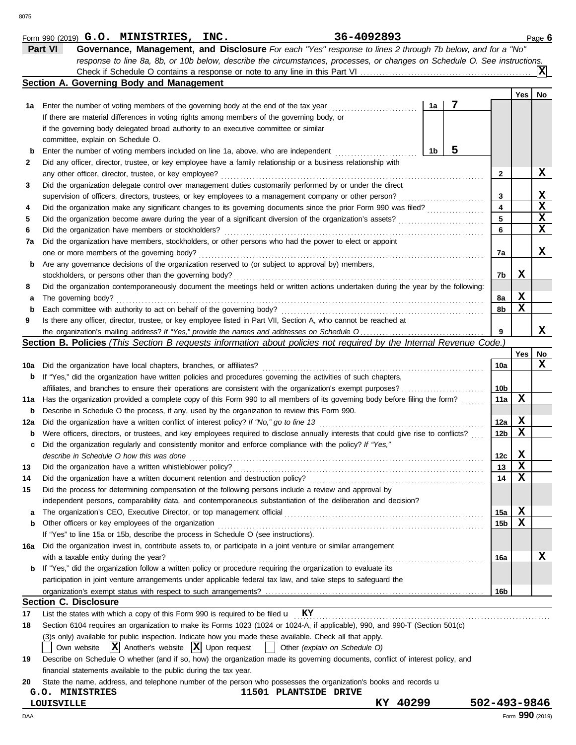|        | response to line 8a, 8b, or 10b below, describe the circumstances, processes, or changes on Schedule O. See instructions.                                                                    |    |   |                 |                 |                  |
|--------|----------------------------------------------------------------------------------------------------------------------------------------------------------------------------------------------|----|---|-----------------|-----------------|------------------|
|        |                                                                                                                                                                                              |    |   |                 |                 | ΙxΙ              |
|        | Section A. Governing Body and Management                                                                                                                                                     |    |   |                 |                 |                  |
|        |                                                                                                                                                                                              |    |   |                 | <b>Yes</b>      | No               |
| 1а     | Enter the number of voting members of the governing body at the end of the tax year                                                                                                          | 1a | 7 |                 |                 |                  |
|        | If there are material differences in voting rights among members of the governing body, or                                                                                                   |    |   |                 |                 |                  |
|        | if the governing body delegated broad authority to an executive committee or similar                                                                                                         |    |   |                 |                 |                  |
|        | committee, explain on Schedule O.                                                                                                                                                            |    |   |                 |                 |                  |
| b      | Enter the number of voting members included on line 1a, above, who are independent                                                                                                           | 1b | 5 |                 |                 |                  |
| 2      | Did any officer, director, trustee, or key employee have a family relationship or a business relationship with                                                                               |    |   |                 |                 |                  |
|        | any other officer, director, trustee, or key employee?                                                                                                                                       |    |   | 2               |                 | x                |
| 3      | Did the organization delegate control over management duties customarily performed by or under the direct                                                                                    |    |   |                 |                 |                  |
|        | supervision of officers, directors, trustees, or key employees to a management company or other person?                                                                                      |    | . | 3               |                 | x<br>$\mathbf x$ |
| 4      |                                                                                                                                                                                              |    |   | 4<br>5          |                 | X                |
| 5      |                                                                                                                                                                                              |    |   |                 |                 | $\mathbf x$      |
| 6      | Did the organization have members or stockholders?                                                                                                                                           |    |   | 6               |                 |                  |
| 7a     | Did the organization have members, stockholders, or other persons who had the power to elect or appoint                                                                                      |    |   |                 |                 | x                |
|        | one or more members of the governing body?                                                                                                                                                   |    |   | 7а              |                 |                  |
| b      | Are any governance decisions of the organization reserved to (or subject to approval by) members,                                                                                            |    |   |                 | X               |                  |
|        | stockholders, or persons other than the governing body?<br>Did the organization contemporaneously document the meetings held or written actions undertaken during the year by the following: |    |   | 7b              |                 |                  |
| 8      |                                                                                                                                                                                              |    |   |                 | x               |                  |
| а      | The governing body?                                                                                                                                                                          |    |   | 8а<br>8b        | X               |                  |
| b<br>9 | Each committee with authority to act on behalf of the governing body?<br>Is there any officer, director, trustee, or key employee listed in Part VII, Section A, who cannot be reached at    |    |   |                 |                 |                  |
|        |                                                                                                                                                                                              |    |   | 9               |                 | x                |
|        | Section B. Policies (This Section B requests information about policies not required by the Internal Revenue Code.)                                                                          |    |   |                 |                 |                  |
|        |                                                                                                                                                                                              |    |   |                 | Yes             | No               |
| 10a    | Did the organization have local chapters, branches, or affiliates?                                                                                                                           |    |   | 10a             |                 | X                |
| b      | If "Yes," did the organization have written policies and procedures governing the activities of such chapters,                                                                               |    |   |                 |                 |                  |
|        | affiliates, and branches to ensure their operations are consistent with the organization's exempt purposes?                                                                                  |    |   | 10b             |                 |                  |
| 11a    | Has the organization provided a complete copy of this Form 990 to all members of its governing body before filing the form?                                                                  |    |   | 11a             | х               |                  |
| b      | Describe in Schedule O the process, if any, used by the organization to review this Form 990.                                                                                                |    |   |                 |                 |                  |
| 12a    | Did the organization have a written conflict of interest policy? If "No," go to line 13                                                                                                      |    |   | 12a             | X               |                  |
| b      | Were officers, directors, or trustees, and key employees required to disclose annually interests that could give rise to conflicts?                                                          |    |   | 12b             | X               |                  |
| c      | Did the organization regularly and consistently monitor and enforce compliance with the policy? If "Yes,"                                                                                    |    |   |                 |                 |                  |
|        | describe in Schedule O how this was done                                                                                                                                                     |    |   | 12c             | X               |                  |
| 13     |                                                                                                                                                                                              |    |   | 13              | $\mathbf x$     |                  |
|        | Did the organization have a written document retention and destruction policy?                                                                                                               |    |   | 14              | $\mathbf x$     |                  |
| 15     | Did the process for determining compensation of the following persons include a review and approval by                                                                                       |    |   |                 |                 |                  |
|        | independent persons, comparability data, and contemporaneous substantiation of the deliberation and decision?                                                                                |    |   |                 |                 |                  |
| а      |                                                                                                                                                                                              |    |   | 15a             | X               |                  |
| b      | Other officers or key employees of the organization                                                                                                                                          |    |   | 15 <sub>b</sub> | X               |                  |
|        | If "Yes" to line 15a or 15b, describe the process in Schedule O (see instructions).                                                                                                          |    |   |                 |                 |                  |
| 16a    | Did the organization invest in, contribute assets to, or participate in a joint venture or similar arrangement                                                                               |    |   |                 |                 |                  |
|        | with a taxable entity during the year?                                                                                                                                                       |    |   | 16a             |                 | x                |
| b      | If "Yes," did the organization follow a written policy or procedure requiring the organization to evaluate its                                                                               |    |   |                 |                 |                  |
|        | participation in joint venture arrangements under applicable federal tax law, and take steps to safeguard the                                                                                |    |   |                 |                 |                  |
|        |                                                                                                                                                                                              |    |   | 16 <sub>b</sub> |                 |                  |
|        | <b>Section C. Disclosure</b>                                                                                                                                                                 |    |   |                 |                 |                  |
| 17     | List the states with which a copy of this Form 990 is required to be filed $\mathbf{u}$ KY                                                                                                   |    |   |                 |                 |                  |
| 18     | Section 6104 requires an organization to make its Forms 1023 (1024 or 1024-A, if applicable), 990, and 990-T (Section 501(c)                                                                 |    |   |                 |                 |                  |
|        | (3)s only) available for public inspection. Indicate how you made these available. Check all that apply.                                                                                     |    |   |                 |                 |                  |
|        | Own website $ \mathbf{X} $ Another's website $ \mathbf{X} $ Upon request<br>  Other (explain on Schedule O)                                                                                  |    |   |                 |                 |                  |
| 19     | Describe on Schedule O whether (and if so, how) the organization made its governing documents, conflict of interest policy, and                                                              |    |   |                 |                 |                  |
|        | financial statements available to the public during the tax year.                                                                                                                            |    |   |                 |                 |                  |
| 20     | State the name, address, and telephone number of the person who possesses the organization's books and records u                                                                             |    |   |                 |                 |                  |
|        | 11501 PLANTSIDE DRIVE<br>G.O. MINISTRIES                                                                                                                                                     |    |   |                 |                 |                  |
|        | KY 40299<br>LOUISVILLE                                                                                                                                                                       |    |   | 502-493-9846    |                 |                  |
| DAA    |                                                                                                                                                                                              |    |   |                 | Form 990 (2019) |                  |
|        |                                                                                                                                                                                              |    |   |                 |                 |                  |

Form 990 (2019) Page **6 G.O. MINISTRIES, INC. 36-4092893 Part VI Governance, Management, and Disclosure** *For each "Yes" response to lines 2 through 7b below, and for a "No"*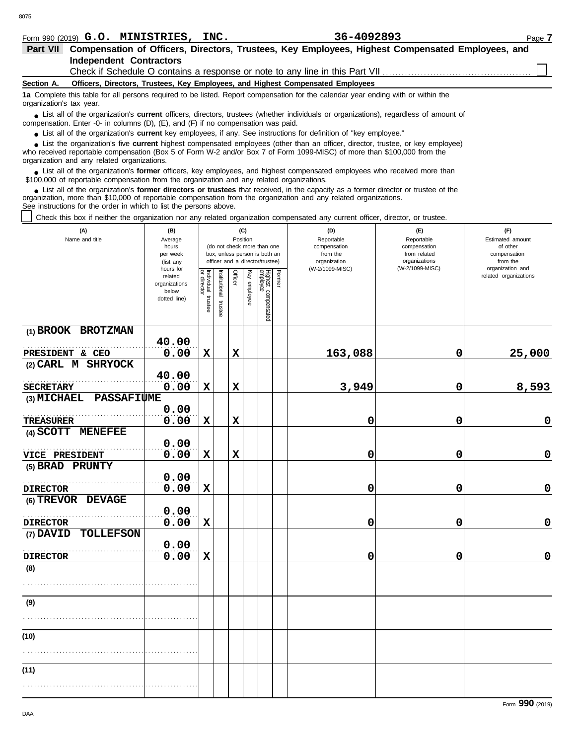|                 | Form 990 (2019) G.O. MINISTRIES, INC.                                           | 36-4092893                                                                                       | Page $\overline{I}$ |
|-----------------|---------------------------------------------------------------------------------|--------------------------------------------------------------------------------------------------|---------------------|
| <b>Part VII</b> |                                                                                 | Compensation of Officers, Directors, Trustees, Key Employees, Highest Compensated Employees, and |                     |
|                 | Independent Contractors                                                         |                                                                                                  |                     |
|                 |                                                                                 | Check if Schedule O contains a response or note to any line in this Part VII                     |                     |
| Section A.      | Officers, Directors, Trustees, Key Employees, and Highest Compensated Employees |                                                                                                  |                     |

**1a** Complete this table for all persons required to be listed. Report compensation for the calendar year ending with or within the organization's tax year.

■ List all of the organization's **current** officers, directors, trustees (whether individuals or organizations), regardless of amount of the columns (D) (E) and (E) if no compensation was paid compensation. Enter -0- in columns (D), (E), and (F) if no compensation was paid.

● List all of the organization's **current** key employees, if any. See instructions for definition of "key employee."

■ List the organization's five **current** highest compensated employees (other than an officer, director, trustee, or key employee)<br> **•** Preceived reportable compensation (Box 5 of Form *M*, 2 and/or Box 7 of Form 1000 MIS

who received reportable compensation (Box 5 of Form W-2 and/or Box 7 of Form 1099-MISC) of more than \$100,000 from the organization and any related organizations.

■ List all of the organization's **former** officers, key employees, and highest compensated employees who received more than<br> **•** 00.000 of reportable compensation from the ergonization and any related ergonizations \$100,000 of reportable compensation from the organization and any related organizations.

List all of the organization's **former directors or trustees** that received, in the capacity as a former director or trustee of the • List all of the organization's former directors or trustees that received, in the capacity as a former director organization, more than \$10,000 of reportable compensation from the organization and any related organizatio See instructions for the order in which to list the persons above.

Check this box if neither the organization nor any related organization compensated any current officer, director, or trustee.

| (A)<br>Name and title                            | (B)<br>Average<br>hours<br>per week<br>(list any               |                                   | (C)<br>Position<br>(do not check more than one<br>box, unless person is both an<br>officer and a director/trustee) |             |              |                                 |               | (D)<br>Reportable<br>compensation<br>from the<br>organization | (E)<br>Reportable<br>compensation<br>from related<br>organizations | (F)<br>Estimated amount<br>of other<br>compensation<br>from the<br>organization and |  |  |
|--------------------------------------------------|----------------------------------------------------------------|-----------------------------------|--------------------------------------------------------------------------------------------------------------------|-------------|--------------|---------------------------------|---------------|---------------------------------------------------------------|--------------------------------------------------------------------|-------------------------------------------------------------------------------------|--|--|
|                                                  | hours for<br>related<br>organizations<br>below<br>dotted line) | Individual trustee<br>or director | Institutional<br>trustee                                                                                           | Officer     | Key employee | Highest compensated<br>employee | <b>Former</b> | (W-2/1099-MISC)                                               | (W-2/1099-MISC)                                                    | related organizations                                                               |  |  |
| (1) BROOK BROTZMAN                               |                                                                |                                   |                                                                                                                    |             |              |                                 |               |                                                               |                                                                    |                                                                                     |  |  |
| PRESIDENT & CEO                                  | 40.00<br>0.00                                                  | $\mathbf x$                       |                                                                                                                    | $\mathbf x$ |              |                                 |               | 163,088                                                       | 0                                                                  | 25,000                                                                              |  |  |
| (2) CARL M SHRYOCK                               |                                                                |                                   |                                                                                                                    |             |              |                                 |               |                                                               |                                                                    |                                                                                     |  |  |
|                                                  | 40.00                                                          |                                   |                                                                                                                    |             |              |                                 |               |                                                               |                                                                    |                                                                                     |  |  |
| <b>SECRETARY</b>                                 | 0.00                                                           | $\mathbf x$                       |                                                                                                                    | $\mathbf x$ |              |                                 |               | 3,949                                                         | $\mathbf 0$                                                        | 8,593                                                                               |  |  |
| <b>PASSAFIUME</b><br>(3) MICHAEL                 |                                                                |                                   |                                                                                                                    |             |              |                                 |               |                                                               |                                                                    |                                                                                     |  |  |
|                                                  | 0.00                                                           |                                   |                                                                                                                    |             |              |                                 |               |                                                               |                                                                    |                                                                                     |  |  |
| <b>TREASURER</b>                                 | 0.00                                                           | $\mathbf x$                       |                                                                                                                    | $\mathbf x$ |              |                                 |               | 0                                                             | 0                                                                  | $\mathbf 0$                                                                         |  |  |
| (4) SCOTT MENEFEE                                | 0.00                                                           |                                   |                                                                                                                    |             |              |                                 |               |                                                               |                                                                    |                                                                                     |  |  |
| VICE PRESIDENT                                   | 0.00                                                           | $\mathbf x$                       |                                                                                                                    | $\mathbf x$ |              |                                 |               | 0                                                             | 0                                                                  | $\pmb{0}$                                                                           |  |  |
| (5) BRAD PRUNTY                                  |                                                                |                                   |                                                                                                                    |             |              |                                 |               |                                                               |                                                                    |                                                                                     |  |  |
|                                                  | 0.00                                                           |                                   |                                                                                                                    |             |              |                                 |               |                                                               |                                                                    |                                                                                     |  |  |
| <b>DIRECTOR</b>                                  | 0.00                                                           | $\mathbf x$                       |                                                                                                                    |             |              |                                 |               | 0                                                             | $\mathbf 0$                                                        | $\mathbf 0$                                                                         |  |  |
| (6) TREVOR DEVAGE                                |                                                                |                                   |                                                                                                                    |             |              |                                 |               |                                                               |                                                                    |                                                                                     |  |  |
|                                                  | 0.00                                                           |                                   |                                                                                                                    |             |              |                                 |               |                                                               |                                                                    | $\mathbf 0$                                                                         |  |  |
| <b>DIRECTOR</b><br><b>TOLLEFSON</b><br>(7) DAVID | 0.00                                                           | $\mathbf x$                       |                                                                                                                    |             |              |                                 |               | 0                                                             | 0                                                                  |                                                                                     |  |  |
|                                                  | 0.00                                                           |                                   |                                                                                                                    |             |              |                                 |               |                                                               |                                                                    |                                                                                     |  |  |
| <b>DIRECTOR</b>                                  | 0.00                                                           | $\mathbf x$                       |                                                                                                                    |             |              |                                 |               | 0                                                             | 0                                                                  | $\mathbf 0$                                                                         |  |  |
| (8)                                              |                                                                |                                   |                                                                                                                    |             |              |                                 |               |                                                               |                                                                    |                                                                                     |  |  |
|                                                  |                                                                |                                   |                                                                                                                    |             |              |                                 |               |                                                               |                                                                    |                                                                                     |  |  |
| (9)                                              |                                                                |                                   |                                                                                                                    |             |              |                                 |               |                                                               |                                                                    |                                                                                     |  |  |
|                                                  |                                                                |                                   |                                                                                                                    |             |              |                                 |               |                                                               |                                                                    |                                                                                     |  |  |
|                                                  |                                                                |                                   |                                                                                                                    |             |              |                                 |               |                                                               |                                                                    |                                                                                     |  |  |
| (10)                                             |                                                                |                                   |                                                                                                                    |             |              |                                 |               |                                                               |                                                                    |                                                                                     |  |  |
|                                                  |                                                                |                                   |                                                                                                                    |             |              |                                 |               |                                                               |                                                                    |                                                                                     |  |  |
| (11)                                             |                                                                |                                   |                                                                                                                    |             |              |                                 |               |                                                               |                                                                    |                                                                                     |  |  |
|                                                  |                                                                |                                   |                                                                                                                    |             |              |                                 |               |                                                               |                                                                    |                                                                                     |  |  |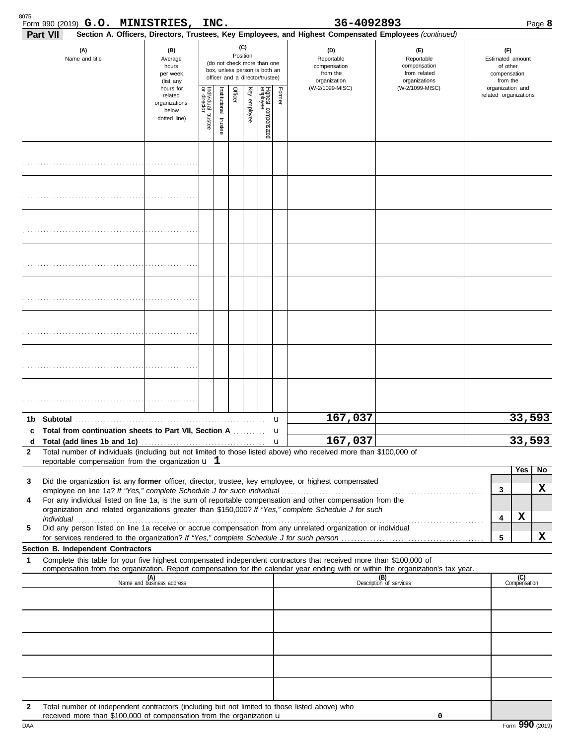| Form 990 (2019) G.O. MINISTRIES, INC.<br>Part VII                                                                                                                                                                         |                                                                |                                   |                          |         |                 |                                                                                                 |        | 36-4092893<br>Section A. Officers, Directors, Trustees, Key Employees, and Highest Compensated Employees (continued) |                                                                    |                                                                 |                       | Page 8 |
|---------------------------------------------------------------------------------------------------------------------------------------------------------------------------------------------------------------------------|----------------------------------------------------------------|-----------------------------------|--------------------------|---------|-----------------|-------------------------------------------------------------------------------------------------|--------|----------------------------------------------------------------------------------------------------------------------|--------------------------------------------------------------------|-----------------------------------------------------------------|-----------------------|--------|
| (A)<br>Name and title                                                                                                                                                                                                     | (B)<br>Average<br>hours<br>per week<br>(list any               |                                   |                          |         | (C)<br>Position | (do not check more than one<br>box, unless person is both an<br>officer and a director/trustee) |        | (D)<br>Reportable<br>compensation<br>from the<br>organization                                                        | (E)<br>Reportable<br>compensation<br>from related<br>organizations | (F)<br>Estimated amount<br>of other<br>compensation<br>from the |                       |        |
|                                                                                                                                                                                                                           | hours for<br>related<br>organizations<br>below<br>dotted line) | Individual trustee<br>or director | Institutional<br>trustee | Officer | Key employee    | Highest compensated<br>employee                                                                 | Former | (W-2/1099-MISC)                                                                                                      | (W-2/1099-MISC)                                                    | organization and                                                | related organizations |        |
|                                                                                                                                                                                                                           |                                                                |                                   |                          |         |                 |                                                                                                 |        |                                                                                                                      |                                                                    |                                                                 |                       |        |
|                                                                                                                                                                                                                           |                                                                |                                   |                          |         |                 |                                                                                                 |        |                                                                                                                      |                                                                    |                                                                 |                       |        |
|                                                                                                                                                                                                                           |                                                                |                                   |                          |         |                 |                                                                                                 |        |                                                                                                                      |                                                                    |                                                                 |                       |        |
|                                                                                                                                                                                                                           |                                                                |                                   |                          |         |                 |                                                                                                 |        |                                                                                                                      |                                                                    |                                                                 |                       |        |
|                                                                                                                                                                                                                           |                                                                |                                   |                          |         |                 |                                                                                                 |        |                                                                                                                      |                                                                    |                                                                 |                       |        |
|                                                                                                                                                                                                                           |                                                                |                                   |                          |         |                 |                                                                                                 |        |                                                                                                                      |                                                                    |                                                                 |                       |        |
|                                                                                                                                                                                                                           |                                                                |                                   |                          |         |                 |                                                                                                 |        |                                                                                                                      |                                                                    |                                                                 |                       |        |
|                                                                                                                                                                                                                           |                                                                |                                   |                          |         |                 |                                                                                                 |        |                                                                                                                      |                                                                    |                                                                 |                       |        |
| c Total from continuation sheets to Part VII, Section A                                                                                                                                                                   |                                                                |                                   |                          |         |                 |                                                                                                 | u<br>u | 167,037                                                                                                              |                                                                    |                                                                 | 33,593                |        |
| d<br>Total number of individuals (including but not limited to those listed above) who received more than \$100,000 of<br>2                                                                                               |                                                                |                                   |                          |         |                 |                                                                                                 | u      | 167,037                                                                                                              |                                                                    |                                                                 | 33,593                |        |
| reportable compensation from the organization $\mathbf u$ 1                                                                                                                                                               |                                                                |                                   |                          |         |                 |                                                                                                 |        |                                                                                                                      |                                                                    |                                                                 | Yes                   | No.    |
| Did the organization list any former officer, director, trustee, key employee, or highest compensated<br>3                                                                                                                |                                                                |                                   |                          |         |                 |                                                                                                 |        |                                                                                                                      |                                                                    | 3                                                               |                       | X      |
| For any individual listed on line 1a, is the sum of reportable compensation and other compensation from the<br>4<br>organization and related organizations greater than \$150,000? If "Yes," complete Schedule J for such |                                                                |                                   |                          |         |                 |                                                                                                 |        |                                                                                                                      |                                                                    |                                                                 |                       |        |
| Did any person listed on line 1a receive or accrue compensation from any unrelated organization or individual<br>5                                                                                                        |                                                                |                                   |                          |         |                 |                                                                                                 |        |                                                                                                                      |                                                                    | 4                                                               | X                     |        |
|                                                                                                                                                                                                                           |                                                                |                                   |                          |         |                 |                                                                                                 |        |                                                                                                                      |                                                                    | 5                                                               |                       | X      |
| Section B. Independent Contractors<br>Complete this table for your five highest compensated independent contractors that received more than \$100,000 of<br>1                                                             |                                                                |                                   |                          |         |                 |                                                                                                 |        |                                                                                                                      |                                                                    |                                                                 |                       |        |
| compensation from the organization. Report compensation for the calendar year ending with or within the organization's tax year.                                                                                          | (A)<br>Name and business address                               |                                   |                          |         |                 |                                                                                                 |        |                                                                                                                      | (B)<br>Description of services                                     |                                                                 | (C)<br>Compensation   |        |
|                                                                                                                                                                                                                           |                                                                |                                   |                          |         |                 |                                                                                                 |        |                                                                                                                      |                                                                    |                                                                 |                       |        |
|                                                                                                                                                                                                                           |                                                                |                                   |                          |         |                 |                                                                                                 |        |                                                                                                                      |                                                                    |                                                                 |                       |        |
|                                                                                                                                                                                                                           |                                                                |                                   |                          |         |                 |                                                                                                 |        |                                                                                                                      |                                                                    |                                                                 |                       |        |
|                                                                                                                                                                                                                           |                                                                |                                   |                          |         |                 |                                                                                                 |        |                                                                                                                      |                                                                    |                                                                 |                       |        |
| Total number of independent contractors (including but not limited to those listed above) who<br>$\mathbf{2}$<br>received more than \$100,000 of compensation from the organization $\mathbf u$                           |                                                                |                                   |                          |         |                 |                                                                                                 |        |                                                                                                                      | 0                                                                  |                                                                 |                       |        |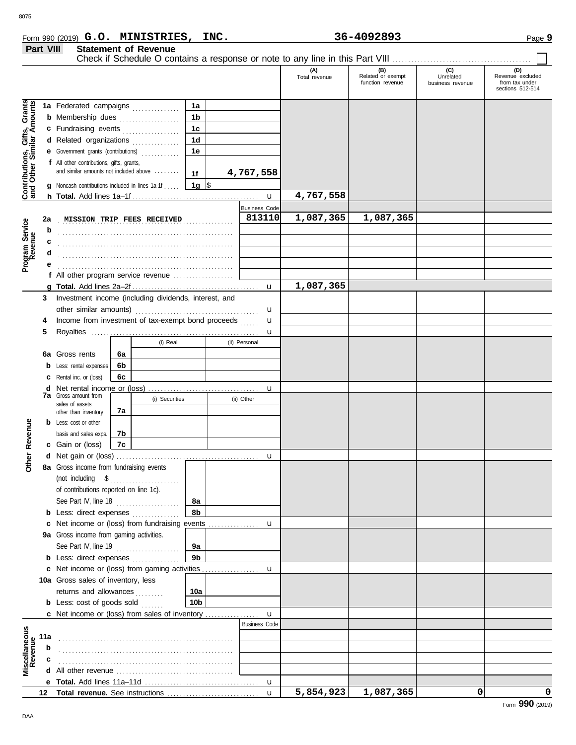## Form 990 (2019) Page **9**

|                                                           | Part VIII |                                                                       |    | <b>Statement of Revenue</b> |                 |                      | Check if Schedule O contains a response or note to any line in this Part VIII |                                       |                               |                                    |
|-----------------------------------------------------------|-----------|-----------------------------------------------------------------------|----|-----------------------------|-----------------|----------------------|-------------------------------------------------------------------------------|---------------------------------------|-------------------------------|------------------------------------|
|                                                           |           |                                                                       |    |                             |                 |                      | (A)                                                                           | (B)                                   | (C)                           | (D)                                |
|                                                           |           |                                                                       |    |                             |                 |                      | Total revenue                                                                 | Related or exempt<br>function revenue | Unrelated<br>business revenue | Revenue excluded<br>from tax under |
|                                                           |           |                                                                       |    |                             |                 |                      |                                                                               |                                       |                               | sections 512-514                   |
|                                                           |           | 1a Federated campaigns                                                |    |                             | 1a              |                      |                                                                               |                                       |                               |                                    |
| Contributions, Gifts, Grants<br>and Other Similar Amounts |           | <b>b</b> Membership dues                                              |    |                             | 1 <sub>b</sub>  |                      |                                                                               |                                       |                               |                                    |
|                                                           |           | c Fundraising events                                                  |    |                             | 1 <sub>c</sub>  |                      |                                                                               |                                       |                               |                                    |
|                                                           |           | d Related organizations                                               |    |                             | 1d              |                      |                                                                               |                                       |                               |                                    |
|                                                           |           | e Government grants (contributions)                                   |    |                             | 1e              |                      |                                                                               |                                       |                               |                                    |
|                                                           |           | f All other contributions, gifts, grants,                             |    |                             |                 |                      |                                                                               |                                       |                               |                                    |
|                                                           |           | and similar amounts not included above                                |    |                             | 1f              | 4,767,558            |                                                                               |                                       |                               |                                    |
|                                                           |           | <b>g</b> Noncash contributions included in lines 1a-1f                |    |                             | 1g $ \$$        |                      |                                                                               |                                       |                               |                                    |
|                                                           |           |                                                                       |    |                             |                 | $\mathbf u$          | 4,767,558                                                                     |                                       |                               |                                    |
|                                                           |           |                                                                       |    |                             |                 | <b>Business Code</b> |                                                                               |                                       |                               |                                    |
|                                                           | 2a        |                                                                       |    | MISSION TRIP FEES RECEIVED  |                 | 813110               | 1,087,365                                                                     | 1,087,365                             |                               |                                    |
|                                                           | b         |                                                                       |    |                             |                 |                      |                                                                               |                                       |                               |                                    |
|                                                           |           |                                                                       |    |                             |                 |                      |                                                                               |                                       |                               |                                    |
| Program Service<br>Revenue                                |           |                                                                       |    |                             |                 |                      |                                                                               |                                       |                               |                                    |
|                                                           |           |                                                                       |    |                             |                 |                      |                                                                               |                                       |                               |                                    |
|                                                           |           | f All other program service revenue                                   |    |                             |                 | $\mathbf{u}$         | 1,087,365                                                                     |                                       |                               |                                    |
|                                                           | 3         | Investment income (including dividends, interest, and                 |    |                             |                 |                      |                                                                               |                                       |                               |                                    |
|                                                           |           |                                                                       |    |                             |                 | u                    |                                                                               |                                       |                               |                                    |
|                                                           | 4         | Income from investment of tax-exempt bond proceeds                    |    |                             |                 | u                    |                                                                               |                                       |                               |                                    |
|                                                           | 5         |                                                                       |    |                             |                 | u                    |                                                                               |                                       |                               |                                    |
|                                                           |           |                                                                       |    | (i) Real                    |                 | (ii) Personal        |                                                                               |                                       |                               |                                    |
|                                                           | 6а        | Gross rents                                                           | 6a |                             |                 |                      |                                                                               |                                       |                               |                                    |
|                                                           |           | Less: rental expenses                                                 | 6b |                             |                 |                      |                                                                               |                                       |                               |                                    |
|                                                           |           | Rental inc. or (loss)                                                 | 6c |                             |                 |                      |                                                                               |                                       |                               |                                    |
|                                                           | d         | Net rental income or (loss)                                           |    |                             |                 | u                    |                                                                               |                                       |                               |                                    |
|                                                           |           | <b>7a</b> Gross amount from<br>sales of assets                        |    | (i) Securities              |                 | (ii) Other           |                                                                               |                                       |                               |                                    |
|                                                           |           | other than inventory                                                  | 7a |                             |                 |                      |                                                                               |                                       |                               |                                    |
|                                                           |           | <b>b</b> Less: cost or other                                          |    |                             |                 |                      |                                                                               |                                       |                               |                                    |
| Revenue                                                   |           | basis and sales exps.                                                 | 7b |                             |                 |                      |                                                                               |                                       |                               |                                    |
|                                                           |           | c Gain or (loss)                                                      | 7c |                             |                 |                      |                                                                               |                                       |                               |                                    |
| Other                                                     |           |                                                                       |    |                             |                 | u                    |                                                                               |                                       |                               |                                    |
|                                                           |           | 8a Gross income from fundraising events                               |    |                             |                 |                      |                                                                               |                                       |                               |                                    |
|                                                           |           | (not including $$$                                                    |    |                             |                 |                      |                                                                               |                                       |                               |                                    |
|                                                           |           | of contributions reported on line 1c).                                |    |                             |                 |                      |                                                                               |                                       |                               |                                    |
|                                                           |           | See Part IV, line 18                                                  |    |                             | 8а<br>8b        |                      |                                                                               |                                       |                               |                                    |
|                                                           | b         | Less: direct expenses<br>Net income or (loss) from fundraising events |    |                             |                 |                      |                                                                               |                                       |                               |                                    |
|                                                           | с         | 9a Gross income from gaming activities.                               |    |                             |                 | u                    |                                                                               |                                       |                               |                                    |
|                                                           |           | See Part IV, line 19                                                  |    |                             | 9a              |                      |                                                                               |                                       |                               |                                    |
|                                                           | b         | Less: direct expenses                                                 |    |                             | 9 <sub>b</sub>  |                      |                                                                               |                                       |                               |                                    |
|                                                           | c         |                                                                       |    |                             |                 | u                    |                                                                               |                                       |                               |                                    |
|                                                           |           | 10a Gross sales of inventory, less                                    |    |                             |                 |                      |                                                                               |                                       |                               |                                    |
|                                                           |           | returns and allowances                                                |    |                             | 10a             |                      |                                                                               |                                       |                               |                                    |
|                                                           |           | <b>b</b> Less: cost of goods sold                                     |    |                             | 10 <sub>b</sub> |                      |                                                                               |                                       |                               |                                    |
|                                                           |           |                                                                       |    |                             |                 | u                    |                                                                               |                                       |                               |                                    |
|                                                           |           |                                                                       |    |                             |                 | <b>Business Code</b> |                                                                               |                                       |                               |                                    |
| Miscellaneous<br>Revenue                                  | 11a       |                                                                       |    |                             |                 |                      |                                                                               |                                       |                               |                                    |
|                                                           |           |                                                                       |    |                             |                 |                      |                                                                               |                                       |                               |                                    |
|                                                           |           |                                                                       |    |                             |                 |                      |                                                                               |                                       |                               |                                    |
|                                                           |           |                                                                       |    |                             |                 |                      |                                                                               |                                       |                               |                                    |
|                                                           |           |                                                                       |    |                             |                 |                      |                                                                               |                                       |                               |                                    |

**G.O. MINISTRIES, INC. 36-4092893**

u **5,854,923 1,087,365 0 0**

**Total revenue.** See instructions . . . . . . . . . . . . . . . . . . . . . . . . . . . . . **12**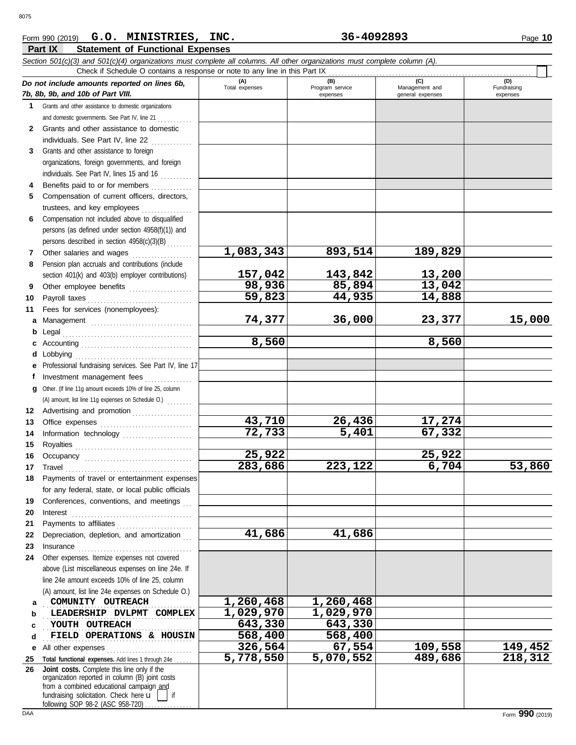### **Part IX Statement of Functional Expenses** Form 990 (2019) Page **10 G.O. MINISTRIES, INC. 36-4092893** *Section 501(c)(3) and 501(c)(4) organizations must complete all columns. All other organizations must complete column (A). Do not include amounts reported on lines 6b, 7b, 8b, 9b, and 10b of Part VIII.* **1 2 3** Grants and other assistance to foreign **4 5 6 7 8 9** Other employee benefits **constants 10 11 a** Management ................................ **b** Legal . . . . . . . . . . . . . . . . . . . . . . . . . . . . . . . . . . . . . . . . . **c** Accounting . . . . . . . . . . . . . . . . . . . . . . . . . . . . . . . . . . . **d** Lobbying . . . . . . . . . . . . . . . . . . . . . . . . . . . . . . . . . . . . . **e** Professional fundraising services. See Part IV, line 17 Grants and other assistance to domestic organizations and domestic governments. See Part IV, line 21 . . . . . . . . . . . Grants and other assistance to domestic individuals. See Part IV, line 22 . . . . . . . . . . . . . organizations, foreign governments, and foreign individuals. See Part IV, lines 15 and 16 Benefits paid to or for members . . . . . . . . . . . . . Compensation of current officers, directors, trustees, and key employees . . . . . . . . . . . . . . . . Compensation not included above to disqualified persons (as defined under section 4958(f)(1)) and persons described in section 4958(c)(3)(B) . . . . . . . . Other salaries and wages ................... Pension plan accruals and contributions (include section 401(k) and 403(b) employer contributions) Payroll taxes . . . . . . . . . . . . . . . . . . . . . . . . . . . . . . . . . Fees for services (nonemployees): Investment management fees ................ **(A) (B) (C) (D)** Total expenses<br>
expenses<br>
Program service<br>
Program service<br>  $\frac{1}{2}$ <br>
Management and<br>
general expenses expenses general expenses (D)<br>Fundraising expenses Check if Schedule O contains a response or note to any line in this Part IX **1,083,343 893,514 189,829 157,042 143,842 13,200 98,936 85,894 13,042 59,823 44,935 14,888 74,377 36,000 23,377 15,000 8,560 8,560** 8075

**72,733 5,401 67,332**

**43,710 26,436 17,274**

**25,922 25,922**

**326,564 67,554 109,558 149,452**

**5,778,550 5,070,552 489,686 218,312**

**41,686 41,686**

**283,686 223,122 6,704 53,860**

**12** Advertising and promotion . . . . . . . . . . . . . . . . . **13 14 15 16** Occupancy . . . . . . . . . . . . . . . . . . . . . . . . . . . . . . . . . . **17 18 19 20 21 22** Depreciation, depletion, and amortization . . . Office expenses . . . . . . . . . . . . . . . . . . . . . . . . . . . . . Information technology ....................... Royalties . . . . . . . . . . . . . . . . . . . . . . . . . . . . . . . . . . . . . Travel . . . . . . . . . . . . . . . . . . . . . . . . . . . . . . . . . . . . . . . . Payments of travel or entertainment expenses for any federal, state, or local public officials Conferences, conventions, and meetings Interest . . . . . . . . . . . . . . . . . . . . . . . . . . . . . . . . . . . . . . Payments to affiliates . . . . . . . . . . . . . . . . . . . . . . . . (A) amount, list line 11g expenses on Schedule O.) . . . . . . . .

**g** Other. (If line 11g amount exceeds 10% of line 25, column

**23 24** Other expenses. Itemize expenses not covered **a b c** Insurance . . . . . . . . . . . . . . . . . . . . . . . . . . . . . . . . . . . . above (List miscellaneous expenses on line 24e. If line 24e amount exceeds 10% of line 25, column (A) amount, list line 24e expenses on Schedule O.) **COMUNITY OUTREACH 1,260,468 1,260,468 LEADERSHIP DVLPMT COMPLEX** 1,029,970 1,029,970 . . . . . . . . . . . . . . . . . . . . . . . . . . . . . . . . . . . . . . . . . . . . . . . **FIELD OPERATIONS & HOUSIN** 643,330 643,330<br> **FIELD OPERATIONS & HOUSIN** 568,400 568,400

**d e** All other expenses . . . . . . . . . . . . . . . . . . . . . . . . . . . **25 Total functional expenses.** Add lines 1 through 24e . . . . . **26 FIELD OPERATIONS & HOUSIN 568,400 568,400** 

fundraising solicitation. Check here  $\mathbf u$ organization reported in column (B) joint costs from a combined educational campaign and following SOP 98-2 (ASC 958-720) **Joint costs.** Complete this line only if the

**f**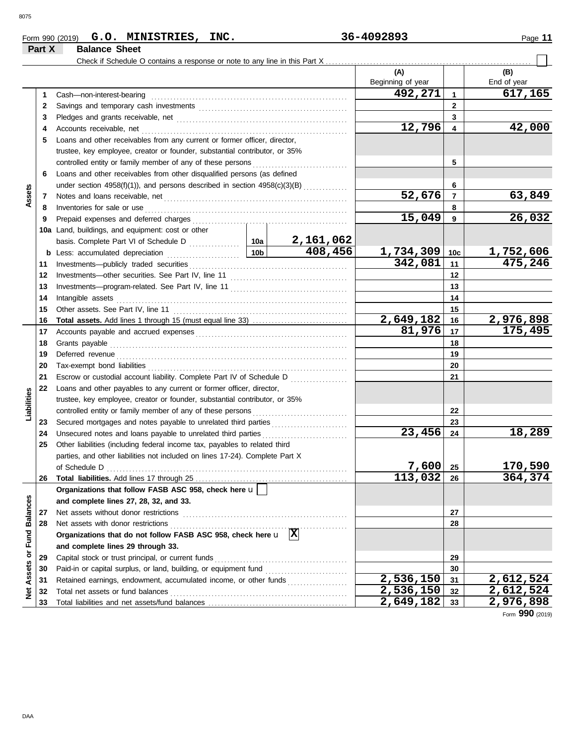| Form 990 (2019) | G.O. | MINISTRIES, | INC. | 36-4092893 | Page |
|-----------------|------|-------------|------|------------|------|
|                 |      |             |      |            |      |

#### **Part X Balance Sheet** Check if Schedule O contains a response or note to any line in this Part X **(A) (B)** Beginning of year | | End of year Cash—non-interest-bearing . . . . . . . . . . . . . . . . . . . . . . . . . . . . . . . . . . . . . . . . . . . . . . . . . . . . . . . . . . . . . . **492,271 617,165 1 1** Savings and temporary cash investments . . . . . . . . . . . . . . . . . . . . . . . . . . . . . . . . . . . . . . . . . . . . . . . **2 2 3 3** Pledges and grants receivable, net . . . . . . . . . . . . . . . . . . . . . . . . . . . . . . . . . . . . . . . . . . . . . . . . . . . . . . **12,796 42,000 4 4** Accounts receivable, net . . . . . . . . . . . . . . . . . . . . . . . . . . . . . . . . . . . . . . . . . . . . . . . . . . . . . . . . . . . . . . . . . **5** Loans and other receivables from any current or former officer, director, trustee, key employee, creator or founder, substantial contributor, or 35% controlled entity or family member of any of these persons . . . . . . . . . . . . . . . . . . . . . . . . . . . . . . **5 6** Loans and other receivables from other disqualified persons (as defined **6** under section  $4958(f)(1)$ , and persons described in section  $4958(c)(3)(B)$  ............. **Assets 52,676 63,849 7 7** Notes and loans receivable, net . . . . . . . . . . . . . . . . . . . . . . . . . . . . . . . . . . . . . . . . . . . . . . . . . . . . . . . . . . Inventories for sale or use . . . . . . . . . . . . . . . . . . . . . . . . . . . . . . . . . . . . . . . . . . . . . . . . . . . . . . . . . . . . . . . . **8 8** Prepaid expenses and deferred charges . . . . . . . . . . . . . . . . . . . . . . . . . . . . . . . . . . . . . . . . . . . . . . . . . **15,049 26,032 9 9 10a** Land, buildings, and equipment: cost or other basis. Complete Part VI of Schedule D ................. **10a 2,161,062 408,456 1,734,309 1,752,606 10c b** Less: accumulated depreciation . . . . . . . . . . . . . . . . . . . . . . . **10b** Investments—publicly traded securities . . . . . . . . . . . . . . . . . . . . . . . . . . . . . . . . . . . . . . . . . . . . . . . . . . **11 342,081 475,246 11** Investments—other securities. See Part IV, line 11 . . . . . . . . . . . . . . . . . . . . . . . . . . . . . . . . . . . . . **12 12 13** Investments—program-related. See Part IV, line 11 . . . . . . . . . . . . . . . . . . . . . . . . . . . . . . . . . . . . . **13 14** Intangible assets . . . . . . . . . . . . . . . . . . . . . . . . . . . . . . . . . . . . . . . . . . . . . . . . . . . . . . . . . . . . . . . . . . . . . . . . . **14** Other assets. See Part IV, line 11 . . . . . . . . . . . . . . . . . . . . . . . . . . . . . . . . . . . . . . . . . . . . . . . . . . . . . . . **15 15 2,649,182 2,976,898 Total assets.** Add lines 1 through 15 (must equal line 33) . . . . . . . . . . . . . . . . . . . . . . . . . . . . . . **16 16 81,976 175,495 17** Accounts payable and accrued expenses . . . . . . . . . . . . . . . . . . . . . . . . . . . . . . . . . . . . . . . . . . . . . . . . **17 18** Grants payable . . . . . . . . . . . . . . . . . . . . . . . . . . . . . . . . . . . . . . . . . . . . . . . . . . . . . . . . . . . . . . . . . . . . . . . . . . . **18** Deferred revenue . . . . . . . . . . . . . . . . . . . . . . . . . . . . . . . . . . . . . . . . . . . . . . . . . . . . . . . . . . . . . . . . . . . . . . . . . **19 19** Tax-exempt bond liabilities . . . . . . . . . . . . . . . . . . . . . . . . . . . . . . . . . . . . . . . . . . . . . . . . . . . . . . . . . . . . . . . **20 20** Escrow or custodial account liability. Complete Part IV of Schedule D . . . . . . . . . . . . . . . . . . **21 21 22** Loans and other payables to any current or former officer, director, **Liabilities** trustee, key employee, creator or founder, substantial contributor, or 35% **22** controlled entity or family member of any of these persons Secured mortgages and notes payable to unrelated third parties ........................ **23 23** Unsecured notes and loans payable to unrelated third parties . . . . . . . . . . . . . . . . . . . . . . . . . . . **23,456 18,289 24 24 25** Other liabilities (including federal income tax, payables to related third parties, and other liabilities not included on lines 17-24). Complete Part X **7,600 170,590** of Schedule D . . . . . . . . . . . . . . . . . . . . . . . . . . . . . . . . . . . . . . . . . . . . . . . . . . . . . . . . . . . . . . . . . . . . . . . . . . . . **25 113,032 364,374 26** Total liabilities. Add lines 17 through 25 **26 Organizations that follow FASB ASC 958, check here** u **Balances Net Assets or Fund Balances and complete lines 27, 28, 32, and 33. 27** Net assets without donor restrictions . . . . . . . . . . . . . . . . . . . . . . . . . . . . . . . . . . . . . . . . . . . . . . . . . . . . **27** Net assets with donor restrictions . . . . . . . . . . . . . . . . . . . . . . . . . . . . . . . . . . . . . . . . . . . . . . . . . . . . . . . . **28 28** Net Assets or Fund **Organizations that do not follow FASB ASC 958, check here** u **X and complete lines 29 through 33.** Capital stock or trust principal, or current funds . . . . . . . . . . . . . . . . . . . . . . . . . . . . . . . . . . . . . . . . . . **29 29** Paid-in or capital surplus, or land, building, or equipment fund ........................... **30 30 2,536,150 2,612,524** Retained earnings, endowment, accumulated income, or other funds . . . . . . . . . . . . . . . . . . . **31 31** Total net assets or fund balances . . . . . . . . . . . . . . . . . . . . . . . . . . . . . . . . . . . . . . . . . . . . . . . . . . . . . . . . **2,536,150 2,612,524 32 32** Total liabilities and net assets/fund balances ... **2,649,182 2,976,898 33 33**

Form **990** (2019)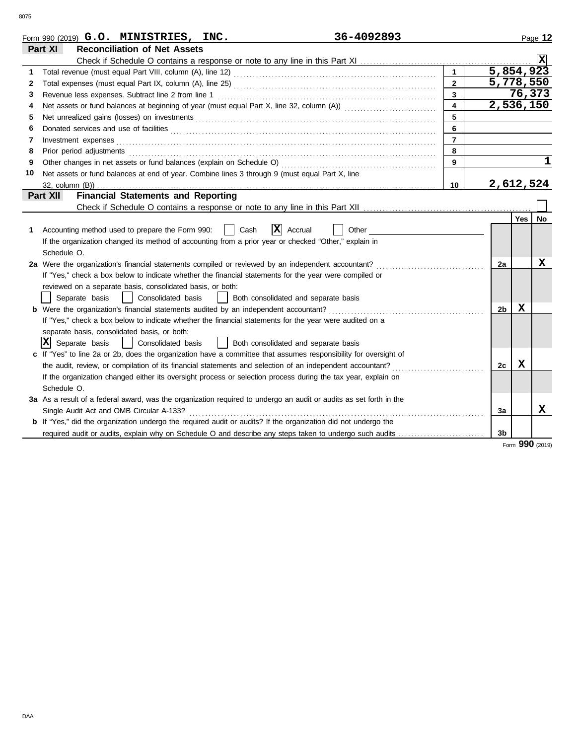|    | 36-4092893<br>Form 990 (2019) $G.O.$ MINISTRIES, INC.                                                                                                                                                                               |                         |                |     | Page 12      |
|----|-------------------------------------------------------------------------------------------------------------------------------------------------------------------------------------------------------------------------------------|-------------------------|----------------|-----|--------------|
|    | <b>Reconciliation of Net Assets</b><br>Part XI                                                                                                                                                                                      |                         |                |     |              |
|    |                                                                                                                                                                                                                                     |                         |                |     |              |
| 1  |                                                                                                                                                                                                                                     | $\mathbf{1}$            | 5,854,923      |     |              |
| 2  |                                                                                                                                                                                                                                     | $\overline{2}$          | 5,778,550      |     |              |
| 3  | Revenue less expenses. Subtract line 2 from line 1                                                                                                                                                                                  | $\mathbf{3}$            |                |     | 76,373       |
| 4  |                                                                                                                                                                                                                                     | $\overline{\mathbf{4}}$ | 2,536,150      |     |              |
| 5  |                                                                                                                                                                                                                                     | 5                       |                |     |              |
| 6  | Donated services and use of facilities <b>constructs</b> and a service of the service of the service of the service of the service of the service of the service of the service of the service of the service of the service of the | 6                       |                |     |              |
| 7  | Investment expenses                                                                                                                                                                                                                 | $\overline{7}$          |                |     |              |
| 8  | Prior period adjustments entertainments and adjustments and account of the contract of the contract of the contract of the contract of the contract of the contract of the contract of the contract of the contract of the con      | 8                       |                |     |              |
| 9  | Other changes in net assets or fund balances (explain on Schedule O)                                                                                                                                                                | $\mathbf{9}$            |                |     | $\mathbf{1}$ |
| 10 | Net assets or fund balances at end of year. Combine lines 3 through 9 (must equal Part X, line                                                                                                                                      |                         |                |     |              |
|    | $32$ , column $(B)$ )                                                                                                                                                                                                               | 10                      | 2,612,524      |     |              |
|    | <b>Financial Statements and Reporting</b><br>Part XII                                                                                                                                                                               |                         |                |     |              |
|    |                                                                                                                                                                                                                                     |                         |                |     |              |
|    |                                                                                                                                                                                                                                     |                         |                | Yes | No           |
| 1  | $ {\bf x} $<br>Accounting method used to prepare the Form 990:<br>Cash<br>Accrual<br>Other                                                                                                                                          |                         |                |     |              |
|    | If the organization changed its method of accounting from a prior year or checked "Other," explain in                                                                                                                               |                         |                |     |              |
|    | Schedule O.                                                                                                                                                                                                                         |                         |                |     |              |
|    | 2a Were the organization's financial statements compiled or reviewed by an independent accountant?                                                                                                                                  |                         | 2a             |     | X            |
|    | If "Yes," check a box below to indicate whether the financial statements for the year were compiled or                                                                                                                              |                         |                |     |              |
|    | reviewed on a separate basis, consolidated basis, or both:                                                                                                                                                                          |                         |                |     |              |
|    | Separate basis<br>  Consolidated basis<br>  Both consolidated and separate basis                                                                                                                                                    |                         |                |     |              |
|    | <b>b</b> Were the organization's financial statements audited by an independent accountant?                                                                                                                                         |                         | 2 <sub>b</sub> | x   |              |
|    | If "Yes," check a box below to indicate whether the financial statements for the year were audited on a                                                                                                                             |                         |                |     |              |
|    | separate basis, consolidated basis, or both:                                                                                                                                                                                        |                         |                |     |              |
|    | $ \mathbf{X} $ Separate basis<br>  Consolidated basis<br>Both consolidated and separate basis                                                                                                                                       |                         |                |     |              |
|    | c If "Yes" to line 2a or 2b, does the organization have a committee that assumes responsibility for oversight of                                                                                                                    |                         |                |     |              |
|    | the audit, review, or compilation of its financial statements and selection of an independent accountant?                                                                                                                           |                         | 2c             | X   |              |
|    | If the organization changed either its oversight process or selection process during the tax year, explain on                                                                                                                       |                         |                |     |              |
|    | Schedule O.                                                                                                                                                                                                                         |                         |                |     |              |
|    | 3a As a result of a federal award, was the organization required to undergo an audit or audits as set forth in the                                                                                                                  |                         |                |     |              |
|    | Single Audit Act and OMB Circular A-133?                                                                                                                                                                                            |                         | 3a             |     | X            |
|    | <b>b</b> If "Yes," did the organization undergo the required audit or audits? If the organization did not undergo the                                                                                                               |                         |                |     |              |
|    | required audit or audits, explain why on Schedule O and describe any steps taken to undergo such audits                                                                                                                             |                         | 3 <sub>b</sub> |     |              |

Form **990** (2019)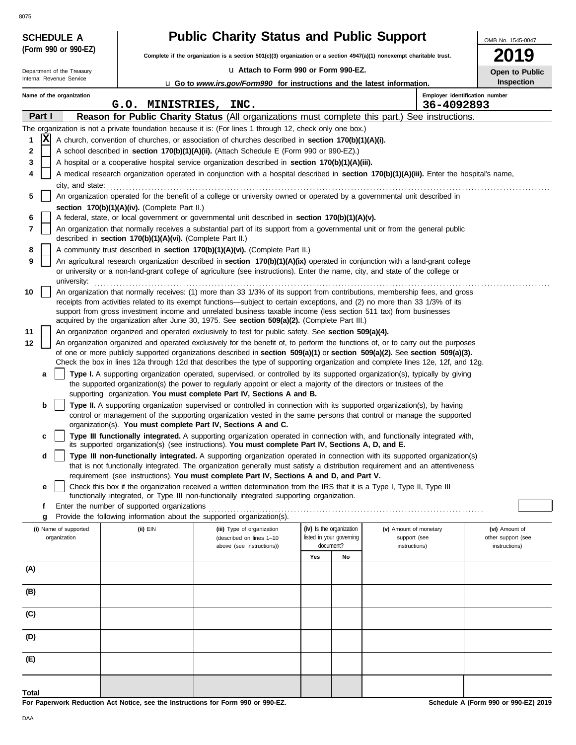| (Form 990 or 990-EZ)<br>9<br>Complete if the organization is a section 501(c)(3) organization or a section 4947(a)(1) nonexempt charitable trust.<br>u Attach to Form 990 or Form 990-EZ.<br>Department of the Treasury<br>Open to Public<br>Internal Revenue Service<br><b>Inspection</b><br><b>u</b> Go to www.irs.gov/Form990 for instructions and the latest information.<br>Employer identification number<br>Name of the organization<br>36-4092893<br>G.O. MINISTRIES, INC.<br>Reason for Public Charity Status (All organizations must complete this part.) See instructions.<br>Part I<br>The organization is not a private foundation because it is: (For lines 1 through 12, check only one box.)<br>$\overline{\mathbf{x}}$<br>A church, convention of churches, or association of churches described in section 170(b)(1)(A)(i).<br>1<br>A school described in section 170(b)(1)(A)(ii). (Attach Schedule E (Form 990 or 990-EZ).)<br>2<br>3<br>A hospital or a cooperative hospital service organization described in section 170(b)(1)(A)(iii).<br>A medical research organization operated in conjunction with a hospital described in section 170(b)(1)(A)(iii). Enter the hospital's name,<br>city, and state:<br>5<br>An organization operated for the benefit of a college or university owned or operated by a governmental unit described in<br>section 170(b)(1)(A)(iv). (Complete Part II.)<br>A federal, state, or local government or governmental unit described in section 170(b)(1)(A)(v).<br>6 |
|------------------------------------------------------------------------------------------------------------------------------------------------------------------------------------------------------------------------------------------------------------------------------------------------------------------------------------------------------------------------------------------------------------------------------------------------------------------------------------------------------------------------------------------------------------------------------------------------------------------------------------------------------------------------------------------------------------------------------------------------------------------------------------------------------------------------------------------------------------------------------------------------------------------------------------------------------------------------------------------------------------------------------------------------------------------------------------------------------------------------------------------------------------------------------------------------------------------------------------------------------------------------------------------------------------------------------------------------------------------------------------------------------------------------------------------------------------------------------------------------------------------------------|
|                                                                                                                                                                                                                                                                                                                                                                                                                                                                                                                                                                                                                                                                                                                                                                                                                                                                                                                                                                                                                                                                                                                                                                                                                                                                                                                                                                                                                                                                                                                              |
|                                                                                                                                                                                                                                                                                                                                                                                                                                                                                                                                                                                                                                                                                                                                                                                                                                                                                                                                                                                                                                                                                                                                                                                                                                                                                                                                                                                                                                                                                                                              |
|                                                                                                                                                                                                                                                                                                                                                                                                                                                                                                                                                                                                                                                                                                                                                                                                                                                                                                                                                                                                                                                                                                                                                                                                                                                                                                                                                                                                                                                                                                                              |
|                                                                                                                                                                                                                                                                                                                                                                                                                                                                                                                                                                                                                                                                                                                                                                                                                                                                                                                                                                                                                                                                                                                                                                                                                                                                                                                                                                                                                                                                                                                              |
|                                                                                                                                                                                                                                                                                                                                                                                                                                                                                                                                                                                                                                                                                                                                                                                                                                                                                                                                                                                                                                                                                                                                                                                                                                                                                                                                                                                                                                                                                                                              |
|                                                                                                                                                                                                                                                                                                                                                                                                                                                                                                                                                                                                                                                                                                                                                                                                                                                                                                                                                                                                                                                                                                                                                                                                                                                                                                                                                                                                                                                                                                                              |
|                                                                                                                                                                                                                                                                                                                                                                                                                                                                                                                                                                                                                                                                                                                                                                                                                                                                                                                                                                                                                                                                                                                                                                                                                                                                                                                                                                                                                                                                                                                              |
|                                                                                                                                                                                                                                                                                                                                                                                                                                                                                                                                                                                                                                                                                                                                                                                                                                                                                                                                                                                                                                                                                                                                                                                                                                                                                                                                                                                                                                                                                                                              |
|                                                                                                                                                                                                                                                                                                                                                                                                                                                                                                                                                                                                                                                                                                                                                                                                                                                                                                                                                                                                                                                                                                                                                                                                                                                                                                                                                                                                                                                                                                                              |
|                                                                                                                                                                                                                                                                                                                                                                                                                                                                                                                                                                                                                                                                                                                                                                                                                                                                                                                                                                                                                                                                                                                                                                                                                                                                                                                                                                                                                                                                                                                              |
|                                                                                                                                                                                                                                                                                                                                                                                                                                                                                                                                                                                                                                                                                                                                                                                                                                                                                                                                                                                                                                                                                                                                                                                                                                                                                                                                                                                                                                                                                                                              |
|                                                                                                                                                                                                                                                                                                                                                                                                                                                                                                                                                                                                                                                                                                                                                                                                                                                                                                                                                                                                                                                                                                                                                                                                                                                                                                                                                                                                                                                                                                                              |
|                                                                                                                                                                                                                                                                                                                                                                                                                                                                                                                                                                                                                                                                                                                                                                                                                                                                                                                                                                                                                                                                                                                                                                                                                                                                                                                                                                                                                                                                                                                              |
| An organization that normally receives a substantial part of its support from a governmental unit or from the general public<br>7<br>described in section 170(b)(1)(A)(vi). (Complete Part II.)                                                                                                                                                                                                                                                                                                                                                                                                                                                                                                                                                                                                                                                                                                                                                                                                                                                                                                                                                                                                                                                                                                                                                                                                                                                                                                                              |
| A community trust described in section 170(b)(1)(A)(vi). (Complete Part II.)<br>8<br>9<br>An agricultural research organization described in section 170(b)(1)(A)(ix) operated in conjunction with a land-grant college                                                                                                                                                                                                                                                                                                                                                                                                                                                                                                                                                                                                                                                                                                                                                                                                                                                                                                                                                                                                                                                                                                                                                                                                                                                                                                      |
| or university or a non-land-grant college of agriculture (see instructions). Enter the name, city, and state of the college or<br>university:                                                                                                                                                                                                                                                                                                                                                                                                                                                                                                                                                                                                                                                                                                                                                                                                                                                                                                                                                                                                                                                                                                                                                                                                                                                                                                                                                                                |
| An organization that normally receives: (1) more than 33 1/3% of its support from contributions, membership fees, and gross<br>10                                                                                                                                                                                                                                                                                                                                                                                                                                                                                                                                                                                                                                                                                                                                                                                                                                                                                                                                                                                                                                                                                                                                                                                                                                                                                                                                                                                            |
| receipts from activities related to its exempt functions—subject to certain exceptions, and (2) no more than 33 1/3% of its<br>support from gross investment income and unrelated business taxable income (less section 511 tax) from businesses                                                                                                                                                                                                                                                                                                                                                                                                                                                                                                                                                                                                                                                                                                                                                                                                                                                                                                                                                                                                                                                                                                                                                                                                                                                                             |
| acquired by the organization after June 30, 1975. See section 509(a)(2). (Complete Part III.)                                                                                                                                                                                                                                                                                                                                                                                                                                                                                                                                                                                                                                                                                                                                                                                                                                                                                                                                                                                                                                                                                                                                                                                                                                                                                                                                                                                                                                |
| An organization organized and operated exclusively to test for public safety. See section 509(a)(4).<br>11<br>12                                                                                                                                                                                                                                                                                                                                                                                                                                                                                                                                                                                                                                                                                                                                                                                                                                                                                                                                                                                                                                                                                                                                                                                                                                                                                                                                                                                                             |
| An organization organized and operated exclusively for the benefit of, to perform the functions of, or to carry out the purposes<br>of one or more publicly supported organizations described in section 509(a)(1) or section 509(a)(2). See section 509(a)(3).                                                                                                                                                                                                                                                                                                                                                                                                                                                                                                                                                                                                                                                                                                                                                                                                                                                                                                                                                                                                                                                                                                                                                                                                                                                              |
| Check the box in lines 12a through 12d that describes the type of supporting organization and complete lines 12e, 12f, and 12g.                                                                                                                                                                                                                                                                                                                                                                                                                                                                                                                                                                                                                                                                                                                                                                                                                                                                                                                                                                                                                                                                                                                                                                                                                                                                                                                                                                                              |
| Type I. A supporting organization operated, supervised, or controlled by its supported organization(s), typically by giving<br>a<br>the supported organization(s) the power to regularly appoint or elect a majority of the directors or trustees of the                                                                                                                                                                                                                                                                                                                                                                                                                                                                                                                                                                                                                                                                                                                                                                                                                                                                                                                                                                                                                                                                                                                                                                                                                                                                     |
| supporting organization. You must complete Part IV, Sections A and B.<br>Type II. A supporting organization supervised or controlled in connection with its supported organization(s), by having<br>b                                                                                                                                                                                                                                                                                                                                                                                                                                                                                                                                                                                                                                                                                                                                                                                                                                                                                                                                                                                                                                                                                                                                                                                                                                                                                                                        |
| control or management of the supporting organization vested in the same persons that control or manage the supported                                                                                                                                                                                                                                                                                                                                                                                                                                                                                                                                                                                                                                                                                                                                                                                                                                                                                                                                                                                                                                                                                                                                                                                                                                                                                                                                                                                                         |
| organization(s). You must complete Part IV, Sections A and C.<br>Type III functionally integrated. A supporting organization operated in connection with, and functionally integrated with,                                                                                                                                                                                                                                                                                                                                                                                                                                                                                                                                                                                                                                                                                                                                                                                                                                                                                                                                                                                                                                                                                                                                                                                                                                                                                                                                  |
| c<br>its supported organization(s) (see instructions). You must complete Part IV, Sections A, D, and E.                                                                                                                                                                                                                                                                                                                                                                                                                                                                                                                                                                                                                                                                                                                                                                                                                                                                                                                                                                                                                                                                                                                                                                                                                                                                                                                                                                                                                      |
| Type III non-functionally integrated. A supporting organization operated in connection with its supported organization(s)<br>d                                                                                                                                                                                                                                                                                                                                                                                                                                                                                                                                                                                                                                                                                                                                                                                                                                                                                                                                                                                                                                                                                                                                                                                                                                                                                                                                                                                               |
| that is not functionally integrated. The organization generally must satisfy a distribution requirement and an attentiveness<br>requirement (see instructions). You must complete Part IV, Sections A and D, and Part V.                                                                                                                                                                                                                                                                                                                                                                                                                                                                                                                                                                                                                                                                                                                                                                                                                                                                                                                                                                                                                                                                                                                                                                                                                                                                                                     |
| Check this box if the organization received a written determination from the IRS that it is a Type I, Type II, Type III<br>е                                                                                                                                                                                                                                                                                                                                                                                                                                                                                                                                                                                                                                                                                                                                                                                                                                                                                                                                                                                                                                                                                                                                                                                                                                                                                                                                                                                                 |
| functionally integrated, or Type III non-functionally integrated supporting organization.<br>Enter the number of supported organizations<br>f                                                                                                                                                                                                                                                                                                                                                                                                                                                                                                                                                                                                                                                                                                                                                                                                                                                                                                                                                                                                                                                                                                                                                                                                                                                                                                                                                                                |
| Provide the following information about the supported organization(s).<br>g                                                                                                                                                                                                                                                                                                                                                                                                                                                                                                                                                                                                                                                                                                                                                                                                                                                                                                                                                                                                                                                                                                                                                                                                                                                                                                                                                                                                                                                  |
| (iv) Is the organization<br>(i) Name of supported<br>(ii) EIN<br>(v) Amount of monetary<br>(vi) Amount of<br>(iii) Type of organization<br>listed in your governing<br>organization<br>support (see<br>other support (see<br>(described on lines 1-10<br>document?<br>above (see instructions))<br>instructions)<br>instructions)                                                                                                                                                                                                                                                                                                                                                                                                                                                                                                                                                                                                                                                                                                                                                                                                                                                                                                                                                                                                                                                                                                                                                                                            |
| Yes<br>No                                                                                                                                                                                                                                                                                                                                                                                                                                                                                                                                                                                                                                                                                                                                                                                                                                                                                                                                                                                                                                                                                                                                                                                                                                                                                                                                                                                                                                                                                                                    |
| (A)                                                                                                                                                                                                                                                                                                                                                                                                                                                                                                                                                                                                                                                                                                                                                                                                                                                                                                                                                                                                                                                                                                                                                                                                                                                                                                                                                                                                                                                                                                                          |
| (B)                                                                                                                                                                                                                                                                                                                                                                                                                                                                                                                                                                                                                                                                                                                                                                                                                                                                                                                                                                                                                                                                                                                                                                                                                                                                                                                                                                                                                                                                                                                          |
| (C)                                                                                                                                                                                                                                                                                                                                                                                                                                                                                                                                                                                                                                                                                                                                                                                                                                                                                                                                                                                                                                                                                                                                                                                                                                                                                                                                                                                                                                                                                                                          |
| (D)                                                                                                                                                                                                                                                                                                                                                                                                                                                                                                                                                                                                                                                                                                                                                                                                                                                                                                                                                                                                                                                                                                                                                                                                                                                                                                                                                                                                                                                                                                                          |
| (E)                                                                                                                                                                                                                                                                                                                                                                                                                                                                                                                                                                                                                                                                                                                                                                                                                                                                                                                                                                                                                                                                                                                                                                                                                                                                                                                                                                                                                                                                                                                          |
| Total                                                                                                                                                                                                                                                                                                                                                                                                                                                                                                                                                                                                                                                                                                                                                                                                                                                                                                                                                                                                                                                                                                                                                                                                                                                                                                                                                                                                                                                                                                                        |

**For Paperwork Reduction Act Notice, see the Instructions for Form 990 or 990-EZ.**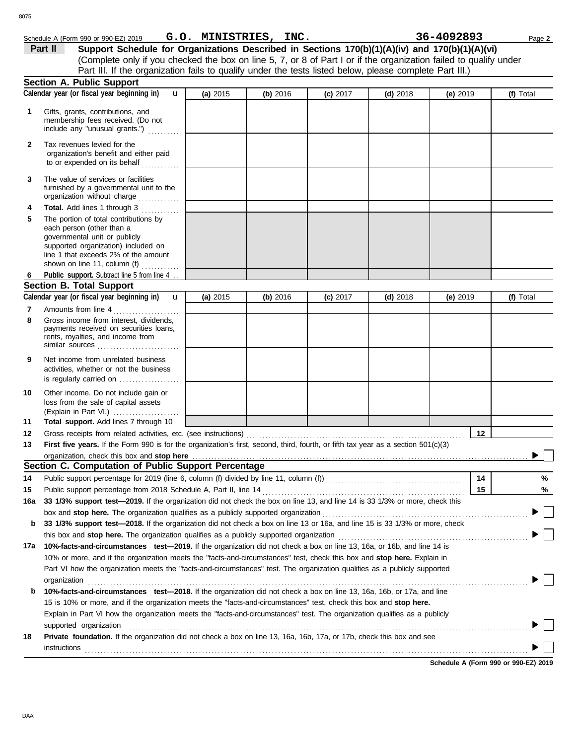| 075          |                                                                                                                                                                                                                                                  |          |            |            |            |            |    |           |
|--------------|--------------------------------------------------------------------------------------------------------------------------------------------------------------------------------------------------------------------------------------------------|----------|------------|------------|------------|------------|----|-----------|
|              | Schedule A (Form 990 or 990-EZ) 2019 $G.O.$ MINISTRIES, INC.                                                                                                                                                                                     |          |            |            |            | 36-4092893 |    | Page 2    |
|              | Support Schedule for Organizations Described in Sections 170(b)(1)(A)(iv) and 170(b)(1)(A)(vi)<br>Part II                                                                                                                                        |          |            |            |            |            |    |           |
|              | (Complete only if you checked the box on line 5, 7, or 8 of Part I or if the organization failed to qualify under                                                                                                                                |          |            |            |            |            |    |           |
|              | Part III. If the organization fails to qualify under the tests listed below, please complete Part III.)                                                                                                                                          |          |            |            |            |            |    |           |
|              | Section A. Public Support                                                                                                                                                                                                                        |          |            |            |            |            |    |           |
|              | Calendar year (or fiscal year beginning in)<br>$\mathbf{u}$                                                                                                                                                                                      | (a) 2015 | (b) 2016   | $(c)$ 2017 | (d) $2018$ | (e) 2019   |    | (f) Total |
| 1            | Gifts, grants, contributions, and<br>membership fees received. (Do not<br>include any "unusual grants.")                                                                                                                                         |          |            |            |            |            |    |           |
| $\mathbf{2}$ | Tax revenues levied for the<br>organization's benefit and either paid<br>to or expended on its behalf                                                                                                                                            |          |            |            |            |            |    |           |
| 3            | The value of services or facilities<br>furnished by a governmental unit to the<br>organization without charge                                                                                                                                    |          |            |            |            |            |    |           |
| 4            | Total. Add lines 1 through 3                                                                                                                                                                                                                     |          |            |            |            |            |    |           |
| 5            | The portion of total contributions by<br>each person (other than a<br>governmental unit or publicly<br>supported organization) included on<br>line 1 that exceeds 2% of the amount<br>shown on line 11, column (f)                               |          |            |            |            |            |    |           |
| 6            | Public support. Subtract line 5 from line 4                                                                                                                                                                                                      |          |            |            |            |            |    |           |
|              | <b>Section B. Total Support</b>                                                                                                                                                                                                                  |          |            |            |            |            |    |           |
|              | Calendar year (or fiscal year beginning in)<br>$\mathbf{u}$                                                                                                                                                                                      | (a) 2015 | (b) $2016$ | (c) 2017   | (d) $2018$ | (e) $2019$ |    | (f) Total |
| 7            | Amounts from line 4<br><u> 1999 - Johann Stoff, Amerikaansk kanton en </u>                                                                                                                                                                       |          |            |            |            |            |    |           |
| 8            | Gross income from interest, dividends,<br>payments received on securities loans,<br>rents, royalties, and income from<br>similar sources                                                                                                         |          |            |            |            |            |    |           |
| 9            | Net income from unrelated business<br>activities, whether or not the business<br>is regularly carried on                                                                                                                                         |          |            |            |            |            |    |           |
| 10           | Other income. Do not include gain or<br>loss from the sale of capital assets<br>(Explain in Part VI.)                                                                                                                                            |          |            |            |            |            |    |           |
| 11           | Total support. Add lines 7 through 10                                                                                                                                                                                                            |          |            |            |            |            |    |           |
| 12           |                                                                                                                                                                                                                                                  |          |            |            |            | 12         |    |           |
| 13           | First five years. If the Form 990 is for the organization's first, second, third, fourth, or fifth tax year as a section 501(c)(3)                                                                                                               |          |            |            |            |            |    |           |
|              | organization, check this box and <b>stop here</b>                                                                                                                                                                                                |          |            |            |            |            |    |           |
|              | Section C. Computation of Public Support Percentage                                                                                                                                                                                              |          |            |            |            |            |    |           |
| 14           | Public support percentage for 2019 (line 6, column (f) divided by line 11, column (f)) [[[[[[[[[[[[[[[[[[[[[[                                                                                                                                    |          |            |            |            | 14         |    | %         |
| 15           | Public support percentage from 2018 Schedule A, Part II, line 14                                                                                                                                                                                 |          |            |            |            |            | 15 | %         |
| 16a          | 33 1/3% support test-2019. If the organization did not check the box on line 13, and line 14 is 33 1/3% or more, check this                                                                                                                      |          |            |            |            |            |    |           |
|              |                                                                                                                                                                                                                                                  |          |            |            |            |            |    |           |
| b            | 33 1/3% support test-2018. If the organization did not check a box on line 13 or 16a, and line 15 is 33 1/3% or more, check                                                                                                                      |          |            |            |            |            |    |           |
|              |                                                                                                                                                                                                                                                  |          |            |            |            |            |    |           |
| 17a          | 10%-facts-and-circumstances test-2019. If the organization did not check a box on line 13, 16a, or 16b, and line 14 is                                                                                                                           |          |            |            |            |            |    |           |
|              | 10% or more, and if the organization meets the "facts-and-circumstances" test, check this box and stop here. Explain in                                                                                                                          |          |            |            |            |            |    |           |
|              | Part VI how the organization meets the "facts-and-circumstances" test. The organization qualifies as a publicly supported<br>organization                                                                                                        |          |            |            |            |            |    |           |
| b            | 10%-facts-and-circumstances test-2018. If the organization did not check a box on line 13, 16a, 16b, or 17a, and line                                                                                                                            |          |            |            |            |            |    |           |
|              | 15 is 10% or more, and if the organization meets the "facts-and-circumstances" test, check this box and stop here.<br>Explain in Part VI how the organization meets the "facts-and-circumstances" test. The organization qualifies as a publicly |          |            |            |            |            |    |           |
| 18           | supported organization<br>Private foundation. If the organization did not check a box on line 13, 16a, 16b, 17a, or 17b, check this box and see                                                                                                  |          |            |            |            |            |    |           |
|              |                                                                                                                                                                                                                                                  |          |            |            |            |            |    |           |

**Schedule A (Form 990 or 990-EZ) 2019 instructions** 

 $\blacktriangleright \Box$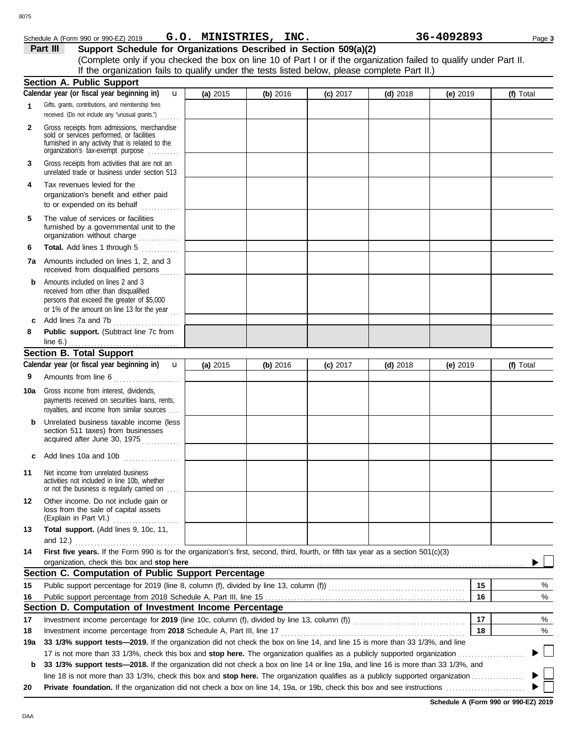| 1075         |                                                                                                                                                                                                                                                                                                                                                                   |          |          |            |            |            |           |
|--------------|-------------------------------------------------------------------------------------------------------------------------------------------------------------------------------------------------------------------------------------------------------------------------------------------------------------------------------------------------------------------|----------|----------|------------|------------|------------|-----------|
|              | Schedule A (Form 990 or 990-EZ) 2019 G.O. MINISTRIES, INC.<br>Part III<br>Support Schedule for Organizations Described in Section 509(a)(2)<br>(Complete only if you checked the box on line 10 of Part I or if the organization failed to qualify under Part II.<br>If the organization fails to qualify under the tests listed below, please complete Part II.) |          |          |            |            | 36-4092893 | Page 3    |
|              | Section A. Public Support                                                                                                                                                                                                                                                                                                                                         |          |          |            |            |            |           |
|              | Calendar year (or fiscal year beginning in)<br>$\mathbf{u}$<br>Gifts, grants, contributions, and membership fees<br>received. (Do not include any "unusual grants.")<br>.                                                                                                                                                                                         | (a) 2015 | (b) 2016 | $(c)$ 2017 | $(d)$ 2018 | (e) $2019$ | (f) Total |
| $\mathbf{2}$ | Gross receipts from admissions, merchandise<br>sold or services performed, or facilities<br>furnished in any activity that is related to the<br>organization's tax-exempt purpose                                                                                                                                                                                 |          |          |            |            |            |           |
| 3            | Gross receipts from activities that are not an<br>unrelated trade or business under section 513                                                                                                                                                                                                                                                                   |          |          |            |            |            |           |
| 4            | Tax revenues levied for the<br>organization's benefit and either paid<br>to or expended on its behalf                                                                                                                                                                                                                                                             |          |          |            |            |            |           |
| 5            | The value of services or facilities<br>furnished by a governmental unit to the<br>organization without charge                                                                                                                                                                                                                                                     |          |          |            |            |            |           |
| 6            | Total. Add lines 1 through 5                                                                                                                                                                                                                                                                                                                                      |          |          |            |            |            |           |
| 7a           | Amounts included on lines 1, 2, and 3<br>received from disqualified persons                                                                                                                                                                                                                                                                                       |          |          |            |            |            |           |
| b            | Amounts included on lines 2 and 3<br>received from other than disqualified<br>persons that exceed the greater of \$5,000<br>or 1% of the amount on line 13 for the year                                                                                                                                                                                           |          |          |            |            |            |           |
| c            | Add lines 7a and 7b                                                                                                                                                                                                                                                                                                                                               |          |          |            |            |            |           |

| <b>Public support.</b> (Subtract line 7c from |  |
|-----------------------------------------------|--|
| line $6.$ )                                   |  |

# **Section B. Total Support** . . . . . . . . . . . . . . . . . . . . . . . . . . . . . . . . . . .

|     | Calendar year (or fiscal year beginning in)<br>$\mathbf{u}$                                                                                                                      | (a) 2015 | (b) 2016 | (c) 2017 | $(d)$ 2018 | (e) 2019 | (f) Total                    |
|-----|----------------------------------------------------------------------------------------------------------------------------------------------------------------------------------|----------|----------|----------|------------|----------|------------------------------|
| 9   | Amounts from line 6                                                                                                                                                              |          |          |          |            |          |                              |
| 10a | Gross income from interest, dividends,<br>payments received on securities loans, rents,<br>royalties, and income from similar sources                                            |          |          |          |            |          |                              |
| b   | Unrelated business taxable income (less<br>section 511 taxes) from businesses<br>acquired after June 30, 1975                                                                    |          |          |          |            |          |                              |
| C   | Add lines 10a and 10b                                                                                                                                                            |          |          |          |            |          |                              |
| 11  | Net income from unrelated business<br>activities not included in line 10b, whether<br>or not the business is regularly carried on                                                |          |          |          |            |          |                              |
| 12  | Other income. Do not include gain or<br>loss from the sale of capital assets<br>(Explain in Part VI.)                                                                            |          |          |          |            |          |                              |
| 13  | Total support. (Add lines 9, 10c, 11,                                                                                                                                            |          |          |          |            |          |                              |
|     | and 12.)                                                                                                                                                                         |          |          |          |            |          |                              |
| 14  | First five years. If the Form 990 is for the organization's first, second, third, fourth, or fifth tax year as a section 501(c)(3)<br>organization, check this box and stop here |          |          |          |            |          |                              |
|     | Section C. Computation of Public Support Percentage                                                                                                                              |          |          |          |            |          |                              |
| 15  |                                                                                                                                                                                  |          |          |          |            | 15       | %                            |
| 16  |                                                                                                                                                                                  |          |          |          |            | 16       | %                            |
|     | Section D. Computation of Investment Income Percentage                                                                                                                           |          |          |          |            |          |                              |
| 17  |                                                                                                                                                                                  |          |          |          |            | 17       | %                            |
| 18  | Investment income percentage from 2018 Schedule A, Part III, line 17                                                                                                             |          |          |          |            | 18       | %                            |
| 19a | 33 1/3% support tests—2019. If the organization did not check the box on line 14, and line 15 is more than 33 1/3%, and line                                                     |          |          |          |            |          |                              |
|     |                                                                                                                                                                                  |          |          |          |            |          | $\blacktriangleright \sqcup$ |
| b   | 33 1/3% support tests—2018. If the organization did not check a box on line 14 or line 19a, and line 16 is more than 33 1/3%, and                                                |          |          |          |            |          |                              |
|     | line 18 is not more than 33 1/3%, check this box and <b>stop here.</b> The organization qualifies as a publicly supported organization $\ldots$                                  |          |          |          |            |          |                              |
| 20  |                                                                                                                                                                                  |          |          |          |            |          |                              |
|     |                                                                                                                                                                                  |          |          |          |            |          |                              |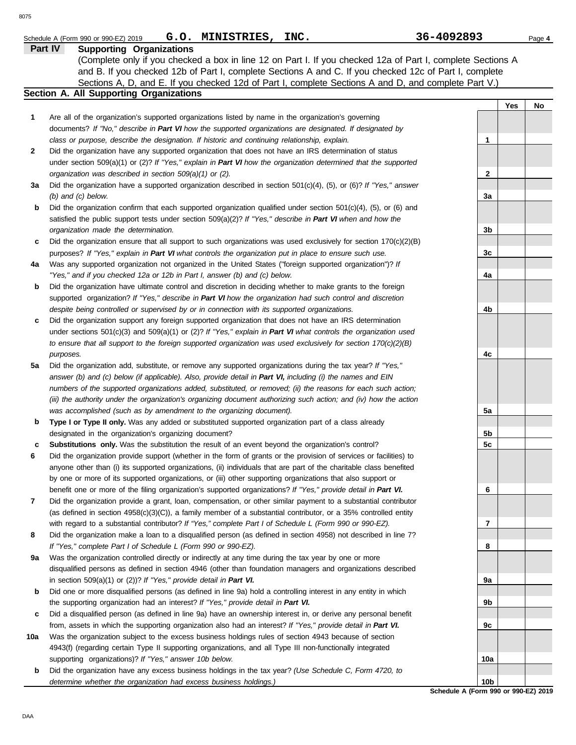|                | G.O. MINISTRIES, INC.<br>Schedule A (Form 990 or 990-EZ) 2019                                                       | 36-4092893      | Page 4    |
|----------------|---------------------------------------------------------------------------------------------------------------------|-----------------|-----------|
| <b>Part IV</b> | <b>Supporting Organizations</b>                                                                                     |                 |           |
|                | (Complete only if you checked a box in line 12 on Part I. If you checked 12a of Part I, complete Sections A         |                 |           |
|                | and B. If you checked 12b of Part I, complete Sections A and C. If you checked 12c of Part I, complete              |                 |           |
|                | Sections A, D, and E. If you checked 12d of Part I, complete Sections A and D, and complete Part V.)                |                 |           |
|                | <b>Section A. All Supporting Organizations</b>                                                                      |                 |           |
|                |                                                                                                                     |                 | Yes<br>No |
| 1              | Are all of the organization's supported organizations listed by name in the organization's governing                |                 |           |
|                | documents? If "No," describe in Part VI how the supported organizations are designated. If designated by            |                 |           |
|                | class or purpose, describe the designation. If historic and continuing relationship, explain.                       | 1               |           |
| 2              | Did the organization have any supported organization that does not have an IRS determination of status              |                 |           |
|                | under section 509(a)(1) or (2)? If "Yes," explain in Part VI how the organization determined that the supported     |                 |           |
|                | organization was described in section 509(a)(1) or (2).                                                             | 2               |           |
| За             | Did the organization have a supported organization described in section $501(c)(4)$ , (5), or (6)? If "Yes," answer |                 |           |
|                | $(b)$ and $(c)$ below.                                                                                              | 3a              |           |
| b              | Did the organization confirm that each supported organization qualified under section $501(c)(4)$ , (5), or (6) and |                 |           |
|                | satisfied the public support tests under section 509(a)(2)? If "Yes," describe in Part VI when and how the          |                 |           |
|                | organization made the determination.                                                                                | 3 <sub>b</sub>  |           |
| c              | Did the organization ensure that all support to such organizations was used exclusively for section $170(c)(2)(B)$  |                 |           |
|                | purposes? If "Yes," explain in Part VI what controls the organization put in place to ensure such use.              | 3 <sub>c</sub>  |           |
| 4a             | Was any supported organization not organized in the United States ("foreign supported organization")? If            |                 |           |
|                | "Yes," and if you checked 12a or 12b in Part I, answer (b) and (c) below.                                           | 4a              |           |
| b              | Did the organization have ultimate control and discretion in deciding whether to make grants to the foreign         |                 |           |
|                | supported organization? If "Yes," describe in Part VI how the organization had such control and discretion          |                 |           |
|                | despite being controlled or supervised by or in connection with its supported organizations.                        | 4b              |           |
| c              | Did the organization support any foreign supported organization that does not have an IRS determination             |                 |           |
|                | under sections $501(c)(3)$ and $509(a)(1)$ or (2)? If "Yes," explain in Part VI what controls the organization used |                 |           |
|                | to ensure that all support to the foreign supported organization was used exclusively for section $170(c)(2)(B)$    |                 |           |
|                | purposes.                                                                                                           | 4c              |           |
| 5a             | Did the organization add, substitute, or remove any supported organizations during the tax year? If "Yes,"          |                 |           |
|                | answer (b) and (c) below (if applicable). Also, provide detail in Part VI, including (i) the names and EIN          |                 |           |
|                | numbers of the supported organizations added, substituted, or removed; (ii) the reasons for each such action;       |                 |           |
|                | (iii) the authority under the organization's organizing document authorizing such action; and (iv) how the action   |                 |           |
|                | was accomplished (such as by amendment to the organizing document).                                                 | 5a              |           |
| b              | Type I or Type II only. Was any added or substituted supported organization part of a class already                 |                 |           |
|                | designated in the organization's organizing document?                                                               | 5b              |           |
|                | Substitutions only. Was the substitution the result of an event beyond the organization's control?                  | 5c              |           |
|                | Did the organization provide support (whether in the form of grants or the provision of services or facilities) to  |                 |           |
|                | anyone other than (i) its supported organizations, (ii) individuals that are part of the charitable class benefited |                 |           |
|                | by one or more of its supported organizations, or (iii) other supporting organizations that also support or         |                 |           |
|                | benefit one or more of the filing organization's supported organizations? If "Yes," provide detail in Part VI.      | 6               |           |
| 7              | Did the organization provide a grant, loan, compensation, or other similar payment to a substantial contributor     |                 |           |
|                | (as defined in section $4958(c)(3)(C)$ ), a family member of a substantial contributor, or a 35% controlled entity  |                 |           |
|                | with regard to a substantial contributor? If "Yes," complete Part I of Schedule L (Form 990 or 990-EZ).             | 7               |           |
| 8              | Did the organization make a loan to a disqualified person (as defined in section 4958) not described in line 7?     |                 |           |
|                | If "Yes," complete Part I of Schedule L (Form 990 or 990-EZ).                                                       | 8               |           |
| 9a             | Was the organization controlled directly or indirectly at any time during the tax year by one or more               |                 |           |
|                | disqualified persons as defined in section 4946 (other than foundation managers and organizations described         |                 |           |
|                | in section $509(a)(1)$ or $(2)$ ? If "Yes," provide detail in Part VI.                                              | 9a              |           |
| b              | Did one or more disqualified persons (as defined in line 9a) hold a controlling interest in any entity in which     |                 |           |
|                | the supporting organization had an interest? If "Yes," provide detail in Part VI.                                   | 9b              |           |
| c              | Did a disqualified person (as defined in line 9a) have an ownership interest in, or derive any personal benefit     |                 |           |
|                | from, assets in which the supporting organization also had an interest? If "Yes," provide detail in Part VI.        | 9c              |           |
| 10a            | Was the organization subject to the excess business holdings rules of section 4943 because of section               |                 |           |
|                | 4943(f) (regarding certain Type II supporting organizations, and all Type III non-functionally integrated           |                 |           |
|                | supporting organizations)? If "Yes," answer 10b below.                                                              | 10a             |           |
| b              | Did the organization have any excess business holdings in the tax year? (Use Schedule C, Form 4720, to              |                 |           |
|                | determine whether the organization had excess business holdings.)                                                   | 10 <sub>b</sub> |           |

**Schedule A (Form 990 or 990-EZ) 2019**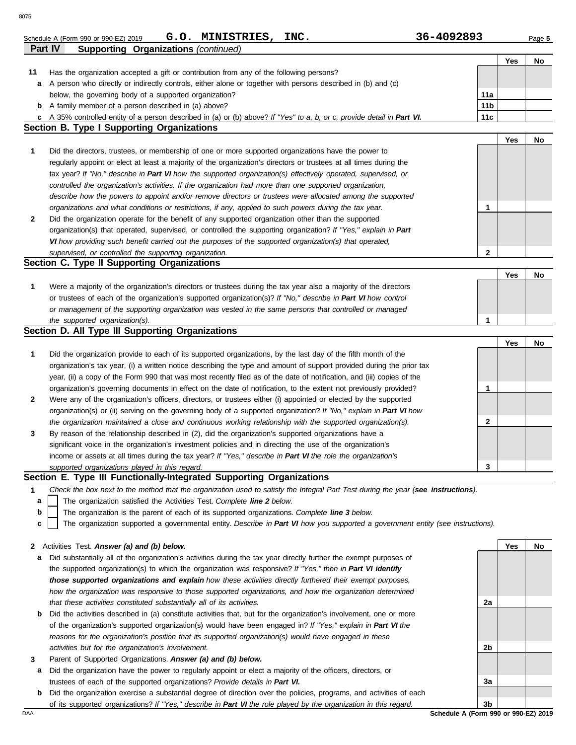| 8075         |                                                                                                                               |                 |     |        |
|--------------|-------------------------------------------------------------------------------------------------------------------------------|-----------------|-----|--------|
|              | G.O.<br>MINISTRIES,<br>INC.<br>Schedule A (Form 990 or 990-EZ) 2019<br><b>Supporting Organizations (continued)</b><br>Part IV | 36-4092893      |     | Page 5 |
|              |                                                                                                                               |                 | Yes | No     |
| 11           | Has the organization accepted a gift or contribution from any of the following persons?                                       |                 |     |        |
| a            | A person who directly or indirectly controls, either alone or together with persons described in (b) and (c)                  |                 |     |        |
|              | below, the governing body of a supported organization?                                                                        | 11a             |     |        |
|              | <b>b</b> A family member of a person described in (a) above?                                                                  | 11 <sub>b</sub> |     |        |
|              | c A 35% controlled entity of a person described in (a) or (b) above? If "Yes" to a, b, or c, provide detail in Part VI.       | 11c             |     |        |
|              | <b>Section B. Type I Supporting Organizations</b>                                                                             |                 |     |        |
|              |                                                                                                                               |                 | Yes | No     |
| 1            | Did the directors, trustees, or membership of one or more supported organizations have the power to                           |                 |     |        |
|              | regularly appoint or elect at least a majority of the organization's directors or trustees at all times during the            |                 |     |        |
|              | tax year? If "No," describe in Part VI how the supported organization(s) effectively operated, supervised, or                 |                 |     |        |
|              | controlled the organization's activities. If the organization had more than one supported organization,                       |                 |     |        |
|              | describe how the powers to appoint and/or remove directors or trustees were allocated among the supported                     |                 |     |        |
|              | organizations and what conditions or restrictions, if any, applied to such powers during the tax year.                        | 1               |     |        |
| $\mathbf{2}$ | Did the organization operate for the benefit of any supported organization other than the supported                           |                 |     |        |
|              | organization(s) that operated, supervised, or controlled the supporting organization? If "Yes," explain in Part               |                 |     |        |
|              | VI how providing such benefit carried out the purposes of the supported organization(s) that operated,                        |                 |     |        |
|              | supervised, or controlled the supporting organization.                                                                        | $\overline{2}$  |     |        |
|              | Section C. Type II Supporting Organizations                                                                                   |                 |     |        |
|              |                                                                                                                               |                 | Yes | No     |
| 1            | Were a majority of the organization's directors or trustees during the tax year also a majority of the directors              |                 |     |        |
|              | or trustees of each of the organization's supported organization(s)? If "No," describe in Part VI how control                 |                 |     |        |
|              | or management of the supporting organization was vested in the same persons that controlled or managed                        |                 |     |        |
|              | the supported organization(s).                                                                                                | 1               |     |        |
|              | Section D. All Type III Supporting Organizations                                                                              |                 |     |        |
|              |                                                                                                                               |                 | Yes | No     |
|              |                                                                                                                               |                 |     |        |
| 1            | Did the organization provide to each of its supported organizations, by the last day of the fifth month of the                |                 |     |        |
|              | organization's tax year, (i) a written notice describing the type and amount of support provided during the prior tax         |                 |     |        |
|              | year, (ii) a copy of the Form 990 that was most recently filed as of the date of notification, and (iii) copies of the        |                 |     |        |
|              | organization's governing documents in effect on the date of notification, to the extent not previously provided?              | 1               |     |        |
| $\mathbf{2}$ | Were any of the organization's officers, directors, or trustees either (i) appointed or elected by the supported              |                 |     |        |
|              | organization(s) or (ii) serving on the governing body of a supported organization? If "No," explain in Part VI how            |                 |     |        |
|              | the organization maintained a close and continuous working relationship with the supported organization(s).                   | $\mathbf{2}$    |     |        |
| 3            | By reason of the relationship described in (2), did the organization's supported organizations have a                         |                 |     |        |

| ູ | by reacon or the relationship accomponent (E), and the enganciation coupported enganciations narro a         |  |  |
|---|--------------------------------------------------------------------------------------------------------------|--|--|
|   | significant voice in the organization's investment policies and in directing the use of the organization's   |  |  |
|   | income or assets at all times during the tax year? If "Yes," describe in Part VI the role the organization's |  |  |
|   | supported organizations played in this regard.                                                               |  |  |
|   |                                                                                                              |  |  |

### **Section E. Type III Functionally-Integrated Supporting Organizations**

**1** *Check the box next to the method that the organization used to satisfy the Integral Part Test during the year (see instructions).*

The organization satisfied the Activities Test. *Complete line 2 below.* **a**

The organization is the parent of each of its supported organizations. *Complete line 3 below.*

The organization supported a governmental entity. *Describe in Part VI how you supported a government entity (see instructions).* **c**

- **a** Did substantially all of the organization's activities during the tax year directly further the exempt purposes of the supported organization(s) to which the organization was responsive? *If "Yes," then in Part VI identify those supported organizations and explain how these activities directly furthered their exempt purposes,*  how the organization was responsive to those supported organizations, and how the organization determined *that these activities constituted substantially all of its activities.*
- **b** Did the activities described in (a) constitute activities that, but for the organization's involvement, one or more of the organization's supported organization(s) would have been engaged in? *If "Yes," explain in Part VI the reasons for the organization's position that its supported organization(s) would have engaged in these activities but for the organization's involvement.*
- **3** Parent of Supported Organizations. *Answer (a) and (b) below.*
- **a** Did the organization have the power to regularly appoint or elect a majority of the officers, directors, or trustees of each of the supported organizations? *Provide details in Part VI.*
- DAA **Schedule A (Form 990 or 990-EZ) 2019 b** Did the organization exercise a substantial degree of direction over the policies, programs, and activities of each of its supported organizations? *If "Yes," describe in Part VI the role played by the organization in this regard.*

**Yes No 2a 2b 3a 3b**

**b**

**<sup>2</sup>** Activities Test. *Answer (a) and (b) below.*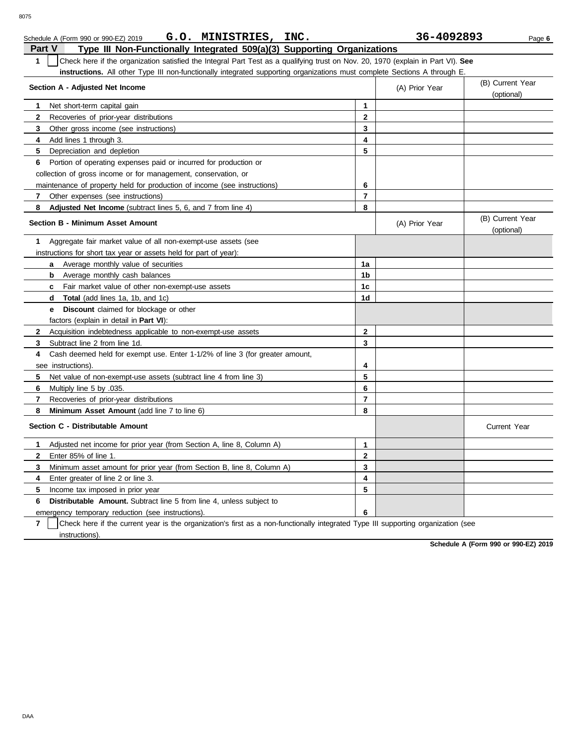| <b>Part V</b><br>Type III Non-Functionally Integrated 509(a)(3) Supporting Organizations                                                         |                |                |                                |
|--------------------------------------------------------------------------------------------------------------------------------------------------|----------------|----------------|--------------------------------|
| Check here if the organization satisfied the Integral Part Test as a qualifying trust on Nov. 20, 1970 (explain in Part VI). See<br>$\mathbf{1}$ |                |                |                                |
| <b>instructions.</b> All other Type III non-functionally integrated supporting organizations must complete Sections A through E.                 |                |                |                                |
| Section A - Adjusted Net Income                                                                                                                  |                | (A) Prior Year | (B) Current Year               |
|                                                                                                                                                  |                |                | (optional)                     |
| Net short-term capital gain<br>1                                                                                                                 | $\mathbf{1}$   |                |                                |
| 2<br>Recoveries of prior-year distributions                                                                                                      | 2              |                |                                |
| 3<br>Other gross income (see instructions)                                                                                                       | 3              |                |                                |
| 4<br>Add lines 1 through 3.                                                                                                                      | 4              |                |                                |
| 5<br>Depreciation and depletion                                                                                                                  | 5              |                |                                |
| 6<br>Portion of operating expenses paid or incurred for production or                                                                            |                |                |                                |
| collection of gross income or for management, conservation, or                                                                                   |                |                |                                |
| maintenance of property held for production of income (see instructions)                                                                         | 6              |                |                                |
| Other expenses (see instructions)<br>7                                                                                                           | 7              |                |                                |
| 8<br><b>Adjusted Net Income</b> (subtract lines 5, 6, and 7 from line 4)                                                                         | 8              |                |                                |
| <b>Section B - Minimum Asset Amount</b>                                                                                                          |                | (A) Prior Year | (B) Current Year<br>(optional) |
| Aggregate fair market value of all non-exempt-use assets (see<br>1.                                                                              |                |                |                                |
| instructions for short tax year or assets held for part of year):                                                                                |                |                |                                |
| Average monthly value of securities<br>a                                                                                                         | 1a             |                |                                |
| b<br>Average monthly cash balances                                                                                                               | 1b             |                |                                |
| Fair market value of other non-exempt-use assets<br>c                                                                                            | 1c             |                |                                |
| <b>Total</b> (add lines 1a, 1b, and 1c)<br>d                                                                                                     | 1d             |                |                                |
| Discount claimed for blockage or other<br>е                                                                                                      |                |                |                                |
| factors (explain in detail in <b>Part VI)</b> :                                                                                                  |                |                |                                |
| Acquisition indebtedness applicable to non-exempt-use assets<br>$\mathbf{2}$                                                                     | $\mathbf{2}$   |                |                                |
| Subtract line 2 from line 1d.<br>3                                                                                                               | 3              |                |                                |
| Cash deemed held for exempt use. Enter 1-1/2% of line 3 (for greater amount,<br>4                                                                |                |                |                                |
| see instructions).                                                                                                                               | 4              |                |                                |
| 5<br>Net value of non-exempt-use assets (subtract line 4 from line 3)                                                                            | 5              |                |                                |
| 6<br>Multiply line 5 by .035.                                                                                                                    | 6              |                |                                |
| 7<br>Recoveries of prior-year distributions                                                                                                      | 7              |                |                                |
| 8<br>Minimum Asset Amount (add line 7 to line 6)                                                                                                 | 8              |                |                                |
| Section C - Distributable Amount                                                                                                                 |                |                | <b>Current Year</b>            |
| Adjusted net income for prior year (from Section A, line 8, Column A)<br>1                                                                       | 1              |                |                                |
| $\mathbf{2}$<br>Enter 85% of line 1.                                                                                                             | $\overline{2}$ |                |                                |
| Minimum asset amount for prior year (from Section B, line 8, Column A)<br>3                                                                      | 3              |                |                                |
| Enter greater of line 2 or line 3.<br>4                                                                                                          | 4              |                |                                |
| 5<br>Income tax imposed in prior year                                                                                                            | 5              |                |                                |
| <b>Distributable Amount.</b> Subtract line 5 from line 4, unless subject to<br>6                                                                 |                |                |                                |
| emergency temporary reduction (see instructions).                                                                                                | 6              |                |                                |

**7** instructions). Check here if the current year is the organization's first as a non-functionally integrated Type III supporting organization (see

**Schedule A (Form 990 or 990-EZ) 2019**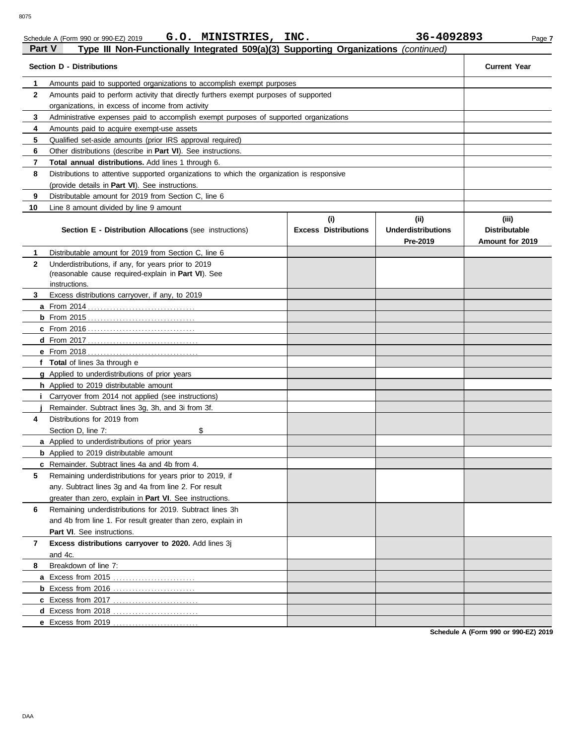#### Schedule A (Form 990 or 990-EZ) 2019 Page **7 G.O. MINISTRIES, INC. 36-4092893**

| Part V<br>Type III Non-Functionally Integrated 509(a)(3) Supporting Organizations (continued)                                               |                                    |                                               |                                                  |
|---------------------------------------------------------------------------------------------------------------------------------------------|------------------------------------|-----------------------------------------------|--------------------------------------------------|
| <b>Section D - Distributions</b>                                                                                                            |                                    |                                               | <b>Current Year</b>                              |
| $\mathbf 1$<br>Amounts paid to supported organizations to accomplish exempt purposes                                                        |                                    |                                               |                                                  |
| $\mathbf{2}$<br>Amounts paid to perform activity that directly furthers exempt purposes of supported                                        |                                    |                                               |                                                  |
| organizations, in excess of income from activity                                                                                            |                                    |                                               |                                                  |
| Administrative expenses paid to accomplish exempt purposes of supported organizations<br>3                                                  |                                    |                                               |                                                  |
| 4<br>Amounts paid to acquire exempt-use assets                                                                                              |                                    |                                               |                                                  |
| 5<br>Qualified set-aside amounts (prior IRS approval required)                                                                              |                                    |                                               |                                                  |
| Other distributions (describe in Part VI). See instructions.<br>6                                                                           |                                    |                                               |                                                  |
| $\overline{7}$<br>Total annual distributions. Add lines 1 through 6.                                                                        |                                    |                                               |                                                  |
| 8<br>Distributions to attentive supported organizations to which the organization is responsive                                             |                                    |                                               |                                                  |
| (provide details in Part VI). See instructions.                                                                                             |                                    |                                               |                                                  |
| 9<br>Distributable amount for 2019 from Section C, line 6                                                                                   |                                    |                                               |                                                  |
| 10<br>Line 8 amount divided by line 9 amount                                                                                                |                                    |                                               |                                                  |
| <b>Section E - Distribution Allocations (see instructions)</b>                                                                              | (i)<br><b>Excess Distributions</b> | (ii)<br><b>Underdistributions</b><br>Pre-2019 | (iii)<br><b>Distributable</b><br>Amount for 2019 |
| Distributable amount for 2019 from Section C, line 6<br>1                                                                                   |                                    |                                               |                                                  |
| Underdistributions, if any, for years prior to 2019<br>$\mathbf{2}$<br>(reasonable cause required-explain in Part VI). See<br>instructions. |                                    |                                               |                                                  |
| Excess distributions carryover, if any, to 2019<br>3                                                                                        |                                    |                                               |                                                  |
| <b>a</b> From 2014                                                                                                                          |                                    |                                               |                                                  |
|                                                                                                                                             |                                    |                                               |                                                  |
|                                                                                                                                             |                                    |                                               |                                                  |
|                                                                                                                                             |                                    |                                               |                                                  |
| <b>e</b> From $2018$                                                                                                                        |                                    |                                               |                                                  |
| f Total of lines 3a through e                                                                                                               |                                    |                                               |                                                  |
| <b>g</b> Applied to underdistributions of prior years                                                                                       |                                    |                                               |                                                  |
| <b>h</b> Applied to 2019 distributable amount                                                                                               |                                    |                                               |                                                  |
| <b>i</b> Carryover from 2014 not applied (see instructions)                                                                                 |                                    |                                               |                                                  |
| Remainder. Subtract lines 3g, 3h, and 3i from 3f.                                                                                           |                                    |                                               |                                                  |
| Distributions for 2019 from<br>4                                                                                                            |                                    |                                               |                                                  |
| \$<br>Section D, line 7:                                                                                                                    |                                    |                                               |                                                  |
| <b>a</b> Applied to underdistributions of prior years                                                                                       |                                    |                                               |                                                  |
| <b>b</b> Applied to 2019 distributable amount                                                                                               |                                    |                                               |                                                  |
| c Remainder. Subtract lines 4a and 4b from 4.                                                                                               |                                    |                                               |                                                  |
| 5<br>Remaining underdistributions for years prior to 2019, if                                                                               |                                    |                                               |                                                  |
| any. Subtract lines 3g and 4a from line 2. For result                                                                                       |                                    |                                               |                                                  |
| greater than zero, explain in Part VI. See instructions.                                                                                    |                                    |                                               |                                                  |
| Remaining underdistributions for 2019. Subtract lines 3h<br>6                                                                               |                                    |                                               |                                                  |
| and 4b from line 1. For result greater than zero, explain in                                                                                |                                    |                                               |                                                  |
| Part VI. See instructions.                                                                                                                  |                                    |                                               |                                                  |
| Excess distributions carryover to 2020. Add lines 3j<br>7<br>and 4c.                                                                        |                                    |                                               |                                                  |
| Breakdown of line 7:<br>8                                                                                                                   |                                    |                                               |                                                  |
|                                                                                                                                             |                                    |                                               |                                                  |
|                                                                                                                                             |                                    |                                               |                                                  |
|                                                                                                                                             |                                    |                                               |                                                  |
|                                                                                                                                             |                                    |                                               |                                                  |
| e Excess from 2019                                                                                                                          |                                    |                                               |                                                  |

**Schedule A (Form 990 or 990-EZ) 2019**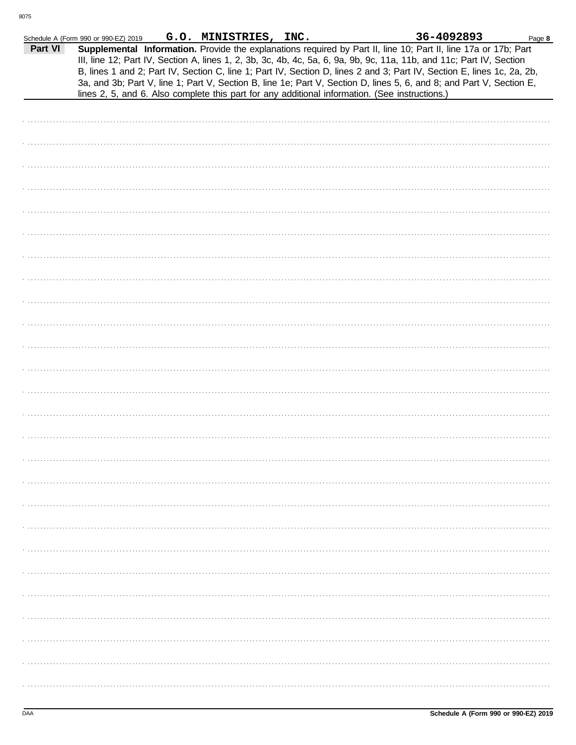|         | Schedule A (Form 990 or 990-EZ) 2019 | G.O. MINISTRIES, INC. |                                                                                                | 36-4092893                                                                                                                                                                                                                                                                                                                                                                                                                                                                                | Page 8 |
|---------|--------------------------------------|-----------------------|------------------------------------------------------------------------------------------------|-------------------------------------------------------------------------------------------------------------------------------------------------------------------------------------------------------------------------------------------------------------------------------------------------------------------------------------------------------------------------------------------------------------------------------------------------------------------------------------------|--------|
| Part VI |                                      |                       |                                                                                                | Supplemental Information. Provide the explanations required by Part II, line 10; Part II, line 17a or 17b; Part<br>III, line 12; Part IV, Section A, lines 1, 2, 3b, 3c, 4b, 4c, 5a, 6, 9a, 9b, 9c, 11a, 11b, and 11c; Part IV, Section<br>B, lines 1 and 2; Part IV, Section C, line 1; Part IV, Section D, lines 2 and 3; Part IV, Section E, lines 1c, 2a, 2b,<br>3a, and 3b; Part V, line 1; Part V, Section B, line 1e; Part V, Section D, lines 5, 6, and 8; and Part V, Section E, |        |
|         |                                      |                       | lines 2, 5, and 6. Also complete this part for any additional information. (See instructions.) |                                                                                                                                                                                                                                                                                                                                                                                                                                                                                           |        |
|         |                                      |                       |                                                                                                |                                                                                                                                                                                                                                                                                                                                                                                                                                                                                           |        |
|         |                                      |                       |                                                                                                |                                                                                                                                                                                                                                                                                                                                                                                                                                                                                           |        |
|         |                                      |                       |                                                                                                |                                                                                                                                                                                                                                                                                                                                                                                                                                                                                           |        |
|         |                                      |                       |                                                                                                |                                                                                                                                                                                                                                                                                                                                                                                                                                                                                           |        |
|         |                                      |                       |                                                                                                |                                                                                                                                                                                                                                                                                                                                                                                                                                                                                           |        |
|         |                                      |                       |                                                                                                |                                                                                                                                                                                                                                                                                                                                                                                                                                                                                           |        |
|         |                                      |                       |                                                                                                |                                                                                                                                                                                                                                                                                                                                                                                                                                                                                           |        |
|         |                                      |                       |                                                                                                |                                                                                                                                                                                                                                                                                                                                                                                                                                                                                           |        |
|         |                                      |                       |                                                                                                |                                                                                                                                                                                                                                                                                                                                                                                                                                                                                           |        |
|         |                                      |                       |                                                                                                |                                                                                                                                                                                                                                                                                                                                                                                                                                                                                           |        |
|         |                                      |                       |                                                                                                |                                                                                                                                                                                                                                                                                                                                                                                                                                                                                           |        |
|         |                                      |                       |                                                                                                |                                                                                                                                                                                                                                                                                                                                                                                                                                                                                           |        |
|         |                                      |                       |                                                                                                |                                                                                                                                                                                                                                                                                                                                                                                                                                                                                           |        |
|         |                                      |                       |                                                                                                |                                                                                                                                                                                                                                                                                                                                                                                                                                                                                           |        |
|         |                                      |                       |                                                                                                |                                                                                                                                                                                                                                                                                                                                                                                                                                                                                           |        |
|         |                                      |                       |                                                                                                |                                                                                                                                                                                                                                                                                                                                                                                                                                                                                           |        |
|         |                                      |                       |                                                                                                |                                                                                                                                                                                                                                                                                                                                                                                                                                                                                           |        |
|         |                                      |                       |                                                                                                |                                                                                                                                                                                                                                                                                                                                                                                                                                                                                           |        |
|         |                                      |                       |                                                                                                |                                                                                                                                                                                                                                                                                                                                                                                                                                                                                           |        |
|         |                                      |                       |                                                                                                |                                                                                                                                                                                                                                                                                                                                                                                                                                                                                           |        |
|         |                                      |                       |                                                                                                |                                                                                                                                                                                                                                                                                                                                                                                                                                                                                           |        |
|         |                                      |                       |                                                                                                |                                                                                                                                                                                                                                                                                                                                                                                                                                                                                           |        |
|         |                                      |                       |                                                                                                |                                                                                                                                                                                                                                                                                                                                                                                                                                                                                           |        |
|         |                                      |                       |                                                                                                |                                                                                                                                                                                                                                                                                                                                                                                                                                                                                           |        |
|         |                                      |                       |                                                                                                |                                                                                                                                                                                                                                                                                                                                                                                                                                                                                           |        |
|         |                                      |                       |                                                                                                |                                                                                                                                                                                                                                                                                                                                                                                                                                                                                           |        |
|         |                                      |                       |                                                                                                |                                                                                                                                                                                                                                                                                                                                                                                                                                                                                           |        |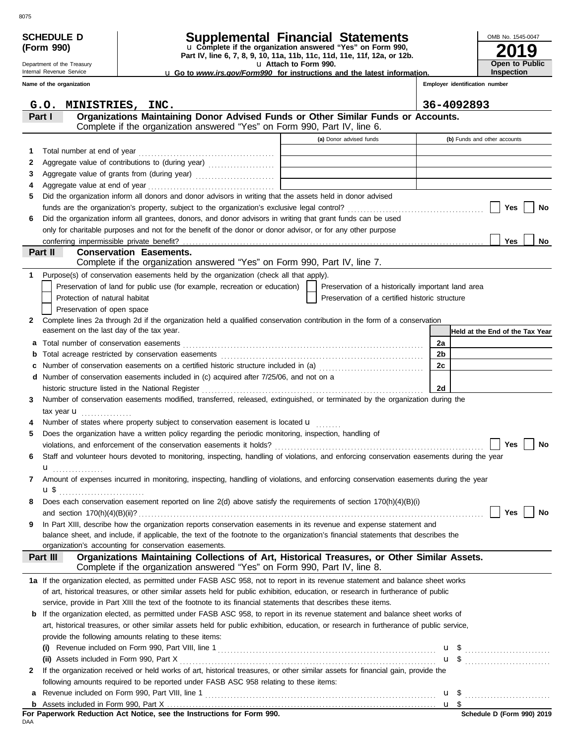|                                                                                                                                                                           | u Complete if the organization answered "Yes" on Form 990,<br>(Form 990)<br>Part IV, line 6, 7, 8, 9, 10, 11a, 11b, 11c, 11d, 11e, 11f, 12a, or 12b. |                                                                                                                                                                           |  |                                                    |                |                                 |
|---------------------------------------------------------------------------------------------------------------------------------------------------------------------------|------------------------------------------------------------------------------------------------------------------------------------------------------|---------------------------------------------------------------------------------------------------------------------------------------------------------------------------|--|----------------------------------------------------|----------------|---------------------------------|
| Department of the Treasury<br>u Attach to Form 990.<br>Internal Revenue Service<br><b>u</b> Go to <i>www.irs.gov/Form990</i> for instructions and the latest information. |                                                                                                                                                      |                                                                                                                                                                           |  | Open to Public<br><b>Inspection</b>                |                |                                 |
|                                                                                                                                                                           | Name of the organization                                                                                                                             |                                                                                                                                                                           |  |                                                    |                | Employer identification number  |
|                                                                                                                                                                           |                                                                                                                                                      |                                                                                                                                                                           |  |                                                    |                |                                 |
| MINISTRIES, INC.<br>G.O.                                                                                                                                                  |                                                                                                                                                      |                                                                                                                                                                           |  |                                                    | 36-4092893     |                                 |
|                                                                                                                                                                           | Part I                                                                                                                                               | Organizations Maintaining Donor Advised Funds or Other Similar Funds or Accounts.                                                                                         |  |                                                    |                |                                 |
|                                                                                                                                                                           |                                                                                                                                                      | Complete if the organization answered "Yes" on Form 990, Part IV, line 6.                                                                                                 |  |                                                    |                |                                 |
|                                                                                                                                                                           |                                                                                                                                                      |                                                                                                                                                                           |  | (a) Donor advised funds                            |                | (b) Funds and other accounts    |
| 1                                                                                                                                                                         | Total number at end of year                                                                                                                          |                                                                                                                                                                           |  |                                                    |                |                                 |
| 2                                                                                                                                                                         |                                                                                                                                                      |                                                                                                                                                                           |  |                                                    |                |                                 |
| 3                                                                                                                                                                         |                                                                                                                                                      | Aggregate value of grants from (during year) Mathematical Mathematical Mathematical Mathematical Mathematical M                                                           |  |                                                    |                |                                 |
|                                                                                                                                                                           |                                                                                                                                                      | Did the organization inform all donors and donor advisors in writing that the assets held in donor advised                                                                |  |                                                    |                |                                 |
|                                                                                                                                                                           |                                                                                                                                                      |                                                                                                                                                                           |  |                                                    |                | Yes<br>No                       |
| 6                                                                                                                                                                         |                                                                                                                                                      | Did the organization inform all grantees, donors, and donor advisors in writing that grant funds can be used                                                              |  |                                                    |                |                                 |
|                                                                                                                                                                           |                                                                                                                                                      | only for charitable purposes and not for the benefit of the donor or donor advisor, or for any other purpose                                                              |  |                                                    |                |                                 |
|                                                                                                                                                                           | conferring impermissible private benefit?                                                                                                            |                                                                                                                                                                           |  |                                                    |                | <b>Yes</b><br>No                |
|                                                                                                                                                                           | Part II                                                                                                                                              | <b>Conservation Easements.</b>                                                                                                                                            |  |                                                    |                |                                 |
|                                                                                                                                                                           |                                                                                                                                                      | Complete if the organization answered "Yes" on Form 990, Part IV, line 7.                                                                                                 |  |                                                    |                |                                 |
|                                                                                                                                                                           |                                                                                                                                                      | Purpose(s) of conservation easements held by the organization (check all that apply).                                                                                     |  |                                                    |                |                                 |
|                                                                                                                                                                           |                                                                                                                                                      | Preservation of land for public use (for example, recreation or education)                                                                                                |  | Preservation of a historically important land area |                |                                 |
|                                                                                                                                                                           | Protection of natural habitat                                                                                                                        |                                                                                                                                                                           |  | Preservation of a certified historic structure     |                |                                 |
|                                                                                                                                                                           | Preservation of open space                                                                                                                           |                                                                                                                                                                           |  |                                                    |                |                                 |
| 2                                                                                                                                                                         | easement on the last day of the tax year.                                                                                                            | Complete lines 2a through 2d if the organization held a qualified conservation contribution in the form of a conservation                                                 |  |                                                    |                | Held at the End of the Tax Year |
| а                                                                                                                                                                         |                                                                                                                                                      |                                                                                                                                                                           |  |                                                    | 2a             |                                 |
|                                                                                                                                                                           |                                                                                                                                                      |                                                                                                                                                                           |  |                                                    | 2 <sub>b</sub> |                                 |
| c                                                                                                                                                                         |                                                                                                                                                      |                                                                                                                                                                           |  |                                                    | 2c             |                                 |
| d                                                                                                                                                                         |                                                                                                                                                      | Number of conservation easements included in (c) acquired after 7/25/06, and not on a                                                                                     |  |                                                    |                |                                 |
|                                                                                                                                                                           |                                                                                                                                                      | historic structure listed in the National Register                                                                                                                        |  |                                                    | 2d             |                                 |
| 3                                                                                                                                                                         |                                                                                                                                                      | Number of conservation easements modified, transferred, released, extinguished, or terminated by the organization during the                                              |  |                                                    |                |                                 |
|                                                                                                                                                                           | tax year $\mathbf u$                                                                                                                                 |                                                                                                                                                                           |  |                                                    |                |                                 |
|                                                                                                                                                                           |                                                                                                                                                      | Number of states where property subject to conservation easement is located u                                                                                             |  |                                                    |                |                                 |
| 5                                                                                                                                                                         |                                                                                                                                                      | Does the organization have a written policy regarding the periodic monitoring, inspection, handling of                                                                    |  |                                                    |                |                                 |
|                                                                                                                                                                           |                                                                                                                                                      | violations, and enforcement of the conservation easements it holds?                                                                                                       |  |                                                    |                | Yes<br>No                       |
| 6                                                                                                                                                                         |                                                                                                                                                      | Staff and volunteer hours devoted to monitoring, inspecting, handling of violations, and enforcing conservation easements during the year                                 |  |                                                    |                |                                 |
|                                                                                                                                                                           | u<br>.                                                                                                                                               |                                                                                                                                                                           |  |                                                    |                |                                 |
| 7                                                                                                                                                                         |                                                                                                                                                      | Amount of expenses incurred in monitoring, inspecting, handling of violations, and enforcing conservation easements during the year                                       |  |                                                    |                |                                 |
| 8                                                                                                                                                                         | u \$                                                                                                                                                 | Does each conservation easement reported on line 2(d) above satisfy the requirements of section 170(h)(4)(B)(i)                                                           |  |                                                    |                |                                 |
|                                                                                                                                                                           |                                                                                                                                                      |                                                                                                                                                                           |  |                                                    |                | Yes<br>No                       |
| 9                                                                                                                                                                         |                                                                                                                                                      | In Part XIII, describe how the organization reports conservation easements in its revenue and expense statement and                                                       |  |                                                    |                |                                 |
|                                                                                                                                                                           |                                                                                                                                                      | balance sheet, and include, if applicable, the text of the footnote to the organization's financial statements that describes the                                         |  |                                                    |                |                                 |
|                                                                                                                                                                           |                                                                                                                                                      | organization's accounting for conservation easements.                                                                                                                     |  |                                                    |                |                                 |
|                                                                                                                                                                           | Part III                                                                                                                                             | Organizations Maintaining Collections of Art, Historical Treasures, or Other Similar Assets.<br>Complete if the organization answered "Yes" on Form 990, Part IV, line 8. |  |                                                    |                |                                 |
|                                                                                                                                                                           |                                                                                                                                                      | 1a If the organization elected, as permitted under FASB ASC 958, not to report in its revenue statement and balance sheet works                                           |  |                                                    |                |                                 |
|                                                                                                                                                                           |                                                                                                                                                      | of art, historical treasures, or other similar assets held for public exhibition, education, or research in furtherance of public                                         |  |                                                    |                |                                 |
|                                                                                                                                                                           |                                                                                                                                                      | service, provide in Part XIII the text of the footnote to its financial statements that describes these items.                                                            |  |                                                    |                |                                 |
| b                                                                                                                                                                         |                                                                                                                                                      | If the organization elected, as permitted under FASB ASC 958, to report in its revenue statement and balance sheet works of                                               |  |                                                    |                |                                 |
|                                                                                                                                                                           |                                                                                                                                                      | art, historical treasures, or other similar assets held for public exhibition, education, or research in furtherance of public service,                                   |  |                                                    |                |                                 |
|                                                                                                                                                                           |                                                                                                                                                      | provide the following amounts relating to these items:                                                                                                                    |  |                                                    |                |                                 |
|                                                                                                                                                                           |                                                                                                                                                      |                                                                                                                                                                           |  |                                                    | u \$           |                                 |
| 2                                                                                                                                                                         | (ii) Assets included in Form 990, Part X                                                                                                             | If the organization received or held works of art, historical treasures, or other similar assets for financial gain, provide the                                          |  |                                                    |                | $\mathbf{u}$ \$                 |
|                                                                                                                                                                           |                                                                                                                                                      | following amounts required to be reported under FASB ASC 958 relating to these items:                                                                                     |  |                                                    |                |                                 |
| a                                                                                                                                                                         |                                                                                                                                                      |                                                                                                                                                                           |  |                                                    |                |                                 |
|                                                                                                                                                                           |                                                                                                                                                      |                                                                                                                                                                           |  |                                                    |                |                                 |
|                                                                                                                                                                           |                                                                                                                                                      |                                                                                                                                                                           |  |                                                    |                |                                 |

| For Paperwork Reduction Act Notice, see the Instructions for Form 990. |  |  |  |
|------------------------------------------------------------------------|--|--|--|
| DAA                                                                    |  |  |  |

OMB No. 1545-0047

# **(Form 990)**

| <b>SCHEDULE D</b>                          | <b>Supplemental Financial Statements</b> |  |
|--------------------------------------------|------------------------------------------|--|
| $\mathbf{r}$ , $\mathbf{r}$ , $\mathbf{r}$ |                                          |  |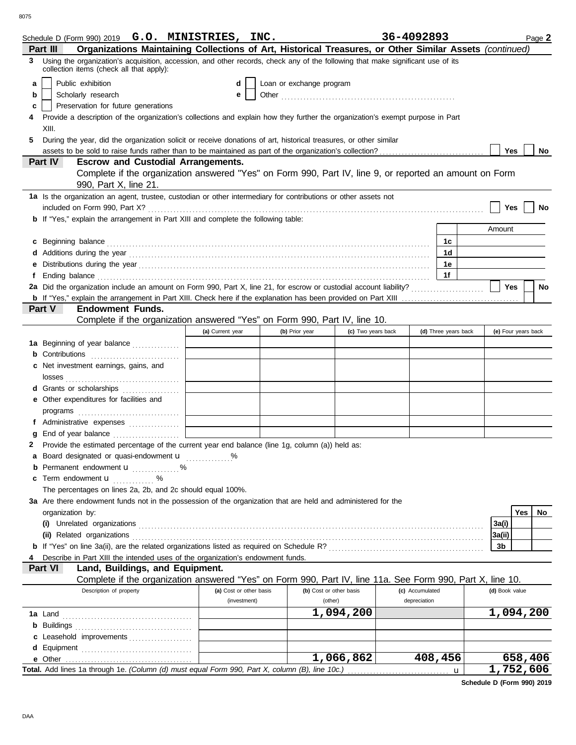|   | Schedule D (Form 990) 2019 G.O. MINISTRIES, INC.                                                                                                                                                                                     |                         |  |                          |                    | 36-4092893      |                      |                |     | Page 2              |
|---|--------------------------------------------------------------------------------------------------------------------------------------------------------------------------------------------------------------------------------------|-------------------------|--|--------------------------|--------------------|-----------------|----------------------|----------------|-----|---------------------|
|   | Organizations Maintaining Collections of Art, Historical Treasures, or Other Similar Assets (continued)<br>Part III                                                                                                                  |                         |  |                          |                    |                 |                      |                |     |                     |
| 3 | Using the organization's acquisition, accession, and other records, check any of the following that make significant use of its<br>collection items (check all that apply):                                                          |                         |  |                          |                    |                 |                      |                |     |                     |
| a | Public exhibition                                                                                                                                                                                                                    | d                       |  | Loan or exchange program |                    |                 |                      |                |     |                     |
| b | Scholarly research                                                                                                                                                                                                                   | е                       |  |                          |                    |                 |                      |                |     |                     |
| c | Preservation for future generations                                                                                                                                                                                                  |                         |  |                          |                    |                 |                      |                |     |                     |
| 4 | Provide a description of the organization's collections and explain how they further the organization's exempt purpose in Part<br>XIII.                                                                                              |                         |  |                          |                    |                 |                      |                |     |                     |
| 5 | During the year, did the organization solicit or receive donations of art, historical treasures, or other similar                                                                                                                    |                         |  |                          |                    |                 |                      |                |     |                     |
|   | assets to be sold to raise funds rather than to be maintained as part of the organization's collection?                                                                                                                              |                         |  |                          |                    |                 |                      |                | Yes | No                  |
|   | Part IV<br><b>Escrow and Custodial Arrangements.</b>                                                                                                                                                                                 |                         |  |                          |                    |                 |                      |                |     |                     |
|   | Complete if the organization answered "Yes" on Form 990, Part IV, line 9, or reported an amount on Form                                                                                                                              |                         |  |                          |                    |                 |                      |                |     |                     |
|   | 990, Part X, line 21.                                                                                                                                                                                                                |                         |  |                          |                    |                 |                      |                |     |                     |
|   | 1a Is the organization an agent, trustee, custodian or other intermediary for contributions or other assets not                                                                                                                      |                         |  |                          |                    |                 |                      |                |     |                     |
|   |                                                                                                                                                                                                                                      |                         |  |                          |                    |                 |                      |                | Yes | No                  |
|   | <b>b</b> If "Yes," explain the arrangement in Part XIII and complete the following table:                                                                                                                                            |                         |  |                          |                    |                 |                      |                |     |                     |
|   |                                                                                                                                                                                                                                      |                         |  |                          |                    |                 |                      | Amount         |     |                     |
|   | c Beginning balance <b>contract to the contract of the set of the contract of the contract of the contract of the contract of the contract of the contract of the contract of the contract of the contract of the contract of th</b> |                         |  |                          |                    |                 | 1c                   |                |     |                     |
|   |                                                                                                                                                                                                                                      |                         |  |                          |                    |                 | 1d                   |                |     |                     |
|   |                                                                                                                                                                                                                                      |                         |  |                          |                    |                 | 1е                   |                |     |                     |
| f |                                                                                                                                                                                                                                      |                         |  |                          |                    |                 | 1f                   |                |     |                     |
|   | 2a Did the organization include an amount on Form 990, Part X, line 21, for escrow or custodial account liability?                                                                                                                   |                         |  |                          |                    |                 |                      |                | Yes | <b>No</b>           |
|   |                                                                                                                                                                                                                                      |                         |  |                          |                    |                 |                      |                |     |                     |
|   | Part V<br><b>Endowment Funds.</b><br>Complete if the organization answered "Yes" on Form 990, Part IV, line 10.                                                                                                                      |                         |  |                          |                    |                 |                      |                |     |                     |
|   |                                                                                                                                                                                                                                      | (a) Current year        |  | (b) Prior year           | (c) Two years back |                 | (d) Three years back |                |     | (e) Four years back |
|   |                                                                                                                                                                                                                                      |                         |  |                          |                    |                 |                      |                |     |                     |
|   | 1a Beginning of year balance                                                                                                                                                                                                         |                         |  |                          |                    |                 |                      |                |     |                     |
|   | <b>b</b> Contributions <b>contributions</b><br>c Net investment earnings, gains, and                                                                                                                                                 |                         |  |                          |                    |                 |                      |                |     |                     |
|   |                                                                                                                                                                                                                                      |                         |  |                          |                    |                 |                      |                |     |                     |
|   | d Grants or scholarships                                                                                                                                                                                                             |                         |  |                          |                    |                 |                      |                |     |                     |
|   | e Other expenditures for facilities and                                                                                                                                                                                              |                         |  |                          |                    |                 |                      |                |     |                     |
|   |                                                                                                                                                                                                                                      |                         |  |                          |                    |                 |                      |                |     |                     |
|   | f Administrative expenses                                                                                                                                                                                                            |                         |  |                          |                    |                 |                      |                |     |                     |
|   | g End of year balance                                                                                                                                                                                                                |                         |  |                          |                    |                 |                      |                |     |                     |
|   | 2 Provide the estimated percentage of the current year end balance (line 1g, column (a)) held as:                                                                                                                                    |                         |  |                          |                    |                 |                      |                |     |                     |
|   | a Board designated or quasi-endowment u                                                                                                                                                                                              |                         |  |                          |                    |                 |                      |                |     |                     |
|   | <b>b</b> Permanent endowment <b>u</b> %                                                                                                                                                                                              |                         |  |                          |                    |                 |                      |                |     |                     |
|   | c Term endowment <b>u</b> %                                                                                                                                                                                                          |                         |  |                          |                    |                 |                      |                |     |                     |
|   | The percentages on lines 2a, 2b, and 2c should equal 100%.                                                                                                                                                                           |                         |  |                          |                    |                 |                      |                |     |                     |
|   | 3a Are there endowment funds not in the possession of the organization that are held and administered for the                                                                                                                        |                         |  |                          |                    |                 |                      |                |     |                     |
|   | organization by:                                                                                                                                                                                                                     |                         |  |                          |                    |                 |                      |                | Yes | No                  |
|   |                                                                                                                                                                                                                                      |                         |  |                          |                    |                 |                      | 3a(i)          |     |                     |
|   |                                                                                                                                                                                                                                      |                         |  |                          |                    |                 |                      | 3a(ii)         |     |                     |
|   |                                                                                                                                                                                                                                      |                         |  |                          |                    |                 |                      | 3b             |     |                     |
|   | Describe in Part XIII the intended uses of the organization's endowment funds.                                                                                                                                                       |                         |  |                          |                    |                 |                      |                |     |                     |
|   | Land, Buildings, and Equipment.<br><b>Part VI</b>                                                                                                                                                                                    |                         |  |                          |                    |                 |                      |                |     |                     |
|   | Complete if the organization answered "Yes" on Form 990, Part IV, line 11a. See Form 990, Part X, line 10.                                                                                                                           |                         |  |                          |                    |                 |                      |                |     |                     |
|   | Description of property                                                                                                                                                                                                              | (a) Cost or other basis |  | (b) Cost or other basis  |                    | (c) Accumulated |                      | (d) Book value |     |                     |
|   |                                                                                                                                                                                                                                      | (investment)            |  | (other)                  |                    | depreciation    |                      |                |     |                     |
|   |                                                                                                                                                                                                                                      |                         |  |                          | 1,094,200          |                 |                      |                |     | 1,094,200           |
|   |                                                                                                                                                                                                                                      |                         |  |                          |                    |                 |                      |                |     |                     |
|   | c Leasehold improvements                                                                                                                                                                                                             |                         |  |                          |                    |                 |                      |                |     |                     |
|   |                                                                                                                                                                                                                                      |                         |  |                          | 1,066,862          |                 | 408,456              |                |     | 658,406             |
|   |                                                                                                                                                                                                                                      |                         |  |                          |                    |                 | u                    |                |     | 1,752,606           |
|   |                                                                                                                                                                                                                                      |                         |  |                          |                    |                 |                      |                |     |                     |

**Schedule D (Form 990) 2019**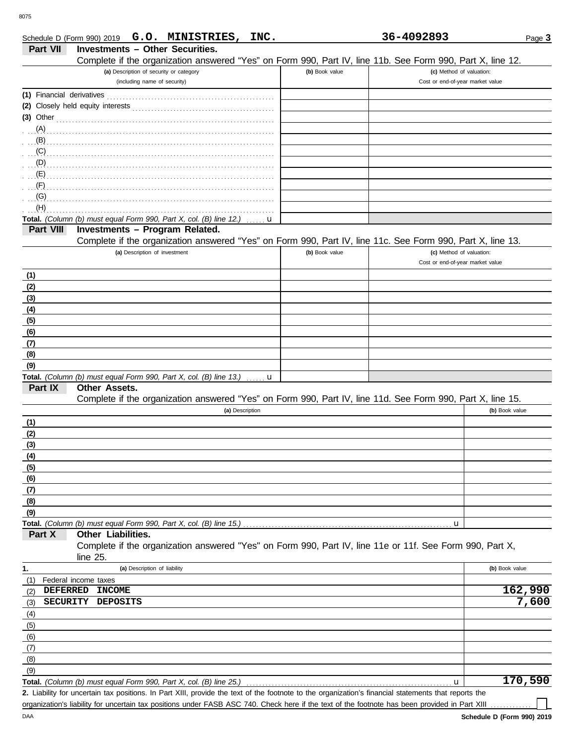DAA

|                           | Schedule D (Form 990) 2019 G.O. MINISTRIES, INC.                                                                                                     |   |                | 36-4092893                       | Page 3         |
|---------------------------|------------------------------------------------------------------------------------------------------------------------------------------------------|---|----------------|----------------------------------|----------------|
| Part VII                  | <b>Investments - Other Securities.</b>                                                                                                               |   |                |                                  |                |
|                           | Complete if the organization answered "Yes" on Form 990, Part IV, line 11b. See Form 990, Part X, line 12.                                           |   |                |                                  |                |
|                           | (a) Description of security or category                                                                                                              |   | (b) Book value | (c) Method of valuation:         |                |
|                           | (including name of security)                                                                                                                         |   |                | Cost or end-of-year market value |                |
| (1) Financial derivatives |                                                                                                                                                      |   |                |                                  |                |
|                           |                                                                                                                                                      |   |                |                                  |                |
| $(3)$ Other               |                                                                                                                                                      |   |                |                                  |                |
| (A)                       |                                                                                                                                                      |   |                |                                  |                |
| (B)                       |                                                                                                                                                      |   |                |                                  |                |
| (C)                       |                                                                                                                                                      |   |                |                                  |                |
| $\Box$ (D)                |                                                                                                                                                      |   |                |                                  |                |
| (E)                       |                                                                                                                                                      |   |                |                                  |                |
| (F)                       |                                                                                                                                                      |   |                |                                  |                |
| (G)<br>(H)                |                                                                                                                                                      |   |                |                                  |                |
|                           | Total. (Column (b) must equal Form 990, Part X, col. (B) line 12.)                                                                                   |   |                |                                  |                |
| Part VIII                 | Investments - Program Related.                                                                                                                       | u |                |                                  |                |
|                           | Complete if the organization answered "Yes" on Form 990, Part IV, line 11c. See Form 990, Part X, line 13.                                           |   |                |                                  |                |
|                           | (a) Description of investment                                                                                                                        |   | (b) Book value | (c) Method of valuation:         |                |
|                           |                                                                                                                                                      |   |                | Cost or end-of-year market value |                |
| (1)                       |                                                                                                                                                      |   |                |                                  |                |
| (2)                       |                                                                                                                                                      |   |                |                                  |                |
| (3)                       |                                                                                                                                                      |   |                |                                  |                |
| (4)                       |                                                                                                                                                      |   |                |                                  |                |
| (5)                       |                                                                                                                                                      |   |                |                                  |                |
| (6)                       |                                                                                                                                                      |   |                |                                  |                |
| (7)                       |                                                                                                                                                      |   |                |                                  |                |
| (8)                       |                                                                                                                                                      |   |                |                                  |                |
| (9)                       |                                                                                                                                                      |   |                |                                  |                |
|                           | Total. (Column (b) must equal Form 990, Part X, col. (B) line 13.) $\mathbf u$                                                                       |   |                |                                  |                |
| Part IX                   | Other Assets.                                                                                                                                        |   |                |                                  |                |
|                           | Complete if the organization answered "Yes" on Form 990, Part IV, line 11d. See Form 990, Part X, line 15.                                           |   |                |                                  |                |
|                           | (a) Description                                                                                                                                      |   |                |                                  | (b) Book value |
| (1)                       |                                                                                                                                                      |   |                |                                  |                |
| (2)                       |                                                                                                                                                      |   |                |                                  |                |
| (3)                       |                                                                                                                                                      |   |                |                                  |                |
| (4)                       |                                                                                                                                                      |   |                |                                  |                |
| (5)                       |                                                                                                                                                      |   |                |                                  |                |
| (6)                       |                                                                                                                                                      |   |                |                                  |                |
| (7)                       |                                                                                                                                                      |   |                |                                  |                |
| (8)                       |                                                                                                                                                      |   |                |                                  |                |
| (9)                       |                                                                                                                                                      |   |                |                                  |                |
|                           | Total. (Column (b) must equal Form 990, Part X, col. (B) line 15.)                                                                                   |   |                | u                                |                |
| Part X                    | Other Liabilities.                                                                                                                                   |   |                |                                  |                |
|                           | Complete if the organization answered "Yes" on Form 990, Part IV, line 11e or 11f. See Form 990, Part X,<br>line 25.                                 |   |                |                                  |                |
| 1.                        | (a) Description of liability                                                                                                                         |   |                |                                  | (b) Book value |
| (1)                       | Federal income taxes                                                                                                                                 |   |                |                                  |                |
| <b>DEFERRED</b><br>(2)    | <b>INCOME</b>                                                                                                                                        |   |                |                                  | 162,990        |
| (3)                       | SECURITY DEPOSITS                                                                                                                                    |   |                |                                  | 7,600          |
| (4)                       |                                                                                                                                                      |   |                |                                  |                |
| (5)                       |                                                                                                                                                      |   |                |                                  |                |
| (6)                       |                                                                                                                                                      |   |                |                                  |                |
| (7)                       |                                                                                                                                                      |   |                |                                  |                |
| (8)                       |                                                                                                                                                      |   |                |                                  |                |
| (9)                       |                                                                                                                                                      |   |                |                                  |                |
|                           | Total. (Column (b) must equal Form 990, Part X, col. (B) line 25.)                                                                                   |   |                | $\mathbf u$                      | 170,590        |
|                           | 2. Liability for uncertain tax positions. In Part XIII, provide the text of the footnote to the organization's financial statements that reports the |   |                |                                  |                |

organization's liability for uncertain tax positions under FASB ASC 740. Check here if the text of the footnote has been provided in Part XIII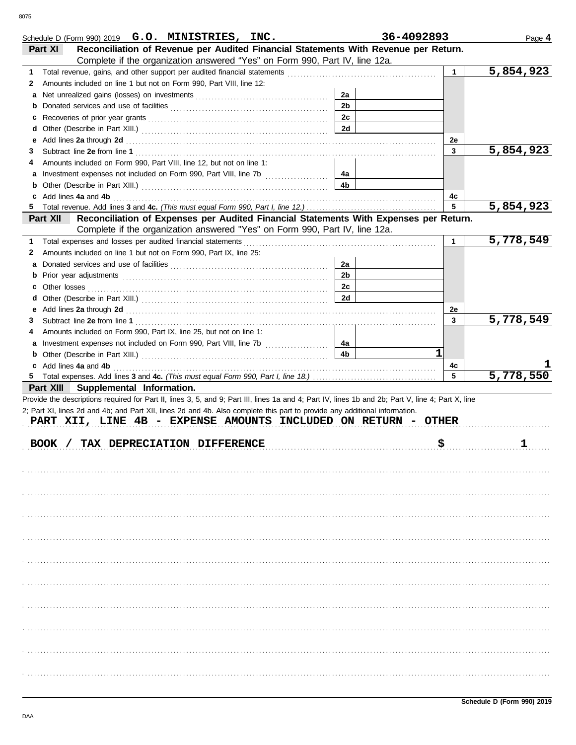|                                                            | Schedule D (Form 990) 2019 G.O. MINISTRIES, INC.                                                                                                                                                                                         |                | 36-4092893   | Page 4    |
|------------------------------------------------------------|------------------------------------------------------------------------------------------------------------------------------------------------------------------------------------------------------------------------------------------|----------------|--------------|-----------|
| Part XI                                                    | Reconciliation of Revenue per Audited Financial Statements With Revenue per Return.                                                                                                                                                      |                |              |           |
|                                                            | Complete if the organization answered "Yes" on Form 990, Part IV, line 12a.                                                                                                                                                              |                |              |           |
|                                                            | Total revenue, gains, and other support per audited financial statements                                                                                                                                                                 |                | 1            | 5,854,923 |
| 2                                                          | Amounts included on line 1 but not on Form 990, Part VIII, line 12:                                                                                                                                                                      |                |              |           |
|                                                            |                                                                                                                                                                                                                                          | 2a             |              |           |
| b                                                          |                                                                                                                                                                                                                                          | 2 <sub>b</sub> |              |           |
| c                                                          |                                                                                                                                                                                                                                          | 2c             |              |           |
| d                                                          |                                                                                                                                                                                                                                          | 2d             |              |           |
| е                                                          |                                                                                                                                                                                                                                          |                | 2e           |           |
| З                                                          |                                                                                                                                                                                                                                          |                | 3            | 5,854,923 |
|                                                            | Amounts included on Form 990, Part VIII, line 12, but not on line 1:                                                                                                                                                                     |                |              |           |
|                                                            |                                                                                                                                                                                                                                          | 4а             |              |           |
|                                                            |                                                                                                                                                                                                                                          | 4b             |              |           |
|                                                            | <b>b</b> Other (Describe in Part XIII.) <b>CONSIDENT</b> 2014 12:20 12:20 12:20 12:20 12:20 12:20 12:20 12:20 12:20 12:20 12:20 12:20 12:20 12:20 12:20 12:20 12:20 12:20 12:20 12:20 12:20 12:20 12:20 12:20 12:20 12:20 12:20 12:20 12 |                |              |           |
| c Add lines 4a and 4b                                      |                                                                                                                                                                                                                                          |                | 4c<br>5      |           |
| 5.                                                         |                                                                                                                                                                                                                                          |                |              | 5,854,923 |
| Part XII                                                   | Reconciliation of Expenses per Audited Financial Statements With Expenses per Return.                                                                                                                                                    |                |              |           |
|                                                            | Complete if the organization answered "Yes" on Form 990, Part IV, line 12a.                                                                                                                                                              |                |              |           |
| Total expenses and losses per audited financial statements |                                                                                                                                                                                                                                          |                | 1            | 5,778,549 |
| 2                                                          | Amounts included on line 1 but not on Form 990, Part IX, line 25:                                                                                                                                                                        |                |              |           |
| a                                                          |                                                                                                                                                                                                                                          | 2a             |              |           |
| b                                                          |                                                                                                                                                                                                                                          | 2 <sub>b</sub> |              |           |
| Other losses<br>с                                          |                                                                                                                                                                                                                                          | 2c             |              |           |
| d                                                          |                                                                                                                                                                                                                                          | 2d             |              |           |
| е                                                          | Add lines 2a through 2d [11, 12] Add lines 2a through 2d [11, 12] Add lines 2a through 2d [11, 12] Add lines 2a through 2d [11, 12] Add and the set of the set of the set of the set of the set of the set of the set of the s           |                | 2e           |           |
| 3                                                          |                                                                                                                                                                                                                                          |                | 3            | 5,778,549 |
|                                                            | Amounts included on Form 990, Part IX, line 25, but not on line 1:                                                                                                                                                                       |                |              |           |
|                                                            |                                                                                                                                                                                                                                          | 4а             |              |           |
|                                                            |                                                                                                                                                                                                                                          | 4b             | $\mathbf{1}$ |           |
| c Add lines 4a and 4b                                      |                                                                                                                                                                                                                                          |                | 4c           |           |
| 5                                                          |                                                                                                                                                                                                                                          |                | 5            | 5,778,550 |
| Part XIII Supplemental Information.                        |                                                                                                                                                                                                                                          |                |              |           |
|                                                            | Provide the descriptions required for Part II, lines 3, 5, and 9; Part III, lines 1a and 4; Part IV, lines 1b and 2b; Part V, line 4; Part X, line                                                                                       |                |              |           |
|                                                            | 2; Part XI, lines 2d and 4b; and Part XII, lines 2d and 4b. Also complete this part to provide any additional information.                                                                                                               |                |              |           |
|                                                            | PART XII, LINE 4B - EXPENSE AMOUNTS INCLUDED ON RETURN - OTHER                                                                                                                                                                           |                |              |           |
|                                                            |                                                                                                                                                                                                                                          |                |              |           |
|                                                            |                                                                                                                                                                                                                                          |                |              |           |
| <b>BOOK</b>                                                | TAX DEPRECIATION DIFFERENCE                                                                                                                                                                                                              |                | \$.          | 1         |
|                                                            |                                                                                                                                                                                                                                          |                |              |           |
|                                                            |                                                                                                                                                                                                                                          |                |              |           |
|                                                            |                                                                                                                                                                                                                                          |                |              |           |
|                                                            |                                                                                                                                                                                                                                          |                |              |           |
|                                                            |                                                                                                                                                                                                                                          |                |              |           |
|                                                            |                                                                                                                                                                                                                                          |                |              |           |
|                                                            |                                                                                                                                                                                                                                          |                |              |           |
|                                                            |                                                                                                                                                                                                                                          |                |              |           |
|                                                            |                                                                                                                                                                                                                                          |                |              |           |
|                                                            |                                                                                                                                                                                                                                          |                |              |           |
|                                                            |                                                                                                                                                                                                                                          |                |              |           |
|                                                            |                                                                                                                                                                                                                                          |                |              |           |
|                                                            |                                                                                                                                                                                                                                          |                |              |           |
|                                                            |                                                                                                                                                                                                                                          |                |              |           |
|                                                            |                                                                                                                                                                                                                                          |                |              |           |
|                                                            |                                                                                                                                                                                                                                          |                |              |           |
|                                                            |                                                                                                                                                                                                                                          |                |              |           |
|                                                            |                                                                                                                                                                                                                                          |                |              |           |
|                                                            |                                                                                                                                                                                                                                          |                |              |           |
|                                                            |                                                                                                                                                                                                                                          |                |              |           |
|                                                            |                                                                                                                                                                                                                                          |                |              |           |
|                                                            |                                                                                                                                                                                                                                          |                |              |           |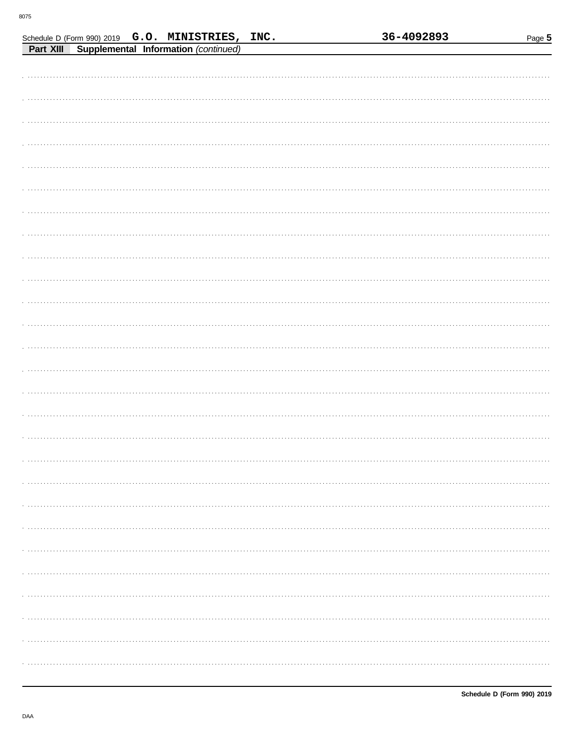|           |  | Schedule D (Form 990) 2019 G.O. MINISTRIES, INC. |  | 36-4092893 | Page 5 |
|-----------|--|--------------------------------------------------|--|------------|--------|
| Part XIII |  | Supplemental Information (continued)             |  |            |        |
|           |  |                                                  |  |            |        |
|           |  |                                                  |  |            |        |
|           |  |                                                  |  |            |        |
|           |  |                                                  |  |            |        |
|           |  |                                                  |  |            |        |
|           |  |                                                  |  |            |        |
|           |  |                                                  |  |            |        |
|           |  |                                                  |  |            |        |
|           |  |                                                  |  |            |        |
|           |  |                                                  |  |            |        |
|           |  |                                                  |  |            |        |
|           |  |                                                  |  |            |        |
|           |  |                                                  |  |            |        |
|           |  |                                                  |  |            |        |
|           |  |                                                  |  |            |        |
|           |  |                                                  |  |            |        |
|           |  |                                                  |  |            |        |
|           |  |                                                  |  |            |        |
|           |  |                                                  |  |            |        |
|           |  |                                                  |  |            |        |
|           |  |                                                  |  |            |        |
|           |  |                                                  |  |            |        |
|           |  |                                                  |  |            |        |
|           |  |                                                  |  |            |        |
|           |  |                                                  |  |            |        |
|           |  |                                                  |  |            |        |
|           |  |                                                  |  |            |        |
|           |  |                                                  |  |            |        |
|           |  |                                                  |  |            |        |
|           |  |                                                  |  |            |        |
|           |  |                                                  |  |            |        |
|           |  |                                                  |  |            |        |
|           |  |                                                  |  |            |        |
|           |  |                                                  |  |            |        |
|           |  |                                                  |  |            |        |
|           |  |                                                  |  |            |        |
|           |  |                                                  |  |            |        |
|           |  |                                                  |  |            |        |
|           |  |                                                  |  |            |        |
|           |  |                                                  |  |            |        |
|           |  |                                                  |  |            |        |
|           |  |                                                  |  |            |        |
|           |  |                                                  |  |            |        |
|           |  |                                                  |  |            |        |
|           |  |                                                  |  |            |        |
|           |  |                                                  |  |            |        |
|           |  |                                                  |  |            |        |
|           |  |                                                  |  |            |        |

36-4092893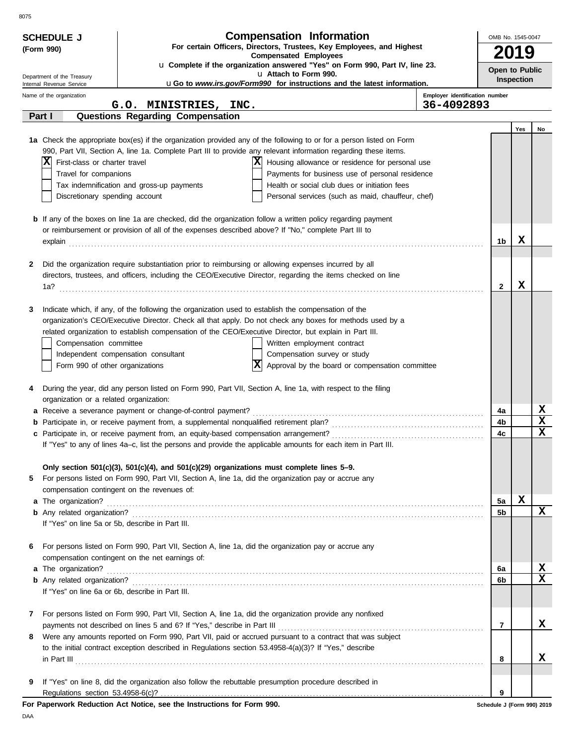| <b>SCHEDULE J</b>                                                                   |                                                                                                                                                                                                             | <b>Compensation Information</b>                                                                                      |                                              | OMB No. 1545-0047     |    |  |  |
|-------------------------------------------------------------------------------------|-------------------------------------------------------------------------------------------------------------------------------------------------------------------------------------------------------------|----------------------------------------------------------------------------------------------------------------------|----------------------------------------------|-----------------------|----|--|--|
| For certain Officers, Directors, Trustees, Key Employees, and Highest<br>(Form 990) |                                                                                                                                                                                                             |                                                                                                                      |                                              | <b>2019</b>           |    |  |  |
|                                                                                     | <b>Compensated Employees</b><br>u Complete if the organization answered "Yes" on Form 990, Part IV, line 23.                                                                                                |                                                                                                                      |                                              |                       |    |  |  |
| Department of the Treasury                                                          |                                                                                                                                                                                                             | u Attach to Form 990.                                                                                                |                                              | <b>Open to Public</b> |    |  |  |
| Internal Revenue Service                                                            | uGo to www.irs.gov/Form990 for instructions and the latest information.                                                                                                                                     |                                                                                                                      | Inspection                                   |                       |    |  |  |
| Name of the organization                                                            |                                                                                                                                                                                                             |                                                                                                                      | Employer identification number<br>36-4092893 |                       |    |  |  |
| Part I                                                                              | G.O. MINISTRIES, INC.<br>Questions Regarding Compensation                                                                                                                                                   |                                                                                                                      |                                              |                       |    |  |  |
|                                                                                     |                                                                                                                                                                                                             |                                                                                                                      |                                              | Yes                   | No |  |  |
|                                                                                     |                                                                                                                                                                                                             | 1a Check the appropriate box(es) if the organization provided any of the following to or for a person listed on Form |                                              |                       |    |  |  |
|                                                                                     |                                                                                                                                                                                                             | 990, Part VII, Section A, line 1a. Complete Part III to provide any relevant information regarding these items.      |                                              |                       |    |  |  |
| ΧI<br>First-class or charter travel                                                 |                                                                                                                                                                                                             | Housing allowance or residence for personal use                                                                      |                                              |                       |    |  |  |
| Travel for companions                                                               |                                                                                                                                                                                                             | Payments for business use of personal residence                                                                      |                                              |                       |    |  |  |
|                                                                                     | Tax indemnification and gross-up payments                                                                                                                                                                   | Health or social club dues or initiation fees                                                                        |                                              |                       |    |  |  |
| Discretionary spending account                                                      |                                                                                                                                                                                                             | Personal services (such as maid, chauffeur, chef)                                                                    |                                              |                       |    |  |  |
|                                                                                     |                                                                                                                                                                                                             |                                                                                                                      |                                              |                       |    |  |  |
|                                                                                     | or reimbursement or provision of all of the expenses described above? If "No," complete Part III to                                                                                                         | <b>b</b> If any of the boxes on line 1a are checked, did the organization follow a written policy regarding payment  |                                              |                       |    |  |  |
|                                                                                     |                                                                                                                                                                                                             |                                                                                                                      | 1b                                           | X                     |    |  |  |
|                                                                                     |                                                                                                                                                                                                             |                                                                                                                      |                                              |                       |    |  |  |
| 2                                                                                   | Did the organization require substantiation prior to reimbursing or allowing expenses incurred by all                                                                                                       |                                                                                                                      |                                              |                       |    |  |  |
|                                                                                     |                                                                                                                                                                                                             | directors, trustees, and officers, including the CEO/Executive Director, regarding the items checked on line         |                                              |                       |    |  |  |
|                                                                                     |                                                                                                                                                                                                             |                                                                                                                      | $\mathbf{2}$                                 | X                     |    |  |  |
|                                                                                     |                                                                                                                                                                                                             |                                                                                                                      |                                              |                       |    |  |  |
| 3                                                                                   | Indicate which, if any, of the following the organization used to establish the compensation of the                                                                                                         |                                                                                                                      |                                              |                       |    |  |  |
|                                                                                     |                                                                                                                                                                                                             | organization's CEO/Executive Director. Check all that apply. Do not check any boxes for methods used by a            |                                              |                       |    |  |  |
|                                                                                     | related organization to establish compensation of the CEO/Executive Director, but explain in Part III.                                                                                                      |                                                                                                                      |                                              |                       |    |  |  |
| Compensation committee                                                              |                                                                                                                                                                                                             | Written employment contract                                                                                          |                                              |                       |    |  |  |
|                                                                                     | Independent compensation consultant                                                                                                                                                                         | Compensation survey or study                                                                                         |                                              |                       |    |  |  |
| Form 990 of other organizations                                                     |                                                                                                                                                                                                             | Approval by the board or compensation committee<br>ΙX                                                                |                                              |                       |    |  |  |
| 4                                                                                   |                                                                                                                                                                                                             | During the year, did any person listed on Form 990, Part VII, Section A, line 1a, with respect to the filing         |                                              |                       |    |  |  |
| organization or a related organization:                                             |                                                                                                                                                                                                             |                                                                                                                      |                                              |                       |    |  |  |
|                                                                                     | a Receive a severance payment or change-of-control payment?                                                                                                                                                 |                                                                                                                      | 4a                                           |                       | X  |  |  |
|                                                                                     |                                                                                                                                                                                                             |                                                                                                                      | 4b                                           |                       | X  |  |  |
|                                                                                     |                                                                                                                                                                                                             |                                                                                                                      | 4c                                           |                       | X  |  |  |
|                                                                                     |                                                                                                                                                                                                             | If "Yes" to any of lines 4a-c, list the persons and provide the applicable amounts for each item in Part III.        |                                              |                       |    |  |  |
|                                                                                     |                                                                                                                                                                                                             |                                                                                                                      |                                              |                       |    |  |  |
| 5                                                                                   | Only section $501(c)(3)$ , $501(c)(4)$ , and $501(c)(29)$ organizations must complete lines $5-9$ .<br>For persons listed on Form 990, Part VII, Section A, line 1a, did the organization pay or accrue any |                                                                                                                      |                                              |                       |    |  |  |
|                                                                                     | compensation contingent on the revenues of:                                                                                                                                                                 |                                                                                                                      |                                              |                       |    |  |  |
| a The organization?                                                                 |                                                                                                                                                                                                             |                                                                                                                      | 5а                                           | X                     |    |  |  |
|                                                                                     |                                                                                                                                                                                                             |                                                                                                                      | 5b                                           |                       | x  |  |  |
|                                                                                     | If "Yes" on line 5a or 5b, describe in Part III.                                                                                                                                                            |                                                                                                                      |                                              |                       |    |  |  |
|                                                                                     |                                                                                                                                                                                                             |                                                                                                                      |                                              |                       |    |  |  |
| 6                                                                                   | For persons listed on Form 990, Part VII, Section A, line 1a, did the organization pay or accrue any                                                                                                        |                                                                                                                      |                                              |                       |    |  |  |
|                                                                                     | compensation contingent on the net earnings of:                                                                                                                                                             |                                                                                                                      |                                              |                       |    |  |  |
| a The organization?                                                                 |                                                                                                                                                                                                             |                                                                                                                      | 6a                                           |                       | X  |  |  |
|                                                                                     |                                                                                                                                                                                                             |                                                                                                                      | 6b                                           |                       | X  |  |  |
|                                                                                     | If "Yes" on line 6a or 6b, describe in Part III.                                                                                                                                                            |                                                                                                                      |                                              |                       |    |  |  |
| 7                                                                                   | For persons listed on Form 990, Part VII, Section A, line 1a, did the organization provide any nonfixed                                                                                                     |                                                                                                                      |                                              |                       |    |  |  |
|                                                                                     | payments not described on lines 5 and 6? If "Yes," describe in Part III                                                                                                                                     |                                                                                                                      | 7                                            |                       | х  |  |  |
| 8                                                                                   |                                                                                                                                                                                                             | Were any amounts reported on Form 990, Part VII, paid or accrued pursuant to a contract that was subject             |                                              |                       |    |  |  |
|                                                                                     | to the initial contract exception described in Regulations section 53.4958-4(a)(3)? If "Yes," describe                                                                                                      |                                                                                                                      |                                              |                       |    |  |  |
|                                                                                     |                                                                                                                                                                                                             | $\ $ n Part III $\ $                                                                                                 | 8                                            |                       | x  |  |  |
|                                                                                     |                                                                                                                                                                                                             |                                                                                                                      |                                              |                       |    |  |  |
| 9                                                                                   | If "Yes" on line 8, did the organization also follow the rebuttable presumption procedure described in                                                                                                      |                                                                                                                      |                                              |                       |    |  |  |
|                                                                                     |                                                                                                                                                                                                             |                                                                                                                      | 9                                            |                       |    |  |  |
|                                                                                     | For Paperwork Reduction Act Notice, see the Instructions for Form 990.                                                                                                                                      |                                                                                                                      | Schedule J (Form 990) 2019                   |                       |    |  |  |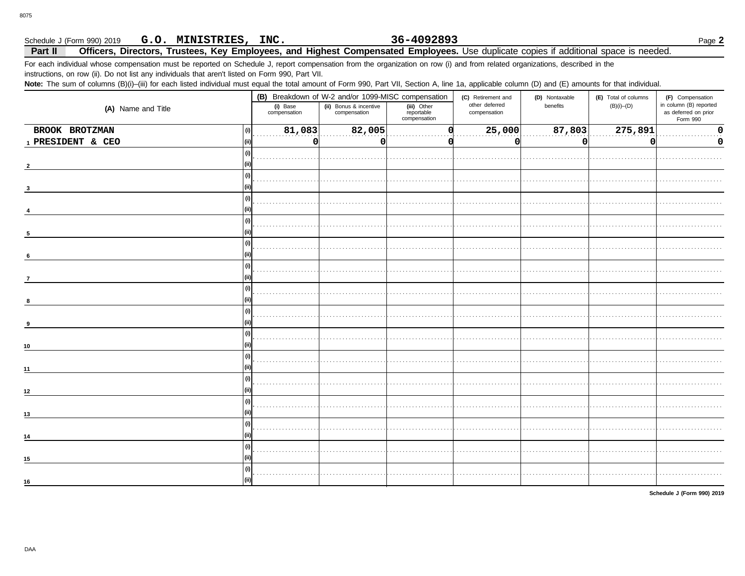| Schedule J (Form 990) 2019 | G.O. MINISTRIES, | INC. | 36-4092893 |
|----------------------------|------------------|------|------------|
|                            |                  |      |            |

#### Officers, Directors, Trustees, Key Employees, and Highest Compensated Employees. Use duplicate copies if additional space is needed. Part II

For each individual whose compensation must be reported on Schedule J, report compensation from the organization on row (i) and from related organizations, described in the instructions, on row (ii). Do not list any individuals that aren't listed on Form 990, Part VII.

Note: The sum of columns (B)(i)-(iii) for each listed individual must equal the total amount of Form 990, Part VII, Section A, line 1a, applicable column (D) and (E) amounts for that individual.

|                       |                          | (B) Breakdown of W-2 and/or 1099-MISC compensation |                                           | (C) Retirement and<br>(D) Nontaxable |          | (E) Total of columns | (F) Compensation                                           |  |
|-----------------------|--------------------------|----------------------------------------------------|-------------------------------------------|--------------------------------------|----------|----------------------|------------------------------------------------------------|--|
| (A) Name and Title    | (i) Base<br>compensation | (ii) Bonus & incentive<br>compensation             | (iii) Other<br>reportable<br>compensation | other deferred<br>compensation       | benefits | $(B)(i)$ - $(D)$     | in column (B) reported<br>as deferred on prior<br>Form 990 |  |
| BROOK BROTZMAN<br>(i) | 81,083                   | 82,005                                             |                                           | 25,000                               | 87,803   | 275,891              | 0                                                          |  |
| 1 PRESIDENT & CEO     | 0                        |                                                    |                                           | O                                    | 0        |                      | 0                                                          |  |
| (i)                   |                          |                                                    |                                           |                                      |          |                      |                                                            |  |
| (i)                   |                          |                                                    |                                           |                                      |          |                      |                                                            |  |
| (i)                   |                          |                                                    |                                           |                                      |          |                      |                                                            |  |
| (i)                   |                          |                                                    |                                           |                                      |          |                      |                                                            |  |
| 5<br>(i)              |                          |                                                    |                                           |                                      |          |                      |                                                            |  |
| 6<br>(i)              |                          |                                                    |                                           |                                      |          |                      |                                                            |  |
| $\overline{7}$<br>(i) |                          |                                                    |                                           |                                      |          |                      |                                                            |  |
|                       |                          |                                                    |                                           |                                      |          |                      |                                                            |  |
| (i)                   |                          |                                                    |                                           |                                      |          |                      |                                                            |  |
| (i)<br>10             |                          |                                                    |                                           |                                      |          |                      |                                                            |  |
| (i)<br>11             |                          |                                                    |                                           |                                      |          |                      |                                                            |  |
| (i)<br>12             |                          |                                                    |                                           |                                      |          |                      |                                                            |  |
| (i)<br>13             |                          |                                                    |                                           |                                      |          |                      |                                                            |  |
| (i)<br>14             |                          |                                                    |                                           |                                      |          |                      |                                                            |  |
| (i)                   |                          |                                                    |                                           |                                      |          |                      |                                                            |  |
| 15<br>(i)             |                          |                                                    |                                           |                                      |          |                      |                                                            |  |
| (ii)<br>16            |                          |                                                    |                                           |                                      |          |                      |                                                            |  |

Schedule J (Form 990) 2019

Page 2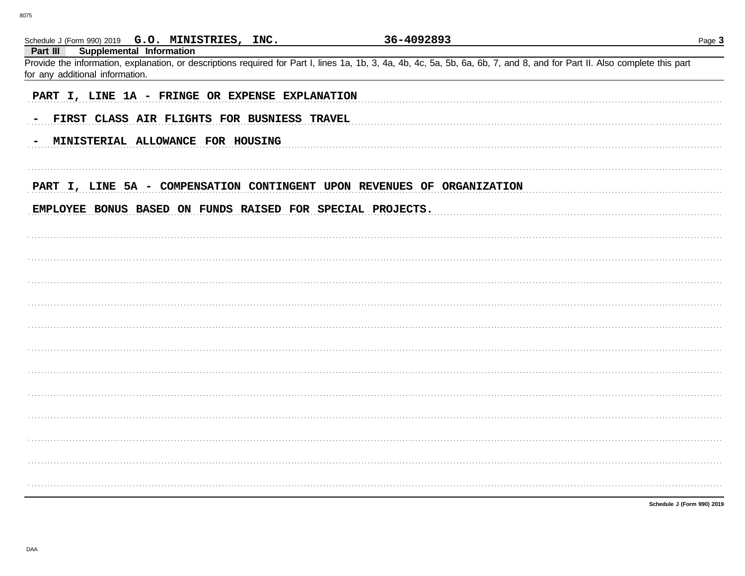| 36-4092893<br>Schedule J (Form 990) 2019 G.O. MINISTRIES, INC.                                                                                                                                                                                               | Page 3                     |
|--------------------------------------------------------------------------------------------------------------------------------------------------------------------------------------------------------------------------------------------------------------|----------------------------|
| <b>Supplemental Information</b><br>Part III<br>Provide the information, explanation, or descriptions required for Part I, lines 1a, 1b, 3, 4a, 4b, 4c, 5a, 5b, 6a, 6b, 7, and 8, and for Part II. Also complete this part<br>for any additional information. |                            |
| PART I, LINE 1A - FRINGE OR EXPENSE EXPLANATION                                                                                                                                                                                                              |                            |
| FIRST CLASS AIR FLIGHTS FOR BUSNIESS TRAVEL                                                                                                                                                                                                                  |                            |
| MINISTERIAL ALLOWANCE FOR HOUSING                                                                                                                                                                                                                            |                            |
| PART I, LINE 5A - COMPENSATION CONTINGENT UPON REVENUES OF ORGANIZATION                                                                                                                                                                                      |                            |
| EMPLOYEE BONUS BASED ON FUNDS RAISED FOR SPECIAL PROJECTS.                                                                                                                                                                                                   |                            |
|                                                                                                                                                                                                                                                              |                            |
|                                                                                                                                                                                                                                                              |                            |
|                                                                                                                                                                                                                                                              |                            |
|                                                                                                                                                                                                                                                              |                            |
|                                                                                                                                                                                                                                                              |                            |
|                                                                                                                                                                                                                                                              |                            |
|                                                                                                                                                                                                                                                              |                            |
|                                                                                                                                                                                                                                                              |                            |
|                                                                                                                                                                                                                                                              |                            |
|                                                                                                                                                                                                                                                              |                            |
|                                                                                                                                                                                                                                                              |                            |
|                                                                                                                                                                                                                                                              |                            |
|                                                                                                                                                                                                                                                              | Schedule J (Form 990) 2019 |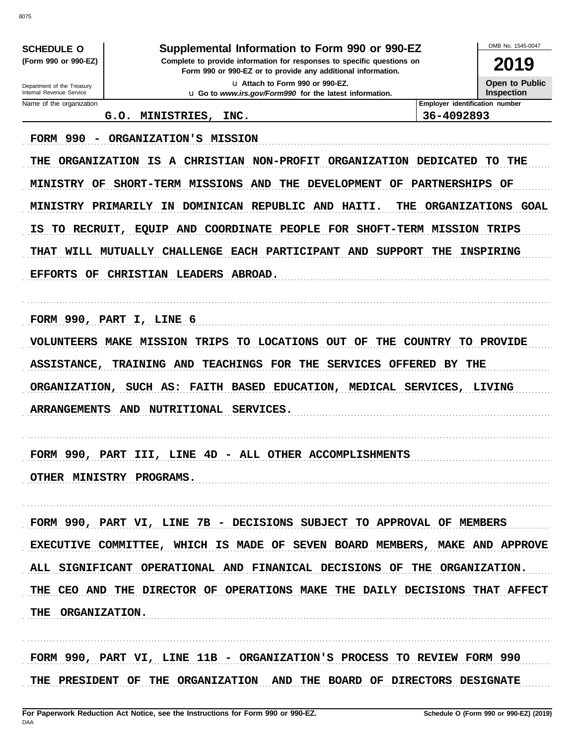OMB No 1545-0047 **SCHEDULE O** Supplemental Information to Form 990 or 990-EZ (Form 990 or 990-EZ) Complete to provide information for responses to specific questions on 2019 Form 990 or 990-EZ or to provide any additional information. u Attach to Form 990 or 990-EZ. **Open to Public** Department of the Treasury u Go to www.irs.gov/Form990 for the latest information. Inspection Internal Revenue Service Employer identification number Name of the organization 36-4092893 G.O. MINISTRIES, INC. FORM 990 - ORGANIZATION'S MISSION THE ORGANIZATION IS A CHRISTIAN NON-PROFIT ORGANIZATION DEDICATED TO THE MINISTRY OF SHORT-TERM MISSIONS AND THE DEVELOPMENT OF PARTNERSHIPS OF MINISTRY PRIMARILY IN DOMINICAN REPUBLIC AND HAITI. THE ORGANIZATIONS GOAL IS TO RECRUIT, EQUIP AND COORDINATE PEOPLE FOR SHOFT-TERM MISSION TRIPS THAT WILL MUTUALLY CHALLENGE EACH PARTICIPANT AND SUPPORT THE INSPIRING EFFORTS OF CHRISTIAN LEADERS ABROAD. FORM 990, PART I, LINE  $6$ VOLUNTEERS MAKE MISSION TRIPS TO LOCATIONS OUT OF THE COUNTRY TO PROVIDE ASSISTANCE, TRAINING AND TEACHINGS FOR THE SERVICES OFFERED BY THE ORGANIZATION, SUCH AS: FAITH BASED EDUCATION, MEDICAL SERVICES, LIVING ARRANGEMENTS AND NUTRITIONAL SERVICES. FORM 990, PART III, LINE 4D - ALL OTHER ACCOMPLISHMENTS OTHER MINISTRY PROGRAMS. FORM 990, PART VI, LINE 7B - DECISIONS SUBJECT TO APPROVAL OF MEMBERS EXECUTIVE COMMITTEE, WHICH IS MADE OF SEVEN BOARD MEMBERS, MAKE AND APPROVE ALL SIGNIFICANT OPERATIONAL AND FINANICAL DECISIONS OF THE ORGANIZATION. THE CEO AND THE DIRECTOR OF OPERATIONS MAKE THE DAILY DECISIONS THAT AFFECT THE ORGANIZATION.

FORM 990, PART VI, LINE 11B - ORGANIZATION'S PROCESS TO REVIEW FORM 990 THE PRESIDENT OF THE ORGANIZATION AND THE BOARD OF DIRECTORS DESIGNATE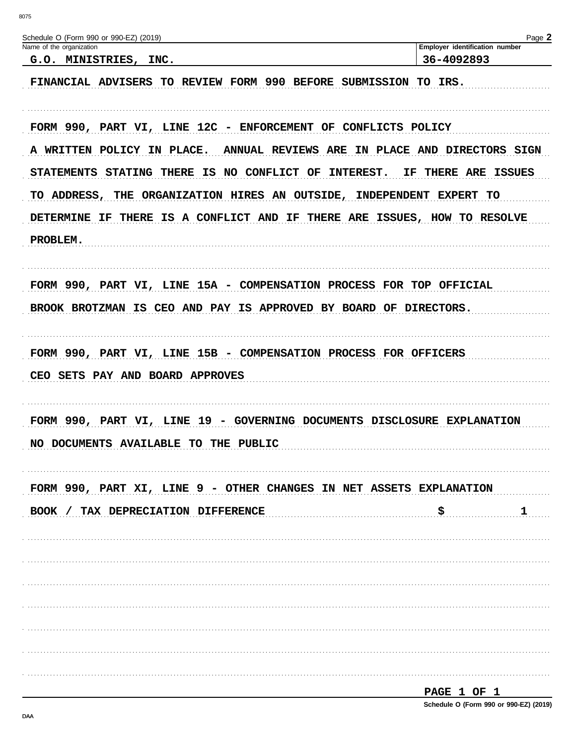| Schedule O (Form 990 or 990-EZ) (2019)<br>Name of the organization       | Page 2<br>Employer identification number       |
|--------------------------------------------------------------------------|------------------------------------------------|
| G.O. MINISTRIES, INC.                                                    | 36-4092893                                     |
| FINANCIAL ADVISERS TO REVIEW FORM 990 BEFORE SUBMISSION TO IRS.          |                                                |
|                                                                          |                                                |
| FORM 990, PART VI, LINE 12C - ENFORCEMENT OF CONFLICTS POLICY            |                                                |
| A WRITTEN POLICY IN PLACE.                                               | ANNUAL REVIEWS ARE IN PLACE AND DIRECTORS SIGN |
| STATEMENTS STATING THERE IS NO CONFLICT OF INTEREST.                     | IF THERE ARE ISSUES                            |
| TO ADDRESS, THE ORGANIZATION HIRES AN OUTSIDE, INDEPENDENT EXPERT TO     |                                                |
| DETERMINE IF THERE IS A CONFLICT AND IF THERE ARE ISSUES, HOW TO RESOLVE |                                                |
| PROBLEM.                                                                 |                                                |
|                                                                          |                                                |
| FORM 990, PART VI, LINE 15A - COMPENSATION PROCESS FOR TOP OFFICIAL      |                                                |
| BROOK BROTZMAN IS CEO AND PAY IS APPROVED BY BOARD OF DIRECTORS.         |                                                |
| FORM 990, PART VI, LINE 15B - COMPENSATION PROCESS FOR OFFICERS          |                                                |
|                                                                          |                                                |
| CEO SETS PAY AND BOARD APPROVES                                          |                                                |
| FORM 990, PART VI, LINE 19 - GOVERNING DOCUMENTS DISCLOSURE EXPLANATION  |                                                |
| NO DOCUMENTS AVAILABLE TO THE PUBLIC                                     |                                                |
|                                                                          |                                                |
| FORM 990, PART XI, LINE 9 - OTHER CHANGES IN NET ASSETS EXPLANATION      |                                                |
| BOOK / TAX DEPRECIATION DIFFERENCE                                       | s                                              |
|                                                                          |                                                |
|                                                                          |                                                |
|                                                                          |                                                |
|                                                                          |                                                |
|                                                                          |                                                |
|                                                                          |                                                |
|                                                                          |                                                |
|                                                                          |                                                |